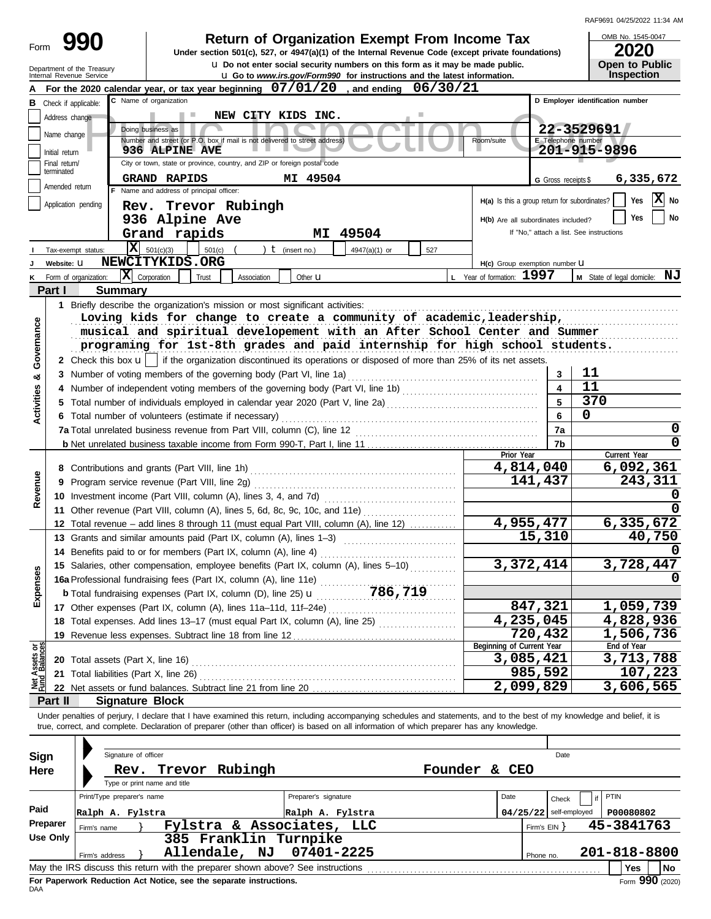| RAF9691 04/25/2022 11:34 AM |  |
|-----------------------------|--|
|                             |  |

|                         |                                                        |                                                                                                                                                                                                         |                                                 |                          | RAF9691 04/25/2022 11:34 AM              |
|-------------------------|--------------------------------------------------------|---------------------------------------------------------------------------------------------------------------------------------------------------------------------------------------------------------|-------------------------------------------------|--------------------------|------------------------------------------|
| Form                    | 990                                                    | <b>Return of Organization Exempt From Income Tax</b>                                                                                                                                                    |                                                 |                          | OMB No. 1545-0047                        |
|                         |                                                        | Under section 501(c), 527, or 4947(a)(1) of the Internal Revenue Code (except private foundations)                                                                                                      |                                                 |                          | <b>2020</b>                              |
|                         | Department of the Treasury<br>Internal Revenue Service | <b>u</b> Do not enter social security numbers on this form as it may be made public.<br><b>u</b> Go to www.irs.gov/Form990 for instructions and the latest information.                                 |                                                 |                          | <b>Open to Public</b><br>Inspection      |
|                         |                                                        | For the 2020 calendar year, or tax year beginning 07/01/20, and ending 06/30/21                                                                                                                         |                                                 |                          |                                          |
| в                       | Check if applicable:                                   | C Name of organization                                                                                                                                                                                  |                                                 |                          | D Employer identification number         |
|                         | Address change                                         | NEW CITY KIDS INC.                                                                                                                                                                                      |                                                 |                          |                                          |
|                         |                                                        | Doing business as                                                                                                                                                                                       |                                                 |                          | 22-3529691                               |
|                         | Name change                                            | Number and street (or P.O. box if mail is not delivered to street address)                                                                                                                              | Room/suite                                      | E Telephone number       |                                          |
|                         | Initial return                                         | <b>936 ALPINE AVE</b>                                                                                                                                                                                   |                                                 |                          | 201-915-9896                             |
|                         | Final return/<br>terminated                            | City or town, state or province, country, and ZIP or foreign postal code                                                                                                                                |                                                 |                          |                                          |
|                         | Amended return                                         | <b>GRAND RAPIDS</b><br>MI 49504                                                                                                                                                                         |                                                 | G Gross receipts \$      | 6,335,672                                |
|                         |                                                        | F Name and address of principal officer:                                                                                                                                                                | $H(a)$ Is this a group return for subordinates? |                          | X No<br>Yes                              |
|                         | Application pending                                    | Rev. Trevor Rubingh                                                                                                                                                                                     |                                                 |                          |                                          |
|                         |                                                        | 936 Alpine Ave                                                                                                                                                                                          | H(b) Are all subordinates included?             |                          | No<br>Yes                                |
|                         |                                                        | Grand rapids<br>MI 49504                                                                                                                                                                                |                                                 |                          | If "No," attach a list. See instructions |
|                         | Tax-exempt status:                                     | $X = 501(c)(3)$<br>501(c)<br>$t$ (insert no.)<br>4947(a)(1) or<br>527                                                                                                                                   |                                                 |                          |                                          |
|                         | Website: U                                             | NEWCITYKIDS.ORG                                                                                                                                                                                         | H(c) Group exemption number LI                  |                          |                                          |
|                         | Form of organization:                                  | $ \mathbf{X} $ Corporation<br>Trust<br>Association<br>Other <b>u</b>                                                                                                                                    | L Year of formation: 1997                       |                          | M State of legal domicile: NJ            |
|                         | Part I<br><b>Summary</b>                               |                                                                                                                                                                                                         |                                                 |                          |                                          |
|                         |                                                        | 1 Briefly describe the organization's mission or most significant activities:                                                                                                                           |                                                 |                          |                                          |
|                         |                                                        | Loving kids for change to create a community of academic, leadership,                                                                                                                                   |                                                 |                          |                                          |
|                         |                                                        | musical and spiritual developement with an After School Center and Summer                                                                                                                               |                                                 |                          |                                          |
|                         |                                                        | programing for 1st-8th grades and paid internship for high school students.                                                                                                                             |                                                 |                          |                                          |
| Governance              |                                                        | 2 Check this box $\mathbf{u}$   if the organization discontinued its operations or disposed of more than 25% of its net assets.                                                                         |                                                 |                          |                                          |
| œ                       |                                                        | 3 Number of voting members of the governing body (Part VI, line 1a) [2010] (2010) [2010] (2010) [30] Number of voting members of the governing body (Part VI, line 1a) [2010] (2010) [30] $\frac{1}{2}$ |                                                 | 3                        | 11                                       |
| ctivities               |                                                        |                                                                                                                                                                                                         |                                                 | $\blacktriangle$         | 11                                       |
|                         |                                                        | 5 Total number of individuals employed in calendar year 2020 (Part V, line 2a) [[[[[[[[[[[[[[[[[[[[[[[[[[[[[[[                                                                                          |                                                 | 5                        | 370                                      |
|                         |                                                        | 6 Total number of volunteers (estimate if necessary)                                                                                                                                                    |                                                 | 6                        | 0                                        |
|                         |                                                        |                                                                                                                                                                                                         |                                                 | 7a                       | 0                                        |
|                         |                                                        |                                                                                                                                                                                                         |                                                 | 7b                       | 0                                        |
|                         |                                                        |                                                                                                                                                                                                         | Prior Year                                      |                          | Current Year                             |
|                         |                                                        |                                                                                                                                                                                                         | 4,814,040                                       |                          | 6,092,361                                |
|                         |                                                        |                                                                                                                                                                                                         |                                                 | 141,437                  | 243,311                                  |
| Revenue                 |                                                        |                                                                                                                                                                                                         |                                                 |                          |                                          |
|                         |                                                        | 11 Other revenue (Part VIII, column (A), lines 5, 6d, 8c, 9c, 10c, and 11e)                                                                                                                             |                                                 |                          | <sup>0</sup>                             |
|                         |                                                        | 12 Total revenue - add lines 8 through 11 (must equal Part VIII, column (A), line 12)                                                                                                                   | 4,955,477                                       |                          | 6,335,672                                |
|                         |                                                        | 13 Grants and similar amounts paid (Part IX, column (A), lines 1-3)                                                                                                                                     |                                                 | 15,310                   | 40,750                                   |
|                         |                                                        | 14 Benefits paid to or for members (Part IX, column (A), line 4)                                                                                                                                        |                                                 |                          | 0                                        |
|                         |                                                        | 15 Salaries, other compensation, employee benefits (Part IX, column (A), lines 5-10)                                                                                                                    | 3,372,414                                       |                          | 3,728,447                                |
|                         |                                                        |                                                                                                                                                                                                         |                                                 |                          | 0                                        |
| Expenses                |                                                        |                                                                                                                                                                                                         |                                                 |                          |                                          |
|                         |                                                        |                                                                                                                                                                                                         |                                                 | 847,321                  | 1,059,739                                |
|                         |                                                        | 18 Total expenses. Add lines 13-17 (must equal Part IX, column (A), line 25)                                                                                                                            | 4,235,045                                       |                          | 4,828,936                                |
|                         |                                                        |                                                                                                                                                                                                         |                                                 | 720,432                  | 1,506,736                                |
|                         |                                                        |                                                                                                                                                                                                         | Beginning of Current Year                       |                          | End of Year                              |
| Assets or<br>1 Balances |                                                        |                                                                                                                                                                                                         | 3,085,421                                       |                          | 3,713,788                                |
|                         | 21 Total liabilities (Part X, line 26)                 |                                                                                                                                                                                                         |                                                 | 985,592                  | 107,223                                  |
|                         |                                                        |                                                                                                                                                                                                         | 2,099,829                                       |                          | 3,606,565                                |
|                         | Part II                                                | <b>Signature Block</b>                                                                                                                                                                                  |                                                 |                          |                                          |
|                         |                                                        | Under penalties of perjury, I declare that I have examined this return, including accompanying schedules and statements, and to the best of my knowledge and belief, it is                              |                                                 |                          |                                          |
|                         |                                                        | true, correct, and complete. Declaration of preparer (other than officer) is based on all information of which preparer has any knowledge.                                                              |                                                 |                          |                                          |
|                         |                                                        |                                                                                                                                                                                                         |                                                 |                          |                                          |
| Sign                    | Signature of officer                                   |                                                                                                                                                                                                         |                                                 | Date                     |                                          |
| Here                    |                                                        | Rev. Trevor Rubingh                                                                                                                                                                                     | Founder & CEO                                   |                          |                                          |
|                         |                                                        | Type or print name and title                                                                                                                                                                            |                                                 |                          |                                          |
|                         | Print/Type preparer's name                             | Preparer's signature                                                                                                                                                                                    | Date                                            | Check                    | PTIN                                     |
| Paid                    | Ralph A. Fylstra                                       | Ralph A. Fylstra                                                                                                                                                                                        |                                                 | $04/25/22$ self-employed | P00080802                                |
|                         | Preparer<br>Firm's name                                | Fylstra & Associates, LLC                                                                                                                                                                               |                                                 | Firm's EIN }             | 45-3841763                               |
|                         | <b>Use Only</b>                                        | 385 Franklin Turnpike                                                                                                                                                                                   |                                                 |                          |                                          |
|                         | Firm's address                                         | Allendale, NJ<br>07401-2225                                                                                                                                                                             |                                                 | Phone no.                | 201-818-8800                             |
|                         |                                                        |                                                                                                                                                                                                         |                                                 |                          | Yes<br>  No                              |

| Sign     |                            | Signature of officer |                                                                    | Date    |    |                                                                                 |                                              |  |  |                |  |  |              |                           |
|----------|----------------------------|----------------------|--------------------------------------------------------------------|---------|----|---------------------------------------------------------------------------------|----------------------------------------------|--|--|----------------|--|--|--------------|---------------------------|
| Here     |                            | Rev.                 | Trevor                                                             | Rubingh |    |                                                                                 | Founder<br>CEO<br>&.                         |  |  |                |  |  |              |                           |
|          |                            |                      | Type or print name and title                                       |         |    |                                                                                 |                                              |  |  |                |  |  |              |                           |
|          | Print/Type preparer's name |                      |                                                                    |         |    |                                                                                 | Preparer's signature<br>Date                 |  |  |                |  |  | PTIN         |                           |
| Paid     | Ralph A. Fylstra           |                      |                                                                    |         |    |                                                                                 | $04/25/22$ self-employed<br>Ralph A. Fylstra |  |  |                |  |  | P00080802    |                           |
| Preparer | Firm's name                |                      |                                                                    |         |    | Fylstra & Associates, LLC                                                       |                                              |  |  | Firm's $EIN$ } |  |  | 45-3841763   |                           |
| Use Only |                            |                      |                                                                    |         |    | 385 Franklin Turnpike                                                           |                                              |  |  |                |  |  |              |                           |
|          | Firm's address             |                      | Allendale,                                                         |         | NJ | 07401-2225                                                                      |                                              |  |  | Phone no.      |  |  | 201-818-8800 |                           |
|          |                            |                      |                                                                    |         |    | May the IRS discuss this return with the preparer shown above? See instructions |                                              |  |  |                |  |  | Yes          | No                        |
|          |                            |                      | For Paperwork Reduction Act Notice, see the separate instructions. |         |    |                                                                                 |                                              |  |  |                |  |  |              | $F_{\text{O}}$ 990 (2020) |

**For Paperwork Reduction Act Notice, see the separate instructions.**<br>DAA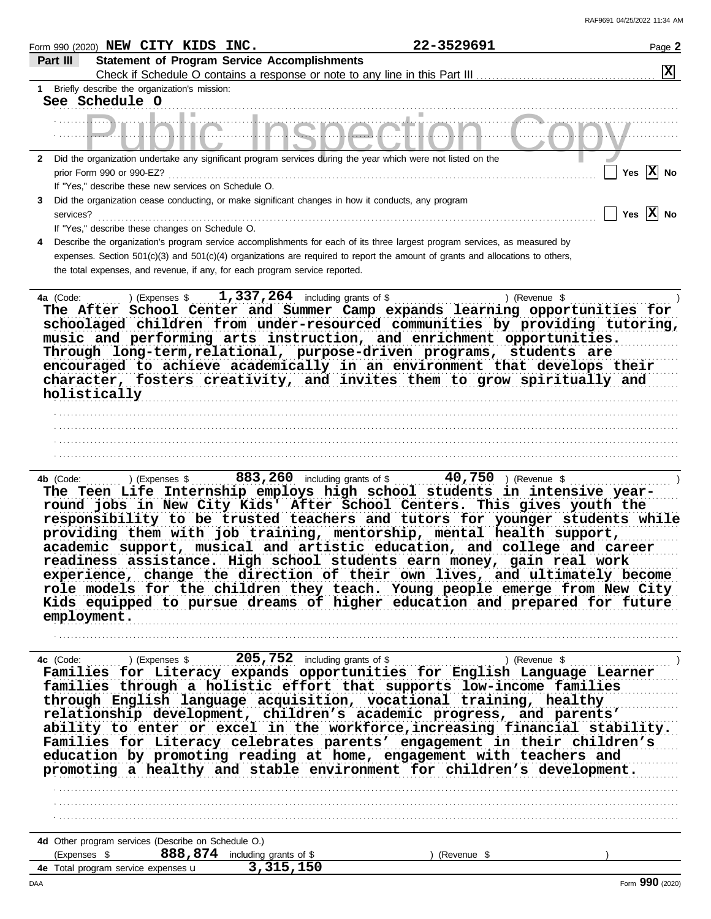|              | Form 990 (2020) $NEW$ CITY KIDS INC.                                                                                           | 22-3529691                                            | Page 2                  |
|--------------|--------------------------------------------------------------------------------------------------------------------------------|-------------------------------------------------------|-------------------------|
|              | <b>Statement of Program Service Accomplishments</b><br>Part III                                                                |                                                       |                         |
|              |                                                                                                                                |                                                       | $\overline{\mathbf{x}}$ |
| 1            | Briefly describe the organization's mission:                                                                                   |                                                       |                         |
|              | See Schedule O                                                                                                                 |                                                       |                         |
|              |                                                                                                                                |                                                       |                         |
|              |                                                                                                                                |                                                       |                         |
|              |                                                                                                                                |                                                       |                         |
| $\mathbf{2}$ | Did the organization undertake any significant program services during the year which were not listed on the                   |                                                       |                         |
|              | prior Form 990 or 990-EZ?                                                                                                      |                                                       | Yes $ X $ No            |
|              | If "Yes," describe these new services on Schedule O.                                                                           |                                                       |                         |
| 3            | Did the organization cease conducting, or make significant changes in how it conducts, any program                             |                                                       |                         |
|              | services?                                                                                                                      | Yes                                                   | $\vert X \vert$ No      |
|              | If "Yes," describe these changes on Schedule O.                                                                                |                                                       |                         |
| 4            | Describe the organization's program service accomplishments for each of its three largest program services, as measured by     |                                                       |                         |
|              | expenses. Section 501(c)(3) and 501(c)(4) organizations are required to report the amount of grants and allocations to others, |                                                       |                         |
|              | the total expenses, and revenue, if any, for each program service reported.                                                    |                                                       |                         |
|              |                                                                                                                                |                                                       |                         |
|              | 1,337,264 including grants of \$<br>) (Expenses \$<br>4a (Code:                                                                | ) (Revenue \$                                         |                         |
|              | The After School Center and Summer Camp expands learning opportunities for                                                     |                                                       |                         |
|              | schoolaged children from under-resourced communities by providing tutoring,                                                    |                                                       |                         |
|              | music and performing arts instruction, and enrichment opportunities.                                                           |                                                       |                         |
|              | Through long-term, relational, purpose-driven programs, students are                                                           |                                                       |                         |
|              | encouraged to achieve academically in an environment that develops their                                                       |                                                       |                         |
|              | character, fosters creativity, and invites them to grow spiritually and<br>holistically                                        |                                                       |                         |
|              |                                                                                                                                |                                                       |                         |
|              |                                                                                                                                |                                                       |                         |
|              |                                                                                                                                |                                                       |                         |
|              |                                                                                                                                |                                                       |                         |
|              |                                                                                                                                |                                                       |                         |
|              | ) (Expenses \$<br>4b (Code:                                                                                                    | 883, 260 including grants of \$ 40, 750 ) (Revenue \$ |                         |
|              | The Teen Life Internship employs high school students in intensive year-                                                       |                                                       |                         |
|              | round jobs in New City Kids' After School Centers. This gives youth the                                                        |                                                       |                         |
|              | responsibility to be trusted teachers and tutors for younger students while                                                    |                                                       |                         |
|              | providing them with job training, mentorship, mental health support,                                                           |                                                       |                         |
|              | academic support, musical and artistic education, and college and career                                                       |                                                       |                         |
|              | readiness assistance. High school students earn money, gain real work                                                          |                                                       |                         |
|              | experience, change the direction of their own lives, and ultimately become                                                     |                                                       |                         |
|              | role models for the children they teach. Young people emerge from New City                                                     |                                                       |                         |
|              | Kids equipped to pursue dreams of higher education and prepared for future                                                     |                                                       |                         |
|              | employment.                                                                                                                    |                                                       |                         |
|              |                                                                                                                                |                                                       |                         |
|              |                                                                                                                                |                                                       |                         |
|              | 4c (Code:                                                                                                                      | ) (Revenue \$                                         |                         |
|              | Families for Literacy expands opportunities for English Language Learner                                                       |                                                       |                         |
|              | families through a holistic effort that supports low-income families                                                           |                                                       |                         |
|              | through English language acquisition, vocational training, healthy                                                             |                                                       |                         |
|              | relationship development, children's academic progress, and parents'                                                           |                                                       |                         |
|              | ability to enter or excel in the workforce, increasing financial stability.                                                    |                                                       |                         |
|              | Families for Literacy celebrates parents' engagement in their children's                                                       |                                                       |                         |
|              | education by promoting reading at home, engagement with teachers and                                                           |                                                       |                         |
|              | promoting a healthy and stable environment for children's development.                                                         |                                                       |                         |
|              |                                                                                                                                |                                                       |                         |
|              |                                                                                                                                |                                                       |                         |
|              |                                                                                                                                |                                                       |                         |
|              |                                                                                                                                |                                                       |                         |
|              | 4d Other program services (Describe on Schedule O.)                                                                            |                                                       |                         |
|              | 888, 874 including grants of \$<br>(Expenses \$                                                                                | (Revenue \$                                           |                         |
|              | 3,315,150<br>4e Total program service expenses u                                                                               |                                                       |                         |
|              |                                                                                                                                |                                                       |                         |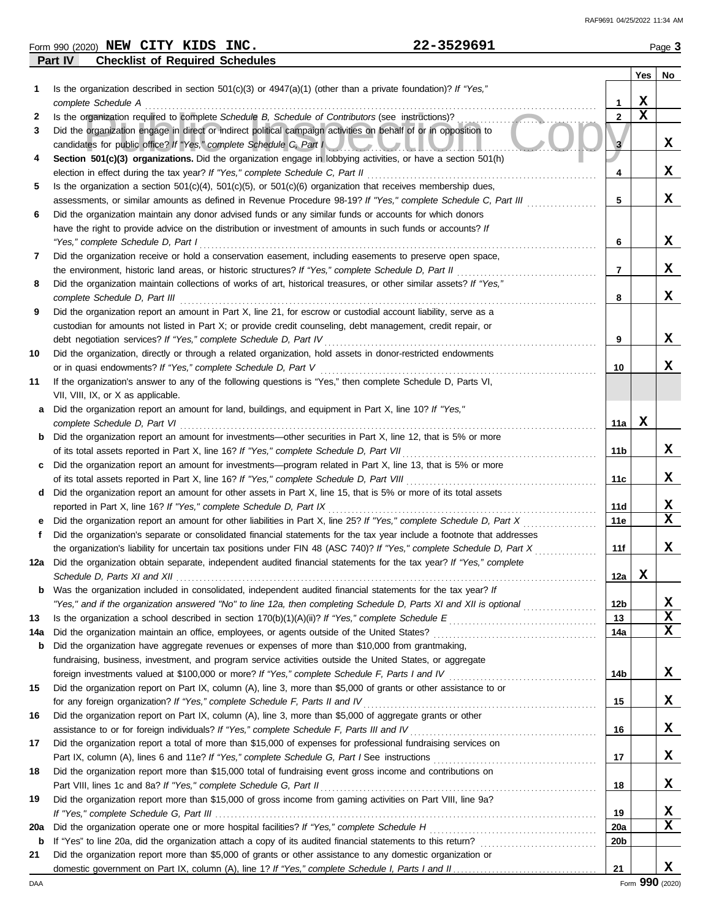| Form 990 (2020) NEW CITY KIDS INC. |  |                                        | 22-3529691 | Page 3 |
|------------------------------------|--|----------------------------------------|------------|--------|
| Part IV                            |  | <b>Checklist of Required Schedules</b> |            |        |

|             |                                                                                                                                                                                         |                 | Yes         | No |
|-------------|-----------------------------------------------------------------------------------------------------------------------------------------------------------------------------------------|-----------------|-------------|----|
| 1           | Is the organization described in section $501(c)(3)$ or $4947(a)(1)$ (other than a private foundation)? If "Yes,"                                                                       |                 |             |    |
|             | complete Schedule A                                                                                                                                                                     | 1               | х           |    |
| 2           | Is the organization required to complete Schedule B, Schedule of Contributors (see instructions)?                                                                                       | 2               | $\mathbf x$ |    |
| 3           | Did the organization engage in direct or indirect political campaign activities on behalf of or in opposition to<br>candidates for public office? If "Yes," complete Schedule C, Part I | 3               |             | x  |
| 4           | Section 501(c)(3) organizations. Did the organization engage in lobbying activities, or have a section 501(h)                                                                           |                 |             |    |
|             | election in effect during the tax year? If "Yes," complete Schedule C, Part II                                                                                                          | 4               |             | x  |
| 5           | Is the organization a section $501(c)(4)$ , $501(c)(5)$ , or $501(c)(6)$ organization that receives membership dues,                                                                    |                 |             |    |
|             | assessments, or similar amounts as defined in Revenue Procedure 98-19? If "Yes," complete Schedule C, Part III                                                                          | 5               |             | x  |
| 6           | Did the organization maintain any donor advised funds or any similar funds or accounts for which donors                                                                                 |                 |             |    |
|             | have the right to provide advice on the distribution or investment of amounts in such funds or accounts? If                                                                             |                 |             |    |
|             | "Yes," complete Schedule D, Part I                                                                                                                                                      | 6               |             | x  |
| 7           | Did the organization receive or hold a conservation easement, including easements to preserve open space,                                                                               |                 |             |    |
|             | the environment, historic land areas, or historic structures? If "Yes," complete Schedule D, Part II                                                                                    | $\overline{7}$  |             | x  |
| 8           | Did the organization maintain collections of works of art, historical treasures, or other similar assets? If "Yes,"                                                                     |                 |             |    |
|             | complete Schedule D, Part III                                                                                                                                                           | 8               |             | x  |
| 9           | Did the organization report an amount in Part X, line 21, for escrow or custodial account liability, serve as a                                                                         |                 |             |    |
|             | custodian for amounts not listed in Part X; or provide credit counseling, debt management, credit repair, or                                                                            |                 |             |    |
|             | debt negotiation services? If "Yes," complete Schedule D, Part IV                                                                                                                       | 9               |             | х  |
| 10          | Did the organization, directly or through a related organization, hold assets in donor-restricted endowments                                                                            |                 |             |    |
|             | or in quasi endowments? If "Yes," complete Schedule D, Part V                                                                                                                           | 10              |             | x  |
| 11          | If the organization's answer to any of the following questions is "Yes," then complete Schedule D, Parts VI,                                                                            |                 |             |    |
|             | VII, VIII, IX, or X as applicable.                                                                                                                                                      |                 |             |    |
| а           | Did the organization report an amount for land, buildings, and equipment in Part X, line 10? If "Yes,"                                                                                  |                 |             |    |
|             | complete Schedule D, Part VI                                                                                                                                                            | 11a             | x           |    |
| b           | Did the organization report an amount for investments—other securities in Part X, line 12, that is 5% or more                                                                           |                 |             |    |
|             | of its total assets reported in Part X, line 16? If "Yes," complete Schedule D, Part VII                                                                                                | 11 b            |             | x  |
| c           | Did the organization report an amount for investments—program related in Part X, line 13, that is 5% or more                                                                            |                 |             |    |
|             | of its total assets reported in Part X, line 16? If "Yes," complete Schedule D, Part VIII                                                                                               | 11c             |             | x  |
| d           | Did the organization report an amount for other assets in Part X, line 15, that is 5% or more of its total assets                                                                       |                 |             |    |
|             | reported in Part X, line 16? If "Yes," complete Schedule D, Part IX                                                                                                                     | 11d             |             | x  |
|             | Did the organization report an amount for other liabilities in Part X, line 25? If "Yes," complete Schedule D, Part X                                                                   | 11e             |             | X  |
| f           | Did the organization's separate or consolidated financial statements for the tax year include a footnote that addresses                                                                 |                 |             | x  |
|             | the organization's liability for uncertain tax positions under FIN 48 (ASC 740)? If "Yes," complete Schedule D, Part X                                                                  | 11f             |             |    |
| 12a         | Did the organization obtain separate, independent audited financial statements for the tax year? If "Yes," complete                                                                     |                 | X           |    |
|             | <b>b</b> Was the organization included in consolidated, independent audited financial statements for the tax year? If                                                                   | 12a             |             |    |
|             | "Yes," and if the organization answered "No" to line 12a, then completing Schedule D, Parts XI and XII is optional                                                                      | 12b             |             | X  |
| 13          |                                                                                                                                                                                         | 13              |             | х  |
| 14a         |                                                                                                                                                                                         | 14a             |             | X  |
| b           | Did the organization have aggregate revenues or expenses of more than \$10,000 from grantmaking,                                                                                        |                 |             |    |
|             | fundraising, business, investment, and program service activities outside the United States, or aggregate                                                                               |                 |             |    |
|             |                                                                                                                                                                                         | 14b             |             | x  |
| 15          | Did the organization report on Part IX, column (A), line 3, more than \$5,000 of grants or other assistance to or                                                                       |                 |             |    |
|             | for any foreign organization? If "Yes," complete Schedule F, Parts II and IV [[[[[[[[[[[[[[[[[[[[[[[[[[[[[[[[                                                                           | 15              |             | x  |
| 16          | Did the organization report on Part IX, column (A), line 3, more than \$5,000 of aggregate grants or other                                                                              |                 |             |    |
|             | assistance to or for foreign individuals? If "Yes," complete Schedule F, Parts III and IV [[[[[[[[[[[[[[[[[[[                                                                           | 16              |             | x  |
| 17          | Did the organization report a total of more than \$15,000 of expenses for professional fundraising services on                                                                          |                 |             |    |
|             |                                                                                                                                                                                         | 17              |             | x  |
| 18          | Did the organization report more than \$15,000 total of fundraising event gross income and contributions on                                                                             |                 |             |    |
|             |                                                                                                                                                                                         | 18              |             | x  |
| 19          | Did the organization report more than \$15,000 of gross income from gaming activities on Part VIII, line 9a?                                                                            |                 |             |    |
|             |                                                                                                                                                                                         | 19              |             | x  |
| 20a         |                                                                                                                                                                                         | 20a             |             | X  |
| $\mathbf b$ |                                                                                                                                                                                         | 20 <sub>b</sub> |             |    |
| 21          | Did the organization report more than \$5,000 of grants or other assistance to any domestic organization or                                                                             |                 |             |    |
|             |                                                                                                                                                                                         | 21              |             | X. |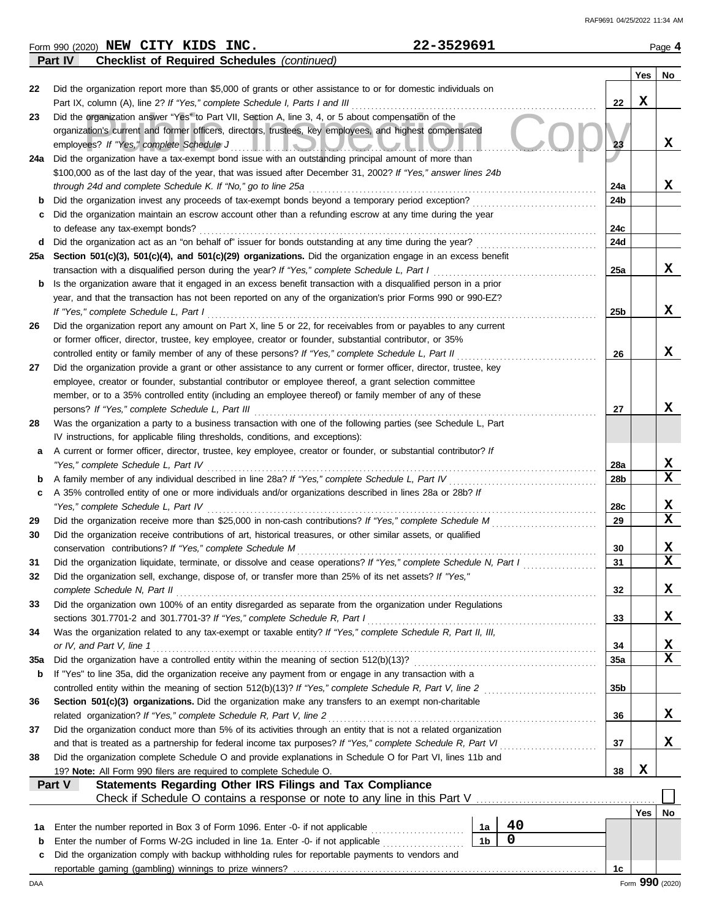|          | 22-3529691<br>Form 990 (2020) NEW CITY KIDS INC.                                                                                                                                                              |                |    |                 |             | Page 4           |
|----------|---------------------------------------------------------------------------------------------------------------------------------------------------------------------------------------------------------------|----------------|----|-----------------|-------------|------------------|
|          | Part IV<br><b>Checklist of Required Schedules (continued)</b>                                                                                                                                                 |                |    |                 |             |                  |
| 22       | Did the organization report more than \$5,000 of grants or other assistance to or for domestic individuals on                                                                                                 |                |    |                 | Yes         | No               |
|          | Part IX, column (A), line 2? If "Yes," complete Schedule I, Parts I and III                                                                                                                                   |                |    | 22              | $\mathbf x$ |                  |
| 23       | Did the organization answer "Yes" to Part VII, Section A, line 3, 4, or 5 about compensation of the                                                                                                           |                |    |                 |             |                  |
|          | organization's current and former officers, directors, trustees, key employees, and highest compensated                                                                                                       |                |    |                 |             |                  |
|          | employees? If "Yes," complete Schedule J<br><u>III. IQMUUNIM</u>                                                                                                                                              |                |    | 23              |             | X                |
|          | 24a Did the organization have a tax-exempt bond issue with an outstanding principal amount of more than                                                                                                       |                |    |                 |             |                  |
|          | \$100,000 as of the last day of the year, that was issued after December 31, 2002? If "Yes," answer lines 24b                                                                                                 |                |    | 24a             |             | x                |
| b        | through 24d and complete Schedule K. If "No," go to line 25a<br>Did the organization invest any proceeds of tax-exempt bonds beyond a temporary period exception?                                             |                |    | 24b             |             |                  |
| c        | Did the organization maintain an escrow account other than a refunding escrow at any time during the year                                                                                                     |                |    |                 |             |                  |
|          | to defease any tax-exempt bonds?                                                                                                                                                                              |                |    | 24c             |             |                  |
| d        | Did the organization act as an "on behalf of" issuer for bonds outstanding at any time during the year?                                                                                                       |                |    | 24d             |             |                  |
|          | 25a Section 501(c)(3), 501(c)(4), and 501(c)(29) organizations. Did the organization engage in an excess benefit                                                                                              |                |    |                 |             |                  |
|          | transaction with a disqualified person during the year? If "Yes," complete Schedule L, Part I                                                                                                                 |                |    | 25a             |             | x                |
| b        | Is the organization aware that it engaged in an excess benefit transaction with a disqualified person in a prior                                                                                              |                |    |                 |             |                  |
|          | year, and that the transaction has not been reported on any of the organization's prior Forms 990 or 990-EZ?                                                                                                  |                |    |                 |             |                  |
|          | If "Yes," complete Schedule L, Part I                                                                                                                                                                         |                |    | 25b             |             | X                |
| 26       | Did the organization report any amount on Part X, line 5 or 22, for receivables from or payables to any current                                                                                               |                |    |                 |             |                  |
|          | or former officer, director, trustee, key employee, creator or founder, substantial contributor, or 35%<br>controlled entity or family member of any of these persons? If "Yes," complete Schedule L, Part II |                |    |                 |             | X                |
| 27       | Did the organization provide a grant or other assistance to any current or former officer, director, trustee, key                                                                                             |                |    | 26              |             |                  |
|          | employee, creator or founder, substantial contributor or employee thereof, a grant selection committee                                                                                                        |                |    |                 |             |                  |
|          | member, or to a 35% controlled entity (including an employee thereof) or family member of any of these                                                                                                        |                |    |                 |             |                  |
|          | persons? If "Yes," complete Schedule L, Part III                                                                                                                                                              |                |    | 27              |             | X                |
| 28       | Was the organization a party to a business transaction with one of the following parties (see Schedule L, Part                                                                                                |                |    |                 |             |                  |
|          | IV instructions, for applicable filing thresholds, conditions, and exceptions):                                                                                                                               |                |    |                 |             |                  |
| а        | A current or former officer, director, trustee, key employee, creator or founder, or substantial contributor? If                                                                                              |                |    |                 |             |                  |
|          | "Yes," complete Schedule L, Part IV                                                                                                                                                                           |                |    | 28a             |             | X                |
| b        | A family member of any individual described in line 28a? If "Yes," complete Schedule L, Part IV                                                                                                               |                |    | 28b             |             | X                |
| c        | A 35% controlled entity of one or more individuals and/or organizations described in lines 28a or 28b? If                                                                                                     |                |    |                 |             |                  |
|          | "Yes," complete Schedule L, Part IV                                                                                                                                                                           |                |    | 28c             |             | X<br>$\mathbf x$ |
| 29<br>30 | Did the organization receive more than \$25,000 in non-cash contributions? If "Yes," complete Schedule M                                                                                                      |                |    | 29              |             |                  |
|          | Did the organization receive contributions of art, historical treasures, or other similar assets, or qualified<br>conservation contributions? If "Yes," complete Schedule M                                   |                |    | 30              |             | X                |
| 31       | Did the organization liquidate, terminate, or dissolve and cease operations? If "Yes," complete Schedule N, Part I                                                                                            |                |    | 31              |             | $\mathbf x$      |
| 32       | Did the organization sell, exchange, dispose of, or transfer more than 25% of its net assets? If "Yes,"                                                                                                       |                |    |                 |             |                  |
|          | complete Schedule N, Part II                                                                                                                                                                                  |                |    | 32              |             | X                |
| 33       | Did the organization own 100% of an entity disregarded as separate from the organization under Regulations                                                                                                    |                |    |                 |             |                  |
|          | sections 301.7701-2 and 301.7701-3? If "Yes," complete Schedule R, Part I                                                                                                                                     |                |    | 33              |             | X                |
| 34       | Was the organization related to any tax-exempt or taxable entity? If "Yes," complete Schedule R, Part II, III,                                                                                                |                |    |                 |             |                  |
|          | or IV, and Part V, line 1                                                                                                                                                                                     |                |    | 34              |             | X                |
| 35a      | Did the organization have a controlled entity within the meaning of section 512(b)(13)?                                                                                                                       |                |    | 35a             |             | X                |
| b        | If "Yes" to line 35a, did the organization receive any payment from or engage in any transaction with a                                                                                                       |                |    |                 |             |                  |
|          | controlled entity within the meaning of section 512(b)(13)? If "Yes," complete Schedule R, Part V, line 2                                                                                                     |                |    | 35 <sub>b</sub> |             |                  |
| 36       | Section 501(c)(3) organizations. Did the organization make any transfers to an exempt non-charitable<br>related organization? If "Yes," complete Schedule R, Part V, line 2                                   |                |    | 36              |             | X                |
| 37       | Did the organization conduct more than 5% of its activities through an entity that is not a related organization                                                                                              |                |    |                 |             |                  |
|          | and that is treated as a partnership for federal income tax purposes? If "Yes," complete Schedule R, Part VI                                                                                                  |                |    | 37              |             | X                |
| 38       | Did the organization complete Schedule O and provide explanations in Schedule O for Part VI, lines 11b and                                                                                                    |                |    |                 |             |                  |
|          | 19? Note: All Form 990 filers are required to complete Schedule O.                                                                                                                                            |                |    | 38              | $\mathbf x$ |                  |
|          | Statements Regarding Other IRS Filings and Tax Compliance<br>Part V                                                                                                                                           |                |    |                 |             |                  |
|          | Check if Schedule O contains a response or note to any line in this Part V [11] Check if Schedule O contains a response or note to any line in this Part V                                                    |                |    |                 |             |                  |
|          |                                                                                                                                                                                                               |                |    |                 | Yes         | No               |
| 1a       | Enter the number reported in Box 3 of Form 1096. Enter -0- if not applicable                                                                                                                                  | 1a             | 40 |                 |             |                  |
| b        | Enter the number of Forms W-2G included in line 1a. Enter -0- if not applicable                                                                                                                               | 1 <sub>b</sub> | 0  |                 |             |                  |
| c        | Did the organization comply with backup withholding rules for reportable payments to vendors and                                                                                                              |                |    |                 |             |                  |
|          |                                                                                                                                                                                                               |                |    | 1c              |             |                  |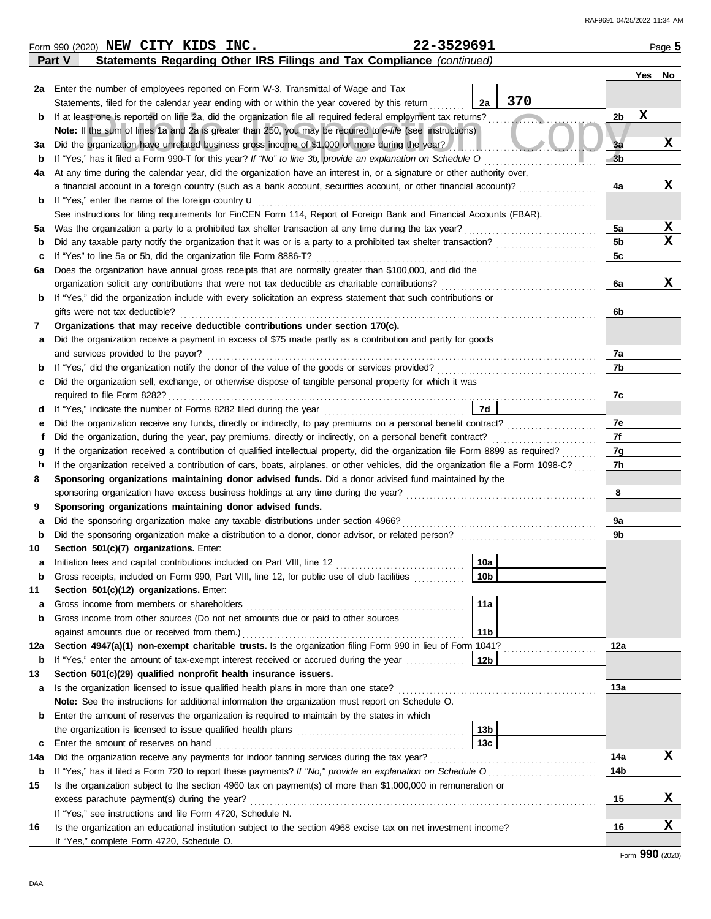|         | 22-3529691<br>Form 990 (2020) NEW CITY KIDS INC.                                                                                                                                      |                 |                |   | Page 5   |
|---------|---------------------------------------------------------------------------------------------------------------------------------------------------------------------------------------|-----------------|----------------|---|----------|
|         | Statements Regarding Other IRS Filings and Tax Compliance (continued)<br>Part V                                                                                                       |                 |                |   |          |
|         |                                                                                                                                                                                       |                 |                |   | Yes   No |
|         | 2a Enter the number of employees reported on Form W-3, Transmittal of Wage and Tax                                                                                                    |                 |                |   |          |
|         | Statements, filed for the calendar year ending with or within the year covered by this return                                                                                         | 370<br>2a       |                |   |          |
| b       | If at least one is reported on line 2a, did the organization file all required federal employment tax returns?                                                                        |                 | 2b             | X |          |
|         | Note: If the sum of lines 1a and 2a is greater than 250, you may be required to e-file (see instructions)                                                                             |                 |                |   |          |
| За      | Did the organization have unrelated business gross income of \$1,000 or more during the year?                                                                                         |                 | 3a             |   | x        |
| b       | If "Yes," has it filed a Form 990-T for this year? If "No" to line 3b, provide an explanation on Schedule O                                                                           |                 | 3 <sub>b</sub> |   |          |
| 4a      | At any time during the calendar year, did the organization have an interest in, or a signature or other authority over,                                                               |                 |                |   |          |
|         | a financial account in a foreign country (such as a bank account, securities account, or other financial account)?                                                                    |                 | 4a             |   | X        |
| b       | If "Yes," enter the name of the foreign country <b>u</b>                                                                                                                              |                 |                |   |          |
|         | See instructions for filing requirements for FinCEN Form 114, Report of Foreign Bank and Financial Accounts (FBAR).                                                                   |                 |                |   | X        |
| 5a      | Was the organization a party to a prohibited tax shelter transaction at any time during the tax year?                                                                                 |                 | 5a<br>5b       |   | x        |
| b       | Did any taxable party notify the organization that it was or is a party to a prohibited tax shelter transaction?<br>If "Yes" to line 5a or 5b, did the organization file Form 8886-T? |                 | 5c             |   |          |
| c<br>6а | Does the organization have annual gross receipts that are normally greater than \$100,000, and did the                                                                                |                 |                |   |          |
|         | organization solicit any contributions that were not tax deductible as charitable contributions?                                                                                      |                 | 6a             |   | X        |
| b       | If "Yes," did the organization include with every solicitation an express statement that such contributions or                                                                        |                 |                |   |          |
|         | gifts were not tax deductible?                                                                                                                                                        |                 | 6b             |   |          |
| 7       | Organizations that may receive deductible contributions under section 170(c).                                                                                                         |                 |                |   |          |
| а       | Did the organization receive a payment in excess of \$75 made partly as a contribution and partly for goods                                                                           |                 |                |   |          |
|         | and services provided to the payor?                                                                                                                                                   |                 | 7a             |   |          |
| b       |                                                                                                                                                                                       |                 | 7b             |   |          |
| с       | Did the organization sell, exchange, or otherwise dispose of tangible personal property for which it was                                                                              |                 |                |   |          |
|         | required to file Form 8282?                                                                                                                                                           |                 | 7c             |   |          |
| d       |                                                                                                                                                                                       | 7d              |                |   |          |
| е       | Did the organization receive any funds, directly or indirectly, to pay premiums on a personal benefit contract?                                                                       |                 | 7e             |   |          |
| f       | Did the organization, during the year, pay premiums, directly or indirectly, on a personal benefit contract?                                                                          |                 | 7f             |   |          |
| g       | If the organization received a contribution of qualified intellectual property, did the organization file Form 8899 as required?                                                      |                 | 7g             |   |          |
| h       | If the organization received a contribution of cars, boats, airplanes, or other vehicles, did the organization file a Form 1098-C?                                                    |                 | 7h             |   |          |
| 8       | Sponsoring organizations maintaining donor advised funds. Did a donor advised fund maintained by the                                                                                  |                 |                |   |          |
|         |                                                                                                                                                                                       |                 | 8              |   |          |
| 9       | Sponsoring organizations maintaining donor advised funds.                                                                                                                             |                 |                |   |          |
| а       | Did the sponsoring organization make any taxable distributions under section 4966?                                                                                                    |                 | 9a             |   |          |
| b       |                                                                                                                                                                                       |                 | 9b             |   |          |
| 10      | Section 501(c)(7) organizations. Enter:                                                                                                                                               |                 |                |   |          |
|         |                                                                                                                                                                                       | 10a             |                |   |          |
| b       | Gross receipts, included on Form 990, Part VIII, line 12, for public use of club facilities                                                                                           | 10 <sub>b</sub> |                |   |          |
| 11      | Section 501(c)(12) organizations. Enter:<br>Gross income from members or shareholders                                                                                                 | 11a             |                |   |          |
| а<br>b  | Gross income from other sources (Do not net amounts due or paid to other sources                                                                                                      |                 |                |   |          |
|         | against amounts due or received from them.)                                                                                                                                           | 11 <sub>b</sub> |                |   |          |
| 12a     | Section 4947(a)(1) non-exempt charitable trusts. Is the organization filing Form 990 in lieu of Form 1041?                                                                            |                 | 12a            |   |          |
| b       | If "Yes," enter the amount of tax-exempt interest received or accrued during the year                                                                                                 | 12 <sub>b</sub> |                |   |          |
| 13      | Section 501(c)(29) qualified nonprofit health insurance issuers.                                                                                                                      |                 |                |   |          |
| a       | Is the organization licensed to issue qualified health plans in more than one state?                                                                                                  |                 | 13а            |   |          |
|         | Note: See the instructions for additional information the organization must report on Schedule O.                                                                                     |                 |                |   |          |
| b       | Enter the amount of reserves the organization is required to maintain by the states in which                                                                                          |                 |                |   |          |
|         |                                                                                                                                                                                       | 13b             |                |   |          |
| c       | Enter the amount of reserves on hand                                                                                                                                                  | 13 <sub>c</sub> |                |   |          |
| 14a     | Did the organization receive any payments for indoor tanning services during the tax year?                                                                                            |                 | 14a            |   | x        |
| b       |                                                                                                                                                                                       |                 | 14b            |   |          |
| 15      | Is the organization subject to the section 4960 tax on payment(s) of more than \$1,000,000 in remuneration or                                                                         |                 |                |   |          |
|         | excess parachute payment(s) during the year?                                                                                                                                          |                 | 15             |   | X        |
|         | If "Yes," see instructions and file Form 4720, Schedule N.                                                                                                                            |                 |                |   |          |
| 16      | Is the organization an educational institution subject to the section 4968 excise tax on net investment income?                                                                       |                 | 16             |   | X        |
|         | If "Yes," complete Form 4720, Schedule O.                                                                                                                                             |                 |                |   |          |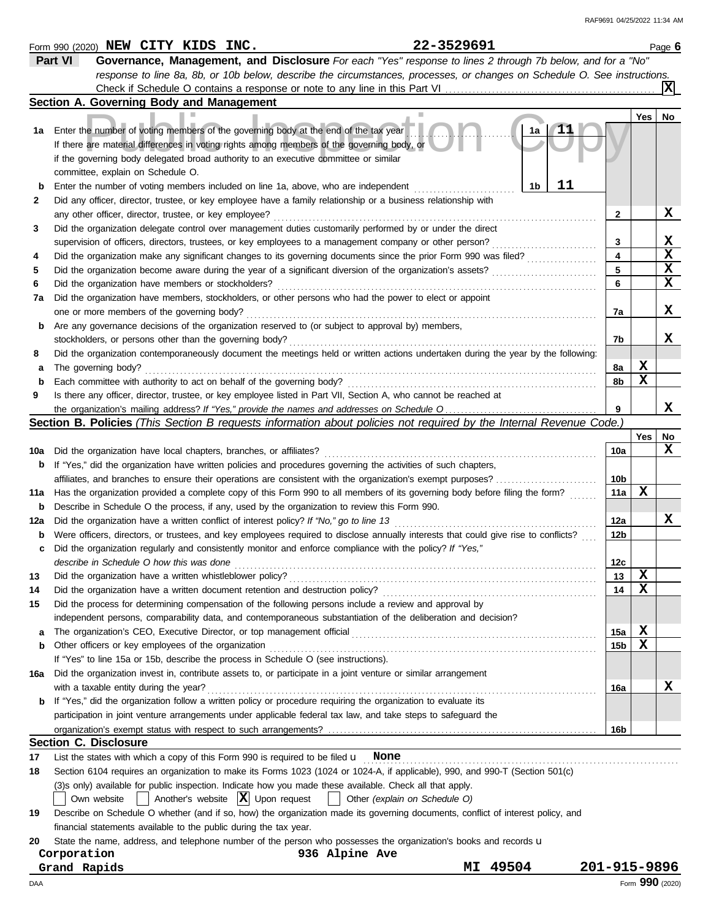|             | 22-3529691<br>Form 990 (2020) NEW CITY KIDS INC.                                                                                    |                 |     | Page 6          |
|-------------|-------------------------------------------------------------------------------------------------------------------------------------|-----------------|-----|-----------------|
|             | Part VI<br>Governance, Management, and Disclosure For each "Yes" response to lines 2 through 7b below, and for a "No"               |                 |     |                 |
|             | response to line 8a, 8b, or 10b below, describe the circumstances, processes, or changes on Schedule O. See instructions.           |                 |     |                 |
|             |                                                                                                                                     |                 |     |                 |
|             | Section A. Governing Body and Management                                                                                            |                 |     |                 |
|             |                                                                                                                                     |                 | Yes | No              |
| 1a          | 1a<br>Enter the number of voting members of the governing body at the end of the tax year                                           |                 |     |                 |
|             | If there are material differences in voting rights among members of the governing body, or                                          |                 |     |                 |
|             | if the governing body delegated broad authority to an executive committee or similar                                                |                 |     |                 |
|             | committee, explain on Schedule O.                                                                                                   |                 |     |                 |
| b           | 11<br>1 <sub>b</sub><br>Enter the number of voting members included on line 1a, above, who are independent                          |                 |     |                 |
| 2           | Did any officer, director, trustee, or key employee have a family relationship or a business relationship with                      |                 |     |                 |
|             | any other officer, director, trustee, or key employee?                                                                              | 2               |     | X               |
| 3           | Did the organization delegate control over management duties customarily performed by or under the direct                           |                 |     |                 |
|             |                                                                                                                                     |                 |     | X               |
|             | supervision of officers, directors, trustees, or key employees to a management company or other person?                             | 3<br>4          |     | X               |
| 4           | Did the organization make any significant changes to its governing documents since the prior Form 990 was filed?                    |                 |     | $\mathbf x$     |
| 5           | Did the organization become aware during the year of a significant diversion of the organization's assets?                          | 5               |     | $\mathbf x$     |
| 6           | Did the organization have members or stockholders?                                                                                  | 6               |     |                 |
| 7a          | Did the organization have members, stockholders, or other persons who had the power to elect or appoint                             |                 |     |                 |
|             | one or more members of the governing body?                                                                                          | 7a              |     | X               |
| b           | Are any governance decisions of the organization reserved to (or subject to approval by) members,                                   |                 |     |                 |
|             | stockholders, or persons other than the governing body?                                                                             | 7b              |     | x               |
| 8           | Did the organization contemporaneously document the meetings held or written actions undertaken during the year by the following:   |                 |     |                 |
| а           | The governing body?                                                                                                                 | 8a              | X   |                 |
| $\mathbf b$ | Each committee with authority to act on behalf of the governing body?                                                               | 8b              | X   |                 |
| 9           | Is there any officer, director, trustee, or key employee listed in Part VII, Section A, who cannot be reached at                    |                 |     |                 |
|             |                                                                                                                                     | 9               |     | x               |
|             | Section B. Policies (This Section B requests information about policies not required by the Internal Revenue Code.)                 |                 |     |                 |
|             |                                                                                                                                     |                 | Yes | No              |
| 10a         | Did the organization have local chapters, branches, or affiliates?                                                                  | 10a             |     | X               |
| b           | If "Yes," did the organization have written policies and procedures governing the activities of such chapters,                      |                 |     |                 |
|             | affiliates, and branches to ensure their operations are consistent with the organization's exempt purposes?                         | 10 <sub>b</sub> |     |                 |
| 11a         | Has the organization provided a complete copy of this Form 990 to all members of its governing body before filing the form?         | 11a             | X   |                 |
| b           | Describe in Schedule O the process, if any, used by the organization to review this Form 990.                                       |                 |     |                 |
| 12a         | Did the organization have a written conflict of interest policy? If "No," go to line 13                                             | 12a             |     | X               |
| b           | Were officers, directors, or trustees, and key employees required to disclose annually interests that could give rise to conflicts? | 12b             |     |                 |
| c           | Did the organization regularly and consistently monitor and enforce compliance with the policy? If "Yes,"                           |                 |     |                 |
|             | describe in Schedule O how this was done                                                                                            | 12 <sub>c</sub> |     |                 |
| 13          | Did the organization have a written whistleblower policy?                                                                           | 13              | х   |                 |
| 14          | Did the organization have a written document retention and destruction policy?                                                      | 14              | х   |                 |
| 15          | Did the process for determining compensation of the following persons include a review and approval by                              |                 |     |                 |
|             |                                                                                                                                     |                 |     |                 |
|             | independent persons, comparability data, and contemporaneous substantiation of the deliberation and decision?                       |                 | X   |                 |
| а           |                                                                                                                                     | 15a             | X   |                 |
| b           | Other officers or key employees of the organization                                                                                 | 15 <sub>b</sub> |     |                 |
|             | If "Yes" to line 15a or 15b, describe the process in Schedule O (see instructions).                                                 |                 |     |                 |
| 16a         | Did the organization invest in, contribute assets to, or participate in a joint venture or similar arrangement                      |                 |     |                 |
|             | with a taxable entity during the year?                                                                                              | 16a             |     | х               |
| b           | If "Yes," did the organization follow a written policy or procedure requiring the organization to evaluate its                      |                 |     |                 |
|             | participation in joint venture arrangements under applicable federal tax law, and take steps to safeguard the                       |                 |     |                 |
|             |                                                                                                                                     | 16 <sub>b</sub> |     |                 |
|             | <b>Section C. Disclosure</b>                                                                                                        |                 |     |                 |
| 17          | List the states with which a copy of this Form 990 is required to be filed $\mathbf u$ None                                         |                 |     |                 |
| 18          | Section 6104 requires an organization to make its Forms 1023 (1024 or 1024-A, if applicable), 990, and 990-T (Section 501(c)        |                 |     |                 |
|             | (3)s only) available for public inspection. Indicate how you made these available. Check all that apply.                            |                 |     |                 |
|             | Another's website $ \mathbf{X} $ Upon request<br>Own website<br>Other (explain on Schedule O)                                       |                 |     |                 |
| 19          | Describe on Schedule O whether (and if so, how) the organization made its governing documents, conflict of interest policy, and     |                 |     |                 |
|             | financial statements available to the public during the tax year.                                                                   |                 |     |                 |
| 20          | State the name, address, and telephone number of the person who possesses the organization's books and records u                    |                 |     |                 |
|             | Corporation<br>936 Alpine Ave                                                                                                       |                 |     |                 |
|             | MI 49504<br>Grand Rapids                                                                                                            | 201-915-9896    |     |                 |
| DAA         |                                                                                                                                     |                 |     | Form 990 (2020) |
|             |                                                                                                                                     |                 |     |                 |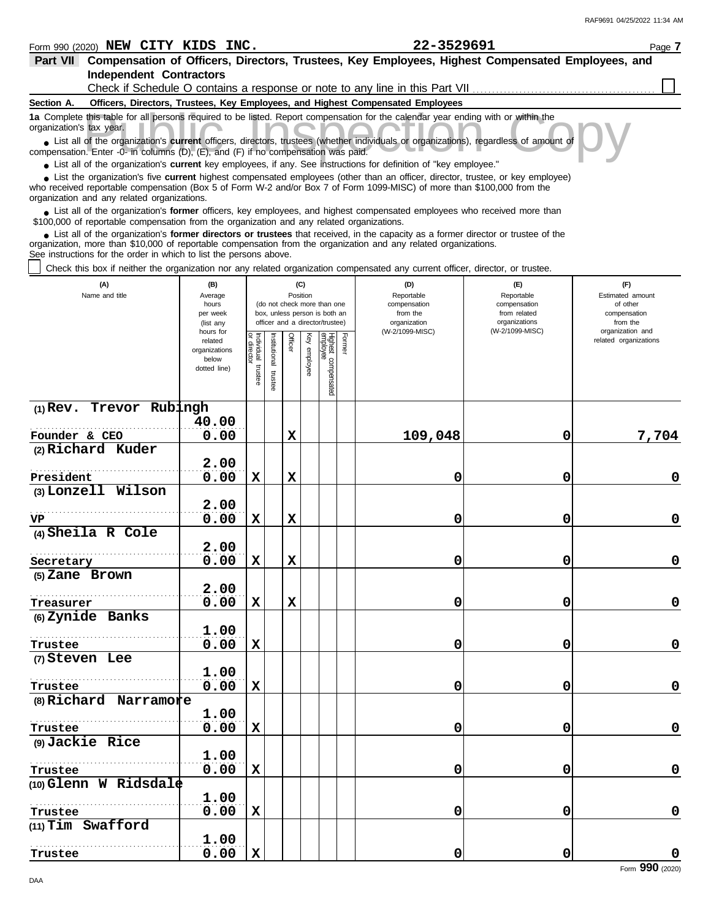| <b>Independent Contractors</b>                                                                                                                                                                                                                                                                                              |                      |                                   |                      |             |              |                                                              |        |                                                                                 |                              |                                           |
|-----------------------------------------------------------------------------------------------------------------------------------------------------------------------------------------------------------------------------------------------------------------------------------------------------------------------------|----------------------|-----------------------------------|----------------------|-------------|--------------|--------------------------------------------------------------|--------|---------------------------------------------------------------------------------|------------------------------|-------------------------------------------|
|                                                                                                                                                                                                                                                                                                                             |                      |                                   |                      |             |              |                                                              |        | Check if Schedule O contains a response or note to any line in this Part VII    |                              |                                           |
| Section A.<br>1a Complete this table for all persons required to be listed. Report compensation for the calendar year ending with or within the                                                                                                                                                                             |                      |                                   |                      |             |              |                                                              |        | Officers, Directors, Trustees, Key Employees, and Highest Compensated Employees |                              |                                           |
| organization's tax year.                                                                                                                                                                                                                                                                                                    |                      |                                   |                      |             |              |                                                              |        |                                                                                 |                              |                                           |
| • List all of the organization's current officers, directors, trustees (whether individuals or organizations), regardless of amount of<br>compensation. Enter -0- in columns (D), (E), and (F) if no compensation was paid.                                                                                                 |                      |                                   |                      |             |              |                                                              |        |                                                                                 |                              |                                           |
| • List all of the organization's current key employees, if any. See instructions for definition of "key employee."                                                                                                                                                                                                          |                      |                                   |                      |             |              |                                                              |        |                                                                                 |                              |                                           |
| List the organization's five current highest compensated employees (other than an officer, director, trustee, or key employee)<br>who received reportable compensation (Box 5 of Form W-2 and/or Box 7 of Form 1099-MISC) of more than \$100,000 from the<br>organization and any related organizations.                    |                      |                                   |                      |             |              |                                                              |        |                                                                                 |                              |                                           |
| • List all of the organization's former officers, key employees, and highest compensated employees who received more than<br>\$100,000 of reportable compensation from the organization and any related organizations.                                                                                                      |                      |                                   |                      |             |              |                                                              |        |                                                                                 |                              |                                           |
| List all of the organization's former directors or trustees that received, in the capacity as a former director or trustee of the<br>organization, more than \$10,000 of reportable compensation from the organization and any related organizations.<br>See instructions for the order in which to list the persons above. |                      |                                   |                      |             |              |                                                              |        |                                                                                 |                              |                                           |
| Check this box if neither the organization nor any related organization compensated any current officer, director, or trustee.                                                                                                                                                                                              |                      |                                   |                      |             |              |                                                              |        |                                                                                 |                              |                                           |
| (A)                                                                                                                                                                                                                                                                                                                         | (B)                  |                                   |                      |             | (C)          |                                                              |        | (D)                                                                             | (F)                          | (F)                                       |
| Name and title                                                                                                                                                                                                                                                                                                              | Average              |                                   |                      |             | Position     |                                                              |        | Reportable                                                                      | Reportable                   | Estimated amount                          |
|                                                                                                                                                                                                                                                                                                                             | hours<br>per week    |                                   |                      |             |              | (do not check more than one<br>box, unless person is both an |        | compensation<br>from the                                                        | compensation<br>from related | of other<br>compensation                  |
|                                                                                                                                                                                                                                                                                                                             | (list any            |                                   |                      |             |              | officer and a director/trustee)                              |        | organization                                                                    | organizations                | from the                                  |
|                                                                                                                                                                                                                                                                                                                             | hours for<br>related |                                   |                      |             |              |                                                              |        | (W-2/1099-MISC)                                                                 | (W-2/1099-MISC)              | organization and<br>related organizations |
|                                                                                                                                                                                                                                                                                                                             | organizations        |                                   |                      | Officer     |              |                                                              | Former |                                                                                 |                              |                                           |
|                                                                                                                                                                                                                                                                                                                             | below                |                                   |                      |             | Key employee |                                                              |        |                                                                                 |                              |                                           |
|                                                                                                                                                                                                                                                                                                                             | dotted line)         | Individual trustee<br>or director | nstitutional trustee |             |              |                                                              |        |                                                                                 |                              |                                           |
|                                                                                                                                                                                                                                                                                                                             |                      |                                   |                      |             |              | Highest compensated<br>employee                              |        |                                                                                 |                              |                                           |
| $(1)$ Rev. Trevor Rubingh                                                                                                                                                                                                                                                                                                   |                      |                                   |                      |             |              |                                                              |        |                                                                                 |                              |                                           |
|                                                                                                                                                                                                                                                                                                                             | 40.00                |                                   |                      |             |              |                                                              |        |                                                                                 |                              |                                           |
| Founder & CEO                                                                                                                                                                                                                                                                                                               | 0.00                 |                                   |                      | $\mathbf x$ |              |                                                              |        | 109,048                                                                         | 0                            | 7,704                                     |
| (2) Richard Kuder                                                                                                                                                                                                                                                                                                           |                      |                                   |                      |             |              |                                                              |        |                                                                                 |                              |                                           |
|                                                                                                                                                                                                                                                                                                                             | 2.00                 |                                   |                      |             |              |                                                              |        |                                                                                 |                              |                                           |
| President                                                                                                                                                                                                                                                                                                                   | 0.00                 | X                                 |                      | $\mathbf x$ |              |                                                              |        | 0                                                                               | 0                            | 0                                         |
| (3) Lonzell Wilson                                                                                                                                                                                                                                                                                                          |                      |                                   |                      |             |              |                                                              |        |                                                                                 |                              |                                           |
|                                                                                                                                                                                                                                                                                                                             | 2.00                 |                                   |                      |             |              |                                                              |        |                                                                                 |                              |                                           |
| VP                                                                                                                                                                                                                                                                                                                          | 0.00                 | X                                 |                      | $\mathbf x$ |              |                                                              |        | 0                                                                               | 0                            | 0                                         |
| (4) Sheila R Cole                                                                                                                                                                                                                                                                                                           |                      |                                   |                      |             |              |                                                              |        |                                                                                 |                              |                                           |
|                                                                                                                                                                                                                                                                                                                             | 2.00                 |                                   |                      |             |              |                                                              |        |                                                                                 |                              |                                           |
| Secretary                                                                                                                                                                                                                                                                                                                   | 0.00                 | X                                 |                      | $\mathbf x$ |              |                                                              |        | 0                                                                               | 0                            | 0                                         |
| (5) Zane Brown                                                                                                                                                                                                                                                                                                              |                      |                                   |                      |             |              |                                                              |        |                                                                                 |                              |                                           |
| .                                                                                                                                                                                                                                                                                                                           | 2.00                 |                                   |                      |             |              |                                                              |        |                                                                                 |                              |                                           |
| Treasurer                                                                                                                                                                                                                                                                                                                   | 0.00                 | X                                 |                      | X           |              |                                                              |        | 0                                                                               | 0                            | $\mathbf 0$                               |
| (6) Zynide Banks                                                                                                                                                                                                                                                                                                            |                      |                                   |                      |             |              |                                                              |        |                                                                                 |                              |                                           |
|                                                                                                                                                                                                                                                                                                                             | 1.00                 |                                   |                      |             |              |                                                              |        |                                                                                 |                              |                                           |
| Trustee                                                                                                                                                                                                                                                                                                                     | 0.00                 | X                                 |                      |             |              |                                                              |        | 0                                                                               | 0                            | $\mathbf 0$                               |
| (7) Steven Lee                                                                                                                                                                                                                                                                                                              |                      |                                   |                      |             |              |                                                              |        |                                                                                 |                              |                                           |
|                                                                                                                                                                                                                                                                                                                             | 1.00                 |                                   |                      |             |              |                                                              |        |                                                                                 |                              |                                           |
| Trustee                                                                                                                                                                                                                                                                                                                     | 0.00                 | X                                 |                      |             |              |                                                              |        | 0                                                                               | 0                            | $\mathbf 0$                               |
| (8) Richard Narramore                                                                                                                                                                                                                                                                                                       |                      |                                   |                      |             |              |                                                              |        |                                                                                 |                              |                                           |
|                                                                                                                                                                                                                                                                                                                             | 1.00                 |                                   |                      |             |              |                                                              |        |                                                                                 |                              |                                           |
| Trustee                                                                                                                                                                                                                                                                                                                     | 0.00                 | X                                 |                      |             |              |                                                              |        | 0                                                                               | 0                            | $\mathbf 0$                               |
| (9) Jackie Rice                                                                                                                                                                                                                                                                                                             |                      |                                   |                      |             |              |                                                              |        |                                                                                 |                              |                                           |
|                                                                                                                                                                                                                                                                                                                             | 1.00                 |                                   |                      |             |              |                                                              |        |                                                                                 |                              |                                           |
| Trustee                                                                                                                                                                                                                                                                                                                     | 0.00                 | X                                 |                      |             |              |                                                              |        | 0                                                                               | 0                            | $\mathbf 0$                               |
| $(10)$ Glenn W Ridsdale                                                                                                                                                                                                                                                                                                     |                      |                                   |                      |             |              |                                                              |        |                                                                                 |                              |                                           |
|                                                                                                                                                                                                                                                                                                                             | 1.00                 |                                   |                      |             |              |                                                              |        |                                                                                 |                              |                                           |
| Trustee                                                                                                                                                                                                                                                                                                                     | 0.00                 | X                                 |                      |             |              |                                                              |        | 0                                                                               | 0                            | $\mathbf 0$                               |
| (11) Tim Swafford                                                                                                                                                                                                                                                                                                           |                      |                                   |                      |             |              |                                                              |        |                                                                                 |                              |                                           |
|                                                                                                                                                                                                                                                                                                                             | 1.00                 |                                   |                      |             |              |                                                              |        |                                                                                 |                              |                                           |
| Trustee                                                                                                                                                                                                                                                                                                                     | 0.00                 | X                                 |                      |             |              |                                                              |        | 0                                                                               | 0                            | $\mathbf 0$                               |

**Part VII Compensation of Officers, Directors, Trustees, Key Employees, Highest Compensated Employees, and** Form 990 (2020) Page **7 NEW CITY KIDS INC. 22-3529691**

DAA

Form **990** (2020)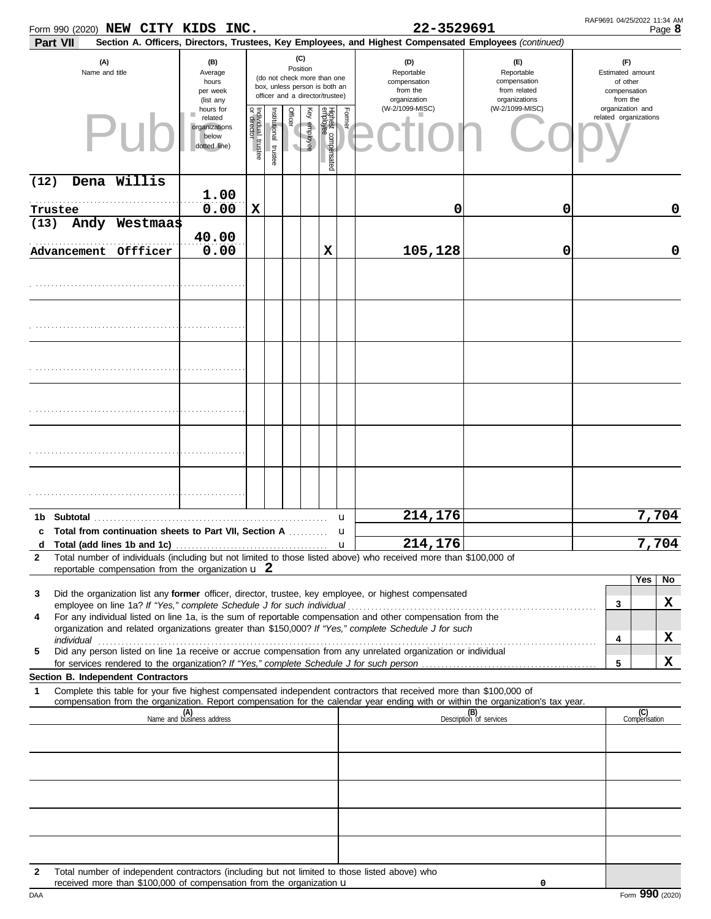| Form 990 (2020) NEW CITY KIDS INC.                                                                                                                                                                                                                                                                                                           |                                                                                                                                                     |                                      |                      |         |                 |                                 |              | 22-3529691                                                                                             |                                                                    | RAF9691 04/25/2022 11:34 AM                                     | Page 8 |
|----------------------------------------------------------------------------------------------------------------------------------------------------------------------------------------------------------------------------------------------------------------------------------------------------------------------------------------------|-----------------------------------------------------------------------------------------------------------------------------------------------------|--------------------------------------|----------------------|---------|-----------------|---------------------------------|--------------|--------------------------------------------------------------------------------------------------------|--------------------------------------------------------------------|-----------------------------------------------------------------|--------|
| Part VII                                                                                                                                                                                                                                                                                                                                     |                                                                                                                                                     |                                      |                      |         |                 |                                 |              | Section A. Officers, Directors, Trustees, Key Employees, and Highest Compensated Employees (continued) |                                                                    |                                                                 |        |
| (A)<br>Name and title                                                                                                                                                                                                                                                                                                                        | (B)<br>Average<br>(do not check more than one<br>hours<br>box, unless person is both an<br>per week<br>officer and a director/trustee)<br>(list any |                                      |                      |         | (C)<br>Position |                                 |              | (D)<br>Reportable<br>compensation<br>from the<br>organization                                          | (F)<br>Reportable<br>compensation<br>from related<br>organizations | (F)<br>Estimated amount<br>of other<br>compensation<br>from the |        |
|                                                                                                                                                                                                                                                                                                                                              | hours for<br>related<br>organizations<br>below<br>dotted line)                                                                                      | Individual<br>or director<br>trustee | nstitutional trustee | Officer | Ķey<br>employee | Highest compensated<br>amployee | Former       | (W-2/1099-MISC)                                                                                        | (W-2/1099-MISC)                                                    | organization and<br>related organizations                       |        |
| Dena Willis<br>(12)                                                                                                                                                                                                                                                                                                                          |                                                                                                                                                     |                                      |                      |         |                 |                                 |              |                                                                                                        |                                                                    |                                                                 |        |
| Trustee                                                                                                                                                                                                                                                                                                                                      | 1.00<br>0.00                                                                                                                                        | X                                    |                      |         |                 |                                 |              | 0                                                                                                      | 0                                                                  |                                                                 | 0      |
| Andy Westmaas<br>(13)                                                                                                                                                                                                                                                                                                                        |                                                                                                                                                     |                                      |                      |         |                 |                                 |              |                                                                                                        |                                                                    |                                                                 |        |
| Advancement Offficer                                                                                                                                                                                                                                                                                                                         | 40.00<br>0.00                                                                                                                                       |                                      |                      |         |                 | X                               |              | 105,128                                                                                                | 0                                                                  |                                                                 | 0      |
|                                                                                                                                                                                                                                                                                                                                              |                                                                                                                                                     |                                      |                      |         |                 |                                 |              |                                                                                                        |                                                                    |                                                                 |        |
|                                                                                                                                                                                                                                                                                                                                              |                                                                                                                                                     |                                      |                      |         |                 |                                 |              |                                                                                                        |                                                                    |                                                                 |        |
|                                                                                                                                                                                                                                                                                                                                              |                                                                                                                                                     |                                      |                      |         |                 |                                 |              |                                                                                                        |                                                                    |                                                                 |        |
|                                                                                                                                                                                                                                                                                                                                              |                                                                                                                                                     |                                      |                      |         |                 |                                 |              |                                                                                                        |                                                                    |                                                                 |        |
|                                                                                                                                                                                                                                                                                                                                              |                                                                                                                                                     |                                      |                      |         |                 |                                 |              |                                                                                                        |                                                                    |                                                                 |        |
|                                                                                                                                                                                                                                                                                                                                              |                                                                                                                                                     |                                      |                      |         |                 |                                 |              |                                                                                                        |                                                                    |                                                                 |        |
|                                                                                                                                                                                                                                                                                                                                              |                                                                                                                                                     |                                      |                      |         |                 |                                 |              |                                                                                                        |                                                                    |                                                                 |        |
|                                                                                                                                                                                                                                                                                                                                              |                                                                                                                                                     |                                      |                      |         |                 |                                 |              |                                                                                                        |                                                                    |                                                                 |        |
| Subtotal<br>1b.                                                                                                                                                                                                                                                                                                                              |                                                                                                                                                     |                                      |                      |         |                 |                                 | u            | 214,176                                                                                                |                                                                    |                                                                 | 7,704  |
| c Total from continuation sheets to Part VII, Section A                                                                                                                                                                                                                                                                                      |                                                                                                                                                     |                                      |                      |         |                 |                                 | u            |                                                                                                        |                                                                    |                                                                 |        |
| Total (add lines 1b and 1c)<br>d<br>Total number of individuals (including but not limited to those listed above) who received more than \$100,000 of<br>$\mathbf{2}$                                                                                                                                                                        |                                                                                                                                                     |                                      |                      |         |                 |                                 | $\mathbf{u}$ | 214, 176                                                                                               |                                                                    |                                                                 | 7,704  |
| reportable compensation from the organization $\bf{u}$ 2                                                                                                                                                                                                                                                                                     |                                                                                                                                                     |                                      |                      |         |                 |                                 |              |                                                                                                        |                                                                    | Yes                                                             | No     |
| Did the organization list any former officer, director, trustee, key employee, or highest compensated<br>3                                                                                                                                                                                                                                   |                                                                                                                                                     |                                      |                      |         |                 |                                 |              |                                                                                                        |                                                                    | 3                                                               | X      |
| For any individual listed on line 1a, is the sum of reportable compensation and other compensation from the<br>4                                                                                                                                                                                                                             |                                                                                                                                                     |                                      |                      |         |                 |                                 |              |                                                                                                        |                                                                    |                                                                 |        |
| organization and related organizations greater than \$150,000? If "Yes," complete Schedule J for such<br>individual <b>construction in the construction of the construction</b> in the construction of the construction of the construction of the construction of the construction of the construction of the construction of the construct |                                                                                                                                                     |                                      |                      |         |                 |                                 |              |                                                                                                        |                                                                    | 4                                                               | X      |
| Did any person listed on line 1a receive or accrue compensation from any unrelated organization or individual<br>5                                                                                                                                                                                                                           |                                                                                                                                                     |                                      |                      |         |                 |                                 |              |                                                                                                        |                                                                    | 5                                                               | X      |
| Section B. Independent Contractors                                                                                                                                                                                                                                                                                                           |                                                                                                                                                     |                                      |                      |         |                 |                                 |              |                                                                                                        |                                                                    |                                                                 |        |
| Complete this table for your five highest compensated independent contractors that received more than \$100,000 of<br>$\mathbf 1$<br>compensation from the organization. Report compensation for the calendar year ending with or within the organization's tax year.                                                                        |                                                                                                                                                     |                                      |                      |         |                 |                                 |              |                                                                                                        |                                                                    |                                                                 |        |
|                                                                                                                                                                                                                                                                                                                                              | (A)<br>Name and business address                                                                                                                    |                                      |                      |         |                 |                                 |              |                                                                                                        | (B)<br>Description of services                                     | (C)<br>Compensation                                             |        |
|                                                                                                                                                                                                                                                                                                                                              |                                                                                                                                                     |                                      |                      |         |                 |                                 |              |                                                                                                        |                                                                    |                                                                 |        |
|                                                                                                                                                                                                                                                                                                                                              |                                                                                                                                                     |                                      |                      |         |                 |                                 |              |                                                                                                        |                                                                    |                                                                 |        |
|                                                                                                                                                                                                                                                                                                                                              |                                                                                                                                                     |                                      |                      |         |                 |                                 |              |                                                                                                        |                                                                    |                                                                 |        |
|                                                                                                                                                                                                                                                                                                                                              |                                                                                                                                                     |                                      |                      |         |                 |                                 |              |                                                                                                        |                                                                    |                                                                 |        |
|                                                                                                                                                                                                                                                                                                                                              |                                                                                                                                                     |                                      |                      |         |                 |                                 |              |                                                                                                        |                                                                    |                                                                 |        |
| Total number of independent contractors (including but not limited to those listed above) who<br>$\mathbf{2}$<br>received more than \$100,000 of compensation from the organization u                                                                                                                                                        |                                                                                                                                                     |                                      |                      |         |                 |                                 |              |                                                                                                        | 0                                                                  |                                                                 |        |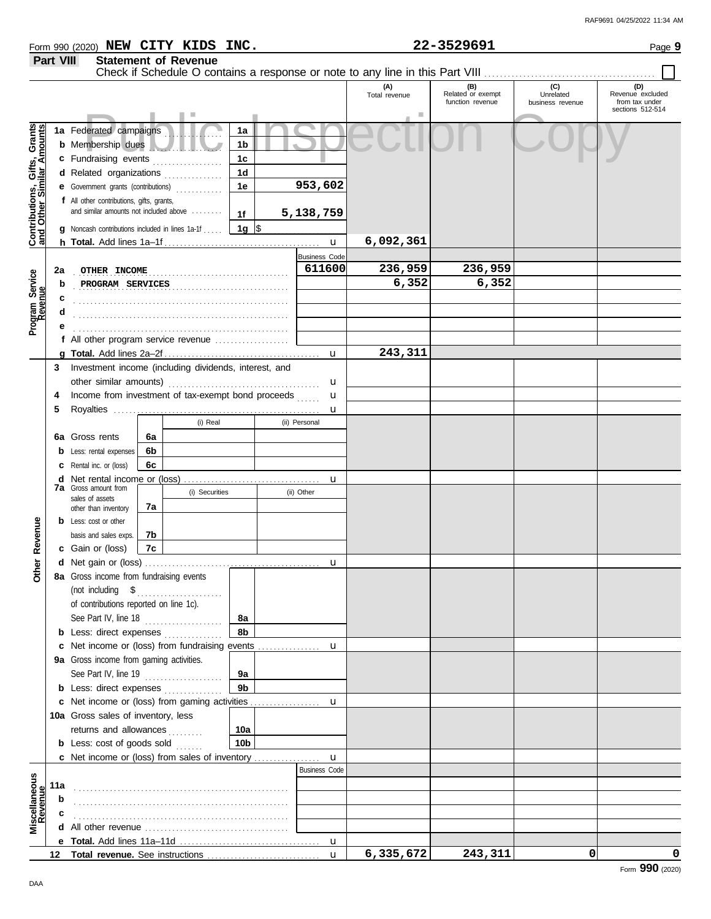|                  | Form 990 (2020) NEW CITY KIDS INC. |  | 22-3529691                                                                                            | Page 9                                                        |
|------------------|------------------------------------|--|-------------------------------------------------------------------------------------------------------|---------------------------------------------------------------|
| <b>Part VIII</b> | <b>Statement of Revenue</b>        |  | Check if Schedule O contains a response or note to any line in this Part VIII                         |                                                               |
|                  |                                    |  | (C)<br>(A)<br>Related or exempt<br>Unrelated<br>Total revenue<br>function revenue<br>business revenue | (D)<br>Revenue excluded<br>from tax under<br>coctions 512-514 |

|                                                           |     |                                                                                                                                                                                                                                     |    |                |                |                                      |           | function revenue | business revenue | from tax under<br>sections 512-514 |
|-----------------------------------------------------------|-----|-------------------------------------------------------------------------------------------------------------------------------------------------------------------------------------------------------------------------------------|----|----------------|----------------|--------------------------------------|-----------|------------------|------------------|------------------------------------|
|                                                           |     |                                                                                                                                                                                                                                     |    |                |                |                                      |           |                  |                  |                                    |
|                                                           |     | 1a Federated campaigns                                                                                                                                                                                                              |    |                | 1a             |                                      |           |                  |                  |                                    |
|                                                           |     | <b>b</b> Membership dues                                                                                                                                                                                                            |    |                | 1b             |                                      |           |                  |                  |                                    |
| Contributions, Gifts, Grants<br>and Other Similar Amounts |     | c Fundraising events                                                                                                                                                                                                                |    |                | 1c             |                                      |           |                  |                  |                                    |
|                                                           |     | d Related organizations                                                                                                                                                                                                             |    |                | 1d             |                                      |           |                  |                  |                                    |
|                                                           |     | <b>e</b> Government grants (contributions)                                                                                                                                                                                          |    |                | 1е             | 953,602                              |           |                  |                  |                                    |
|                                                           |     | f All other contributions, gifts, grants,<br>and similar amounts not included above                                                                                                                                                 |    |                |                |                                      |           |                  |                  |                                    |
|                                                           |     |                                                                                                                                                                                                                                     |    |                | 1f             | 5,138,759                            |           |                  |                  |                                    |
|                                                           |     | <b>g</b> Noncash contributions included in lines 1a-1f                                                                                                                                                                              |    |                | 1g $\sqrt{3}$  |                                      |           |                  |                  |                                    |
|                                                           |     |                                                                                                                                                                                                                                     |    |                |                | $\mathbf u$                          | 6,092,361 |                  |                  |                                    |
|                                                           |     |                                                                                                                                                                                                                                     |    |                |                | <b>Business Code</b>                 |           |                  |                  |                                    |
|                                                           | 2a  | OTHER INCOME                                                                                                                                                                                                                        |    |                |                | 611600                               | 236,959   | 236,959          |                  |                                    |
| Program Service<br>Revenue                                | b   | PROGRAM SERVICES                                                                                                                                                                                                                    |    |                |                |                                      | 6,352     | 6,352            |                  |                                    |
|                                                           |     |                                                                                                                                                                                                                                     |    |                |                |                                      |           |                  |                  |                                    |
|                                                           |     |                                                                                                                                                                                                                                     |    |                |                |                                      |           |                  |                  |                                    |
|                                                           |     |                                                                                                                                                                                                                                     |    |                |                |                                      |           |                  |                  |                                    |
|                                                           |     | f All other program service revenue                                                                                                                                                                                                 |    |                |                |                                      |           |                  |                  |                                    |
|                                                           |     |                                                                                                                                                                                                                                     |    |                |                | $\mathbf u$                          | 243,311   |                  |                  |                                    |
|                                                           | 3   | Investment income (including dividends, interest, and                                                                                                                                                                               |    |                |                |                                      |           |                  |                  |                                    |
|                                                           |     |                                                                                                                                                                                                                                     |    |                |                | u                                    |           |                  |                  |                                    |
|                                                           | 4   | Income from investment of tax-exempt bond proceeds                                                                                                                                                                                  |    |                |                | u                                    |           |                  |                  |                                    |
|                                                           | 5   |                                                                                                                                                                                                                                     |    |                |                | u                                    |           |                  |                  |                                    |
|                                                           |     |                                                                                                                                                                                                                                     |    | (i) Real       |                | (ii) Personal                        |           |                  |                  |                                    |
|                                                           | 6а  | Gross rents                                                                                                                                                                                                                         | 6а |                |                |                                      |           |                  |                  |                                    |
|                                                           |     | Less: rental expenses                                                                                                                                                                                                               | 6b |                |                |                                      |           |                  |                  |                                    |
|                                                           |     | Rental inc. or (loss)                                                                                                                                                                                                               | 6c |                |                |                                      |           |                  |                  |                                    |
|                                                           | d   |                                                                                                                                                                                                                                     |    |                |                | u                                    |           |                  |                  |                                    |
|                                                           |     | <b>7a</b> Gross amount from                                                                                                                                                                                                         |    | (i) Securities |                | (ii) Other                           |           |                  |                  |                                    |
|                                                           |     | sales of assets<br>other than inventory                                                                                                                                                                                             | 7а |                |                |                                      |           |                  |                  |                                    |
|                                                           |     | <b>b</b> Less: cost or other                                                                                                                                                                                                        |    |                |                |                                      |           |                  |                  |                                    |
|                                                           |     | basis and sales exps.                                                                                                                                                                                                               | 7b |                |                |                                      |           |                  |                  |                                    |
| Revenue                                                   |     | c Gain or (loss)                                                                                                                                                                                                                    | 7c |                |                |                                      |           |                  |                  |                                    |
|                                                           |     |                                                                                                                                                                                                                                     |    |                |                | u                                    |           |                  |                  |                                    |
| <b>Other</b>                                              |     | 8a Gross income from fundraising events                                                                                                                                                                                             |    |                |                |                                      |           |                  |                  |                                    |
|                                                           |     | (not including \$                                                                                                                                                                                                                   |    |                |                |                                      |           |                  |                  |                                    |
|                                                           |     | of contributions reported on line 1c).                                                                                                                                                                                              |    |                |                |                                      |           |                  |                  |                                    |
|                                                           |     | See Part IV, line 18                                                                                                                                                                                                                |    |                | 8a             |                                      |           |                  |                  |                                    |
|                                                           | b   | Less: direct expenses                                                                                                                                                                                                               |    | .              | 8b             |                                      |           |                  |                  |                                    |
|                                                           | c   | Net income or (loss) from fundraising events                                                                                                                                                                                        |    |                |                | u                                    |           |                  |                  |                                    |
|                                                           |     | 9a Gross income from gaming activities.                                                                                                                                                                                             |    |                |                |                                      |           |                  |                  |                                    |
|                                                           |     | See Part IV, line 19                                                                                                                                                                                                                |    |                | 9a             |                                      |           |                  |                  |                                    |
|                                                           |     | <b>b</b> Less: direct expenses                                                                                                                                                                                                      |    | .              | 9 <sub>b</sub> |                                      |           |                  |                  |                                    |
|                                                           |     | c Net income or (loss) from gaming activities                                                                                                                                                                                       |    |                |                |                                      |           |                  |                  |                                    |
|                                                           |     |                                                                                                                                                                                                                                     |    |                |                | u                                    |           |                  |                  |                                    |
|                                                           |     | 10a Gross sales of inventory, less                                                                                                                                                                                                  |    |                |                |                                      |           |                  |                  |                                    |
|                                                           |     | returns and allowances                                                                                                                                                                                                              |    |                | 10a            |                                      |           |                  |                  |                                    |
|                                                           |     | <b>b</b> Less: cost of goods sold                                                                                                                                                                                                   |    |                | 10b            |                                      |           |                  |                  |                                    |
|                                                           |     | <b>c</b> Net income or (loss) from sales of inventory                                                                                                                                                                               |    |                |                | $\mathbf{u}$<br><b>Business Code</b> |           |                  |                  |                                    |
|                                                           |     |                                                                                                                                                                                                                                     |    |                |                |                                      |           |                  |                  |                                    |
| Miscellaneous<br>Revenue                                  | 11a |                                                                                                                                                                                                                                     |    |                |                |                                      |           |                  |                  |                                    |
|                                                           | b   |                                                                                                                                                                                                                                     |    |                |                |                                      |           |                  |                  |                                    |
|                                                           |     |                                                                                                                                                                                                                                     |    |                |                |                                      |           |                  |                  |                                    |
|                                                           | d   | All other revenue <i>containal</i> contained a state of the state of the state of the state of the state of the state of the state of the state of the state of the state of the state of the state of the state of the state of th |    |                |                |                                      |           |                  |                  |                                    |
|                                                           |     |                                                                                                                                                                                                                                     |    |                |                | $\mathbf u$                          |           |                  |                  |                                    |
|                                                           | 12  |                                                                                                                                                                                                                                     |    |                |                | $\mathbf{u}$                         | 6,335,672 | 243,311          | 0                | 0                                  |
|                                                           |     |                                                                                                                                                                                                                                     |    |                |                |                                      |           |                  |                  | Form 990 (2020)                    |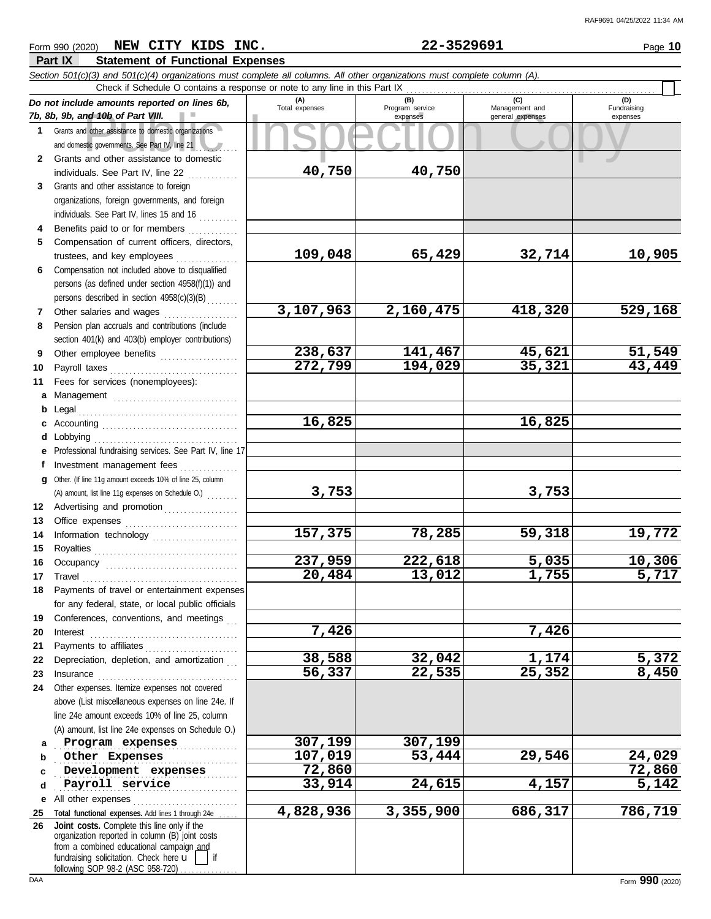## **Part IX Statement of Functional Expenses** *Section 501(c)(3) and 501(c)(4) organizations must complete all columns. All other organizations must complete column (A). Do not include amounts reported on lines 6b, 7b, 8b, 9b, and 10b of Part VIII.* **1 2 3 4 5** Grants and other assistance to domestic organizations and domestic governments. See Part IV, line 21 . . . . *. . . .* . . . Grants and other assistance to domestic individuals. See Part IV, line 22  $\ldots$ ......... Grants and other assistance to foreign organizations, foreign governments, and foreign individuals. See Part IV, lines 15 and 16  $\ldots$ Benefits paid to or for members ............. Compensation of current officers, directors,

**6** Compensation not included above to disqualified persons (as defined under section 4958(f)(1)) and persons described in section 4958(c)(3)(B)

- **7 8** Pension plan accruals and contributions (include section 401(k) and 403(b) employer contributions)
- **9 10**
- **11 a** Management
- **b** Legal **c d e**
- **f g 12 13 14** Other. (If line 11g amount exceeds 10% of line 25, column (A) amount, list line 11g expenses on Schedule O.)
- **15 16 17 18 19 20**  $\mathsf T$ In
- **21 22 23 24** Other expenses. Itemize expenses not covered
	- **a** line 24e amount exceeds 10% of line 25, column
- **b c d** . . . . . . . . . . . . . . . . . . . . . . . . . . . . . . . . . . . . . . . . . . . . . . . . . . . . . . . . . . . . . . . . . . . . . . . . . . . . . . . . . . . . . . . . . . . . . . . . . . . . . . . . . . . . . . . . . . . . . . . . . . . . . . . . . . . . . . . . . . . . .
- **e 25 26** All other expenses . . . . . . . . . . . . . . . . . . . . . . . . . . . Total functional expenses. Add lines 1 through 24e fundraising solicitation. Check here  $\mathbf{u}$  | if organization reported in column (B) joint costs from a combined educational campaign and following SOP 98-2 (ASC 958-720) **Joint costs.** Complete this line only if the

Form 990 (2020) Page **10 NEW CITY KIDS INC. 22-3529691**

**4,828,936 3,355,900 686,317 786,719**

| n 501(c)(3) and 501(c)(4) organizations must complete all columns. All other organizations must complete column (A).<br>Check if Schedule O contains a response or note to any line in this Part IX |                       |                                    |                                           |                                |
|-----------------------------------------------------------------------------------------------------------------------------------------------------------------------------------------------------|-----------------------|------------------------------------|-------------------------------------------|--------------------------------|
| ot include amounts reported on lines 6b,<br>, 9b, and 10b of Part VIII.                                                                                                                             | (A)<br>Total expenses | (B)<br>Program service<br>expenses | (C)<br>Management and<br>general expenses | (D)<br>Fundraising<br>expenses |
| Grants and other assistance to domestic organizations<br>and domestic governments. See Part IV, line 21                                                                                             |                       |                                    |                                           |                                |
| Grants and other assistance to domestic                                                                                                                                                             |                       |                                    |                                           |                                |
| individuals. See Part IV, line 22                                                                                                                                                                   | 40,750                | 40,750                             |                                           |                                |
| Grants and other assistance to foreign                                                                                                                                                              |                       |                                    |                                           |                                |
| organizations, foreign governments, and foreign                                                                                                                                                     |                       |                                    |                                           |                                |
| individuals. See Part IV, lines 15 and 16                                                                                                                                                           |                       |                                    |                                           |                                |
| Benefits paid to or for members                                                                                                                                                                     |                       |                                    |                                           |                                |
| Compensation of current officers, directors,                                                                                                                                                        |                       |                                    |                                           |                                |
| trustees, and key employees                                                                                                                                                                         | 109,048               | 65,429                             | 32,714                                    | 10,905                         |
| Compensation not included above to disqualified                                                                                                                                                     |                       |                                    |                                           |                                |
| persons (as defined under section 4958(f)(1)) and                                                                                                                                                   |                       |                                    |                                           |                                |
| persons described in section 4958(c)(3)(B)                                                                                                                                                          |                       |                                    |                                           |                                |
| Other salaries and wages<br>.                                                                                                                                                                       | 3,107,963             | 2,160,475                          | 418,320                                   | 529,168                        |
| Pension plan accruals and contributions (include                                                                                                                                                    |                       |                                    |                                           |                                |
| section 401(k) and 403(b) employer contributions)                                                                                                                                                   |                       |                                    |                                           |                                |
| Other employee benefits <b>contained</b> and the employee benefits <b>contained</b> and the employee                                                                                                | 238,637               | 141,467                            | 45,621                                    | 51,549                         |
| Payroll taxes                                                                                                                                                                                       | 272,799               | 194,029                            | 35,321                                    | 43,449                         |
| Fees for services (nonemployees):                                                                                                                                                                   |                       |                                    |                                           |                                |
| Management                                                                                                                                                                                          |                       |                                    |                                           |                                |
| Legal                                                                                                                                                                                               |                       |                                    |                                           |                                |
|                                                                                                                                                                                                     | 16,825                |                                    | 16,825                                    |                                |
|                                                                                                                                                                                                     |                       |                                    |                                           |                                |
| Professional fundraising services. See Part IV, line 17                                                                                                                                             |                       |                                    |                                           |                                |
| Investment management fees                                                                                                                                                                          |                       |                                    |                                           |                                |
| Other. (If line 11g amount exceeds 10% of line 25, column                                                                                                                                           |                       |                                    |                                           |                                |
| (A) amount, list line 11g expenses on Schedule O.)                                                                                                                                                  | 3,753                 |                                    | 3,753                                     |                                |
| Advertising and promotion <b>container and the Advertising</b>                                                                                                                                      |                       |                                    |                                           |                                |
|                                                                                                                                                                                                     |                       |                                    |                                           |                                |
| Information technology                                                                                                                                                                              | 157,375               | 78,285                             | 59,318                                    | 19,772                         |
|                                                                                                                                                                                                     |                       |                                    |                                           |                                |
|                                                                                                                                                                                                     | 237,959               | 222,618                            | 5,035                                     | 10,306                         |
|                                                                                                                                                                                                     | 20,484                | 13,012                             | 1,755                                     | 5,717                          |
| Payments of travel or entertainment expenses                                                                                                                                                        |                       |                                    |                                           |                                |
| for any federal, state, or local public officials                                                                                                                                                   |                       |                                    |                                           |                                |
| Conferences, conventions, and meetings                                                                                                                                                              |                       |                                    |                                           |                                |
| Interest                                                                                                                                                                                            | 7,426                 |                                    | 7,426                                     |                                |
|                                                                                                                                                                                                     |                       |                                    |                                           |                                |
| Depreciation, depletion, and amortization                                                                                                                                                           | 38,588                | 32,042                             | <u>1,174</u>                              | <u>5,372</u>                   |
| Insurance                                                                                                                                                                                           | 56,337                | 22,535                             | 25,352                                    | 8,450                          |
| Other expenses. Itemize expenses not covered                                                                                                                                                        |                       |                                    |                                           |                                |
| above (List miscellaneous expenses on line 24e. If                                                                                                                                                  |                       |                                    |                                           |                                |
| line 24e amount exceeds 10% of line 25, column                                                                                                                                                      |                       |                                    |                                           |                                |
| (A) amount, list line 24e expenses on Schedule O.)                                                                                                                                                  |                       |                                    |                                           |                                |
| Program expenses                                                                                                                                                                                    | 307,199               | 307,199                            |                                           |                                |
| Other Expenses                                                                                                                                                                                      | 107,019               | 53,444                             | 29,546                                    | 24,029                         |
| Development expenses                                                                                                                                                                                | 72,860                |                                    |                                           | 72,860                         |
| Payroll service                                                                                                                                                                                     | 33,914                | 24,615                             | 4,157                                     | 5,142                          |
| All other expenses                                                                                                                                                                                  |                       |                                    |                                           |                                |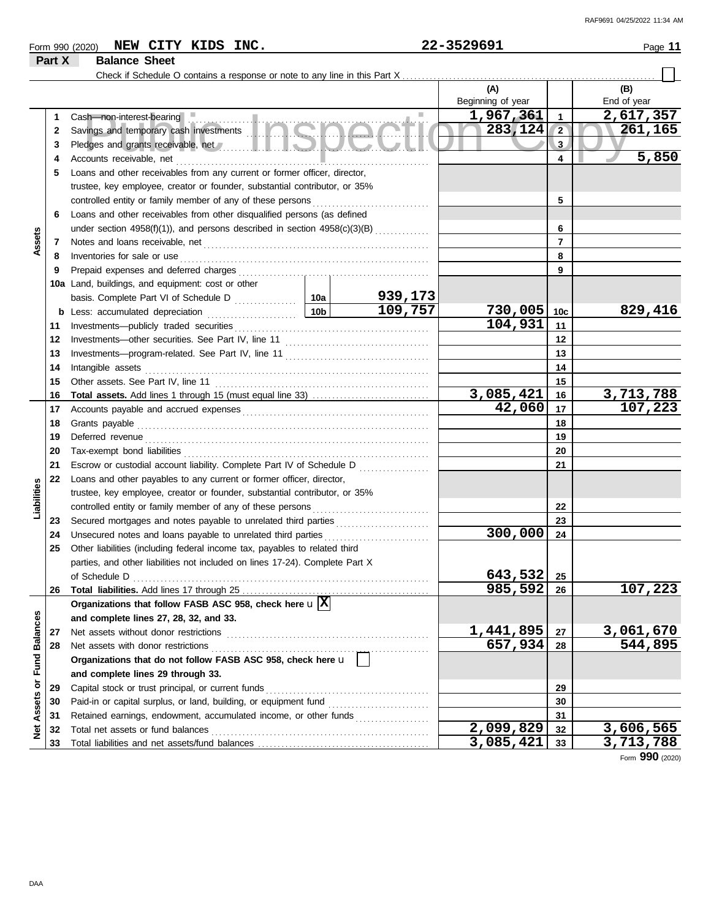|  | $\overline{\phantom{0}}$<br>(2020)<br>Form 990 | <b>KIDS</b><br><b>CITY</b><br><b>NEW</b> | INC. | 3529691<br>ົ<br>$\ldots$ | Page |
|--|------------------------------------------------|------------------------------------------|------|--------------------------|------|
|--|------------------------------------------------|------------------------------------------|------|--------------------------|------|

## **Part X Balance Sheet**

Check if Schedule O contains a response or note to any line in this Part X ..

|                      |    |                                                                                                                                                                                                                                      |                 |         | (A)               |                | (B)             |
|----------------------|----|--------------------------------------------------------------------------------------------------------------------------------------------------------------------------------------------------------------------------------------|-----------------|---------|-------------------|----------------|-----------------|
|                      |    |                                                                                                                                                                                                                                      |                 |         | Beginning of year |                | End of year     |
|                      | 1  | Cash—non-interest-bearing ■                                                                                                                                                                                                          |                 |         | 1,967,361         | 1              | 2,617,357       |
|                      | 2  |                                                                                                                                                                                                                                      |                 |         | 283,124           | $\overline{2}$ | 261,165         |
|                      | З  | Pledges and grants receivable, net with a state of the state of the state of the state of the state of the state of                                                                                                                  |                 |         |                   | 3              |                 |
|                      | 4  | Accounts receivable, net                                                                                                                                                                                                             |                 |         | 4                 | 5,850          |                 |
|                      | 5  | Loans and other receivables from any current or former officer, director,                                                                                                                                                            |                 |         |                   |                |                 |
|                      |    | trustee, key employee, creator or founder, substantial contributor, or 35%                                                                                                                                                           |                 |         |                   |                |                 |
|                      |    | controlled entity or family member of any of these persons                                                                                                                                                                           |                 | 5       |                   |                |                 |
|                      | 6  | Loans and other receivables from other disqualified persons (as defined                                                                                                                                                              |                 |         |                   |                |                 |
|                      |    |                                                                                                                                                                                                                                      |                 |         |                   | 6              |                 |
| Assets               | 7  |                                                                                                                                                                                                                                      |                 |         |                   | $\overline{7}$ |                 |
|                      | 8  | Inventories for sale or use                                                                                                                                                                                                          |                 |         |                   | 8              |                 |
|                      | 9  |                                                                                                                                                                                                                                      |                 |         |                   | 9              |                 |
|                      |    | 10a Land, buildings, and equipment: cost or other                                                                                                                                                                                    |                 |         |                   |                |                 |
|                      |    |                                                                                                                                                                                                                                      |                 | 939,173 |                   |                |                 |
|                      |    | <b>b</b> Less: accumulated depreciation                                                                                                                                                                                              | 10 <sub>b</sub> | 109,757 | $730,005$ 10c     |                | 829,416         |
|                      | 11 | Investments-publicly traded securities                                                                                                                                                                                               |                 |         | 104,931           | 11             |                 |
|                      | 12 |                                                                                                                                                                                                                                      |                 |         |                   | 12             |                 |
|                      | 13 |                                                                                                                                                                                                                                      |                 |         |                   | 13             |                 |
|                      | 14 | Intangible assets                                                                                                                                                                                                                    |                 |         |                   | 14             |                 |
|                      | 15 |                                                                                                                                                                                                                                      |                 |         |                   | 15             |                 |
|                      | 16 |                                                                                                                                                                                                                                      |                 |         | 3,085,421         | 16             | 3,713,788       |
|                      | 17 |                                                                                                                                                                                                                                      |                 |         | 42,060            | 17             | 107,223         |
|                      | 18 | Grants payable                                                                                                                                                                                                                       |                 | 18      |                   |                |                 |
|                      | 19 | Deferred revenue <b>contract and the contract of the contract of the contract of the contract of the contract of the contract of the contract of the contract of the contract of the contract of the contract of the contract of</b> |                 |         |                   | 19             |                 |
|                      | 20 | Tax-exempt bond liabilities                                                                                                                                                                                                          |                 |         |                   | 20             |                 |
|                      | 21 | Escrow or custodial account liability. Complete Part IV of Schedule D                                                                                                                                                                | .               |         | 21                |                |                 |
|                      | 22 | Loans and other payables to any current or former officer, director,                                                                                                                                                                 |                 |         |                   |                |                 |
|                      |    | trustee, key employee, creator or founder, substantial contributor, or 35%                                                                                                                                                           |                 |         |                   |                |                 |
| Liabilities          |    | controlled entity or family member of any of these persons                                                                                                                                                                           |                 |         |                   | 22             |                 |
|                      | 23 | Secured mortgages and notes payable to unrelated third parties                                                                                                                                                                       |                 |         |                   | 23             |                 |
|                      | 24 | Unsecured notes and loans payable to unrelated third parties                                                                                                                                                                         |                 |         | 300,000           | 24             |                 |
|                      | 25 | Other liabilities (including federal income tax, payables to related third                                                                                                                                                           |                 |         |                   |                |                 |
|                      |    | parties, and other liabilities not included on lines 17-24). Complete Part X                                                                                                                                                         |                 |         |                   |                |                 |
|                      |    | of Schedule D                                                                                                                                                                                                                        |                 |         | 643,532           | 25             |                 |
|                      | 26 |                                                                                                                                                                                                                                      |                 |         | 985,592           | 26             | 107,223         |
|                      |    | Organizations that follow FASB ASC 958, check here $\mathbf{u} \mathbf{X} $                                                                                                                                                          |                 |         |                   |                |                 |
|                      |    | and complete lines 27, 28, 32, and 33.                                                                                                                                                                                               |                 |         |                   |                |                 |
|                      | 27 | Net assets without donor restrictions                                                                                                                                                                                                |                 |         | 1,441,895         | 27             | 3,061,670       |
| <b>Fund Balances</b> | 28 | Net assets with donor restrictions                                                                                                                                                                                                   |                 |         | 657,934           | 28             | 544,895         |
|                      |    | Organizations that do not follow FASB ASC 958, check here u                                                                                                                                                                          |                 |         |                   |                |                 |
|                      |    | and complete lines 29 through 33.                                                                                                                                                                                                    |                 |         |                   |                |                 |
|                      | 29 | Capital stock or trust principal, or current funds                                                                                                                                                                                   |                 | 29      |                   |                |                 |
|                      | 30 |                                                                                                                                                                                                                                      |                 |         |                   | 30             |                 |
| Assets or            | 31 | Retained earnings, endowment, accumulated income, or other funds                                                                                                                                                                     |                 |         |                   | 31             |                 |
| ğ                    | 32 |                                                                                                                                                                                                                                      |                 |         | 2,099,829         | 32             | 3,606,565       |
|                      | 33 |                                                                                                                                                                                                                                      |                 |         | 3,085,421         | 33             | 3,713,788       |
|                      |    |                                                                                                                                                                                                                                      |                 |         |                   |                | Form 990 (2020) |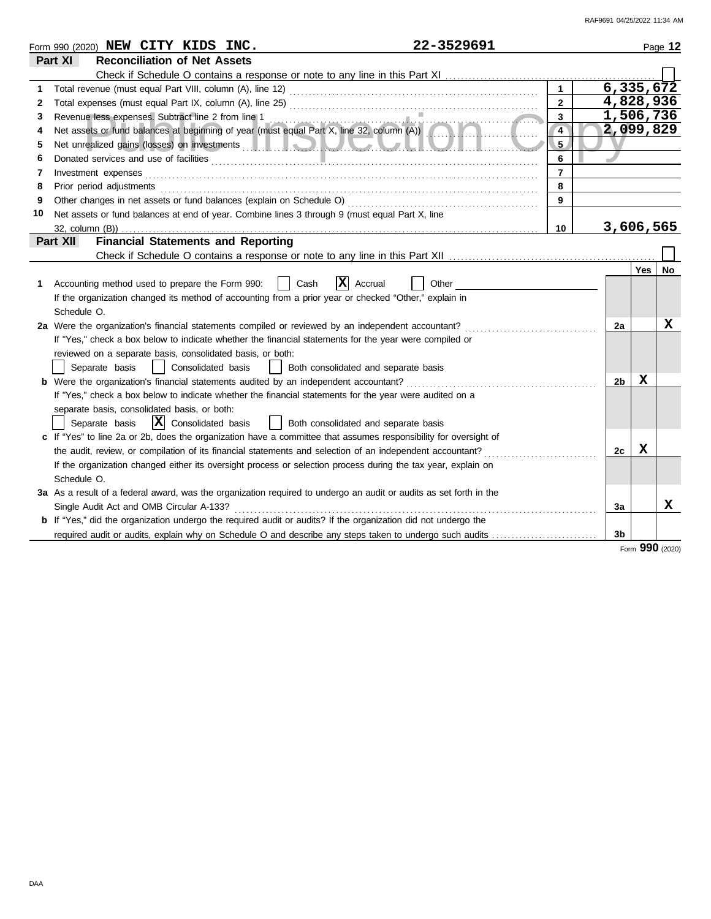|    | 22-3529691<br>Form 990 (2020) NEW CITY KIDS INC.                                                                                                                                                                                    |                |    |         | Page 12   |
|----|-------------------------------------------------------------------------------------------------------------------------------------------------------------------------------------------------------------------------------------|----------------|----|---------|-----------|
|    | Part XI<br><b>Reconciliation of Net Assets</b>                                                                                                                                                                                      |                |    |         |           |
|    |                                                                                                                                                                                                                                     |                |    |         |           |
|    |                                                                                                                                                                                                                                     | $\overline{1}$ |    |         | 6,335,672 |
| 2  |                                                                                                                                                                                                                                     | $\overline{2}$ |    |         | 4,828,936 |
| 3  |                                                                                                                                                                                                                                     | 3              |    |         | 1,506,736 |
| 4  | Revenue less expenses. Subtract line 2 from line 1<br>Net assets or fund balances at beginning of year (must equal Part X, line 32, column (A))                                                                                     | $\overline{4}$ |    |         | 2,099,829 |
| 5  |                                                                                                                                                                                                                                     | 5              |    |         |           |
| 6  | Donated services and use of facilities <b>constructs</b> and the service of the service of the service of the service of the service of the service of the service of the service of the service of the service of the service of t | 6              |    |         |           |
| 7  | Investment expenses                                                                                                                                                                                                                 | $\overline{7}$ |    |         |           |
| 8  | Prior period adjustments                                                                                                                                                                                                            | 8              |    |         |           |
| 9  | Other changes in net assets or fund balances (explain on Schedule O)                                                                                                                                                                | 9              |    |         |           |
| 10 | Net assets or fund balances at end of year. Combine lines 3 through 9 (must equal Part X, line                                                                                                                                      |                |    |         |           |
|    | $32$ , column $(B)$ )                                                                                                                                                                                                               | 10             |    |         | 3,606,565 |
|    | <b>Financial Statements and Reporting</b><br>Part XII                                                                                                                                                                               |                |    |         |           |
|    |                                                                                                                                                                                                                                     |                |    |         |           |
|    |                                                                                                                                                                                                                                     |                |    | Yes     | No        |
| 1. | $\vert \mathbf{x} \vert$<br>Cash<br>Accounting method used to prepare the Form 990:<br>Accrual<br>Other                                                                                                                             |                |    |         |           |
|    | If the organization changed its method of accounting from a prior year or checked "Other," explain in                                                                                                                               |                |    |         |           |
|    | Schedule O.                                                                                                                                                                                                                         |                |    |         |           |
|    | 2a Were the organization's financial statements compiled or reviewed by an independent accountant?                                                                                                                                  |                | 2a |         | х         |
|    | If "Yes," check a box below to indicate whether the financial statements for the year were compiled or                                                                                                                              |                |    |         |           |
|    | reviewed on a separate basis, consolidated basis, or both:                                                                                                                                                                          |                |    |         |           |
|    | Consolidated basis<br>Both consolidated and separate basis<br>Separate basis<br>$\perp$                                                                                                                                             |                |    |         |           |
|    | <b>b</b> Were the organization's financial statements audited by an independent accountant?                                                                                                                                         |                |    | x<br>2b |           |
|    | If "Yes," check a box below to indicate whether the financial statements for the year were audited on a                                                                                                                             |                |    |         |           |
|    | separate basis, consolidated basis, or both:                                                                                                                                                                                        |                |    |         |           |
|    | $ \mathbf{X} $ Consolidated basis<br>Separate basis<br>  Both consolidated and separate basis                                                                                                                                       |                |    |         |           |
|    | c If "Yes" to line 2a or 2b, does the organization have a committee that assumes responsibility for oversight of                                                                                                                    |                |    |         |           |
|    | the audit, review, or compilation of its financial statements and selection of an independent accountant?                                                                                                                           |                |    | X<br>2c |           |
|    | If the organization changed either its oversight process or selection process during the tax year, explain on                                                                                                                       |                |    |         |           |
|    | Schedule O.                                                                                                                                                                                                                         |                |    |         |           |
|    | 3a As a result of a federal award, was the organization required to undergo an audit or audits as set forth in the                                                                                                                  |                |    |         |           |
|    | Single Audit Act and OMB Circular A-133?                                                                                                                                                                                            |                | 3a |         | X         |
|    | <b>b</b> If "Yes," did the organization undergo the required audit or audits? If the organization did not undergo the                                                                                                               |                |    |         |           |
|    | required audit or audits, explain why on Schedule O and describe any steps taken to undergo such audits                                                                                                                             |                | 3b |         |           |

Form **990** (2020)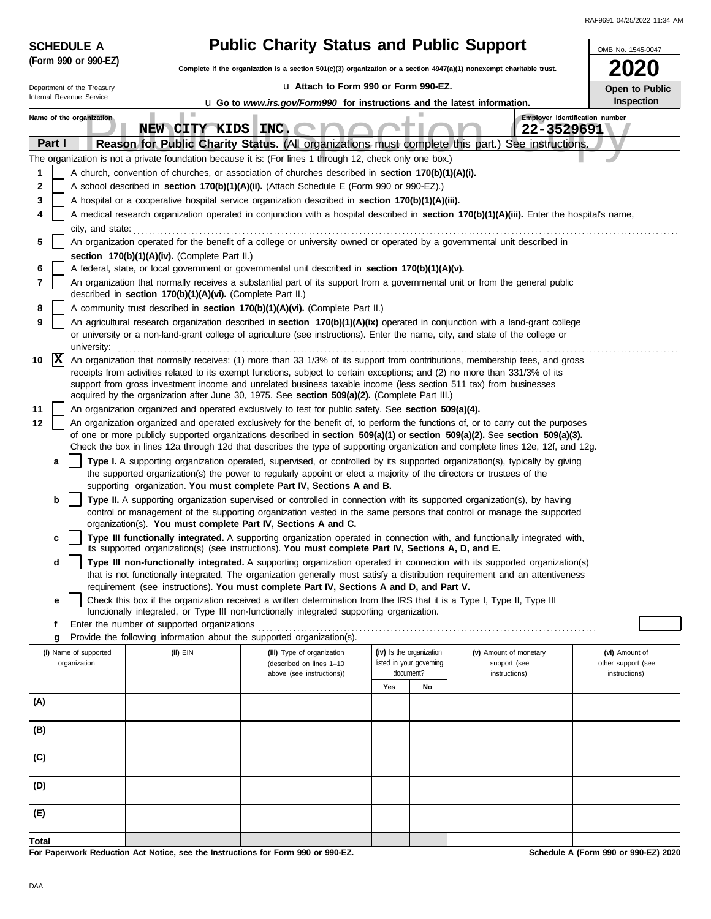| <b>SCHEDULE A</b>                     |                                                            | <b>Public Charity Status and Public Support</b>                                                                                                                                                                                                                 |                                                      | OMB No. 1545-0047 |                                        |                                      |  |  |  |  |
|---------------------------------------|------------------------------------------------------------|-----------------------------------------------------------------------------------------------------------------------------------------------------------------------------------------------------------------------------------------------------------------|------------------------------------------------------|-------------------|----------------------------------------|--------------------------------------|--|--|--|--|
| (Form 990 or 990-EZ)                  |                                                            | Complete if the organization is a section 501(c)(3) organization or a section 4947(a)(1) nonexempt charitable trust.                                                                                                                                            |                                                      |                   |                                        |                                      |  |  |  |  |
| Department of the Treasury            |                                                            | La Attach to Form 990 or Form 990-EZ.                                                                                                                                                                                                                           |                                                      |                   |                                        | Open to Public                       |  |  |  |  |
| Internal Revenue Service              |                                                            | Inspection<br><b>u</b> Go to www.irs.gov/Form990 for instructions and the latest information.                                                                                                                                                                   |                                                      |                   |                                        |                                      |  |  |  |  |
| Name of the organization              | п<br>NEW CITY KIDS INC.                                    |                                                                                                                                                                                                                                                                 |                                                      |                   | 22-3529691                             | Employer identification number       |  |  |  |  |
| Part I                                |                                                            | Reason for Public Charity Status. (All organizations must complete this part.)                                                                                                                                                                                  |                                                      |                   | See instructions.                      |                                      |  |  |  |  |
|                                       |                                                            | The organization is not a private foundation because it is: (For lines 1 through 12, check only one box.)                                                                                                                                                       |                                                      |                   |                                        |                                      |  |  |  |  |
| 1                                     |                                                            | A church, convention of churches, or association of churches described in section 170(b)(1)(A)(i).                                                                                                                                                              |                                                      |                   |                                        |                                      |  |  |  |  |
| 2                                     |                                                            | A school described in section 170(b)(1)(A)(ii). (Attach Schedule E (Form 990 or 990-EZ).)                                                                                                                                                                       |                                                      |                   |                                        |                                      |  |  |  |  |
| 3                                     |                                                            | A hospital or a cooperative hospital service organization described in section 170(b)(1)(A)(iii).                                                                                                                                                               |                                                      |                   |                                        |                                      |  |  |  |  |
| 4                                     |                                                            | A medical research organization operated in conjunction with a hospital described in section 170(b)(1)(A)(iii). Enter the hospital's name,                                                                                                                      |                                                      |                   |                                        |                                      |  |  |  |  |
| city, and state:<br>5                 |                                                            | An organization operated for the benefit of a college or university owned or operated by a governmental unit described in                                                                                                                                       |                                                      |                   |                                        |                                      |  |  |  |  |
|                                       | section 170(b)(1)(A)(iv). (Complete Part II.)              |                                                                                                                                                                                                                                                                 |                                                      |                   |                                        |                                      |  |  |  |  |
| 6                                     |                                                            | A federal, state, or local government or governmental unit described in section 170(b)(1)(A)(v).                                                                                                                                                                |                                                      |                   |                                        |                                      |  |  |  |  |
| 7                                     | described in section 170(b)(1)(A)(vi). (Complete Part II.) | An organization that normally receives a substantial part of its support from a governmental unit or from the general public                                                                                                                                    |                                                      |                   |                                        |                                      |  |  |  |  |
| 8                                     |                                                            | A community trust described in section 170(b)(1)(A)(vi). (Complete Part II.)                                                                                                                                                                                    |                                                      |                   |                                        |                                      |  |  |  |  |
| 9                                     |                                                            | An agricultural research organization described in section 170(b)(1)(A)(ix) operated in conjunction with a land-grant college<br>or university or a non-land-grant college of agriculture (see instructions). Enter the name, city, and state of the college or |                                                      |                   |                                        |                                      |  |  |  |  |
| university:<br>$ {\bf x} $<br>10      |                                                            | An organization that normally receives: (1) more than 33 1/3% of its support from contributions, membership fees, and gross<br>receipts from activities related to its exempt functions, subject to certain exceptions; and (2) no more than 331/3% of its      |                                                      |                   |                                        |                                      |  |  |  |  |
|                                       |                                                            | support from gross investment income and unrelated business taxable income (less section 511 tax) from businesses<br>acquired by the organization after June 30, 1975. See section 509(a)(2). (Complete Part III.)                                              |                                                      |                   |                                        |                                      |  |  |  |  |
| 11                                    |                                                            | An organization organized and operated exclusively to test for public safety. See section 509(a)(4).                                                                                                                                                            |                                                      |                   |                                        |                                      |  |  |  |  |
| 12                                    |                                                            | An organization organized and operated exclusively for the benefit of, to perform the functions of, or to carry out the purposes<br>of one or more publicly supported organizations described in section 509(a)(1) or section 509(a)(2). See section 509(a)(3). |                                                      |                   |                                        |                                      |  |  |  |  |
|                                       |                                                            | Check the box in lines 12a through 12d that describes the type of supporting organization and complete lines 12e, 12f, and 12g.                                                                                                                                 |                                                      |                   |                                        |                                      |  |  |  |  |
| a                                     |                                                            | Type I. A supporting organization operated, supervised, or controlled by its supported organization(s), typically by giving                                                                                                                                     |                                                      |                   |                                        |                                      |  |  |  |  |
|                                       |                                                            | the supported organization(s) the power to regularly appoint or elect a majority of the directors or trustees of the<br>supporting organization. You must complete Part IV, Sections A and B.                                                                   |                                                      |                   |                                        |                                      |  |  |  |  |
| b                                     |                                                            | Type II. A supporting organization supervised or controlled in connection with its supported organization(s), by having                                                                                                                                         |                                                      |                   |                                        |                                      |  |  |  |  |
|                                       |                                                            | control or management of the supporting organization vested in the same persons that control or manage the supported                                                                                                                                            |                                                      |                   |                                        |                                      |  |  |  |  |
| c                                     |                                                            | organization(s). You must complete Part IV, Sections A and C.<br>Type III functionally integrated. A supporting organization operated in connection with, and functionally integrated with,                                                                     |                                                      |                   |                                        |                                      |  |  |  |  |
| d                                     |                                                            | its supported organization(s) (see instructions). You must complete Part IV, Sections A, D, and E.<br>Type III non-functionally integrated. A supporting organization operated in connection with its supported organization(s)                                 |                                                      |                   |                                        |                                      |  |  |  |  |
|                                       |                                                            | that is not functionally integrated. The organization generally must satisfy a distribution requirement and an attentiveness<br>requirement (see instructions). You must complete Part IV, Sections A and D, and Part V.                                        |                                                      |                   |                                        |                                      |  |  |  |  |
| е                                     |                                                            | Check this box if the organization received a written determination from the IRS that it is a Type I, Type II, Type III                                                                                                                                         |                                                      |                   |                                        |                                      |  |  |  |  |
|                                       |                                                            | functionally integrated, or Type III non-functionally integrated supporting organization.                                                                                                                                                                       |                                                      |                   |                                        |                                      |  |  |  |  |
| f                                     | Enter the number of supported organizations                |                                                                                                                                                                                                                                                                 |                                                      |                   |                                        |                                      |  |  |  |  |
| g                                     |                                                            | Provide the following information about the supported organization(s).                                                                                                                                                                                          |                                                      |                   |                                        |                                      |  |  |  |  |
| (i) Name of supported<br>organization | $(ii)$ EIN                                                 | (iii) Type of organization<br>(described on lines 1-10                                                                                                                                                                                                          | (iv) Is the organization<br>listed in your governing |                   | (v) Amount of monetary<br>support (see | (vi) Amount of<br>other support (see |  |  |  |  |
|                                       |                                                            | above (see instructions))                                                                                                                                                                                                                                       | document?                                            |                   | instructions)                          | instructions)                        |  |  |  |  |
|                                       |                                                            |                                                                                                                                                                                                                                                                 | Yes                                                  | No                |                                        |                                      |  |  |  |  |
| (A)                                   |                                                            |                                                                                                                                                                                                                                                                 |                                                      |                   |                                        |                                      |  |  |  |  |
| (B)                                   |                                                            |                                                                                                                                                                                                                                                                 |                                                      |                   |                                        |                                      |  |  |  |  |
| (C)                                   |                                                            |                                                                                                                                                                                                                                                                 |                                                      |                   |                                        |                                      |  |  |  |  |
| (D)                                   |                                                            |                                                                                                                                                                                                                                                                 |                                                      |                   |                                        |                                      |  |  |  |  |
| (E)                                   |                                                            |                                                                                                                                                                                                                                                                 |                                                      |                   |                                        |                                      |  |  |  |  |
| Total                                 |                                                            |                                                                                                                                                                                                                                                                 |                                                      |                   |                                        |                                      |  |  |  |  |
|                                       |                                                            | For Paperwork Reduction Act Notice, see the Instructions for Form 990 or 990-EZ.                                                                                                                                                                                |                                                      |                   |                                        | Schedule A (Form 990 or 990-EZ) 2020 |  |  |  |  |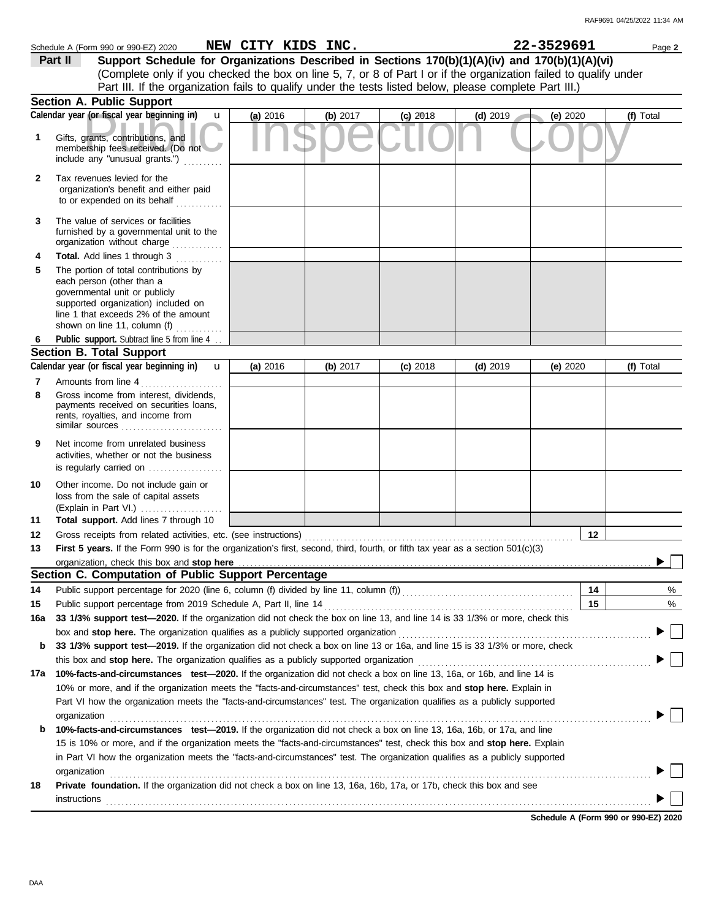|                                                                                                                   | Schedule A (Form 990 or 990-EZ) 2020                                                                                                                                                                               | NEW CITY KIDS INC. |            |            |            | 22-3529691 | Page 2    |  |  |
|-------------------------------------------------------------------------------------------------------------------|--------------------------------------------------------------------------------------------------------------------------------------------------------------------------------------------------------------------|--------------------|------------|------------|------------|------------|-----------|--|--|
|                                                                                                                   | Support Schedule for Organizations Described in Sections 170(b)(1)(A)(iv) and 170(b)(1)(A)(vi)<br>Part II                                                                                                          |                    |            |            |            |            |           |  |  |
| (Complete only if you checked the box on line 5, 7, or 8 of Part I or if the organization failed to qualify under |                                                                                                                                                                                                                    |                    |            |            |            |            |           |  |  |
| Part III. If the organization fails to qualify under the tests listed below, please complete Part III.)           |                                                                                                                                                                                                                    |                    |            |            |            |            |           |  |  |
|                                                                                                                   | Section A. Public Support                                                                                                                                                                                          |                    |            |            |            |            |           |  |  |
|                                                                                                                   | Calendar year (or fiscal year beginning in)<br>$\mathbf{u}$                                                                                                                                                        | (a) 2016           | (b) 2017   | $(c)$ 2018 | $(d)$ 2019 | (e) 2020   | (f) Total |  |  |
| 1                                                                                                                 | Gifts, grants, contributions, and<br>membership fees received. (Do not<br>include any "unusual grants.")                                                                                                           |                    |            |            |            |            |           |  |  |
| 2                                                                                                                 | Tax revenues levied for the<br>organization's benefit and either paid<br>to or expended on its behalf                                                                                                              |                    |            |            |            |            |           |  |  |
| 3                                                                                                                 | The value of services or facilities<br>furnished by a governmental unit to the<br>organization without charge<br>.                                                                                                 |                    |            |            |            |            |           |  |  |
| 4                                                                                                                 | Total. Add lines 1 through 3                                                                                                                                                                                       |                    |            |            |            |            |           |  |  |
| 5                                                                                                                 | The portion of total contributions by<br>each person (other than a<br>governmental unit or publicly<br>supported organization) included on<br>line 1 that exceeds 2% of the amount<br>shown on line 11, column (f) |                    |            |            |            |            |           |  |  |
|                                                                                                                   | Public support. Subtract line 5 from line 4                                                                                                                                                                        |                    |            |            |            |            |           |  |  |
|                                                                                                                   | <b>Section B. Total Support</b>                                                                                                                                                                                    |                    |            |            |            |            |           |  |  |
|                                                                                                                   | Calendar year (or fiscal year beginning in)<br>$\mathbf u$                                                                                                                                                         | (a) 2016           | (b) $2017$ | $(c)$ 2018 | $(d)$ 2019 | (e) 2020   | (f) Total |  |  |
| 7                                                                                                                 | Amounts from line 4                                                                                                                                                                                                |                    |            |            |            |            |           |  |  |
| 8                                                                                                                 | Gross income from interest, dividends,<br>payments received on securities loans,<br>rents, royalties, and income from<br>similar sources                                                                           |                    |            |            |            |            |           |  |  |
| 9                                                                                                                 | Net income from unrelated business<br>activities, whether or not the business<br>is regularly carried on                                                                                                           |                    |            |            |            |            |           |  |  |
| 10                                                                                                                | Other income. Do not include gain or<br>loss from the sale of capital assets<br>(Explain in Part VI.)                                                                                                              |                    |            |            |            |            |           |  |  |
| 11                                                                                                                | Total support. Add lines 7 through 10                                                                                                                                                                              |                    |            |            |            |            |           |  |  |
| 12                                                                                                                | Gross receipts from related activities, etc. (see instructions)                                                                                                                                                    |                    |            |            |            | 12         |           |  |  |
| 13                                                                                                                | First 5 years. If the Form 990 is for the organization's first, second, third, fourth, or fifth tax year as a section 501(c)(3)                                                                                    |                    |            |            |            |            |           |  |  |
|                                                                                                                   |                                                                                                                                                                                                                    |                    |            |            |            |            |           |  |  |
|                                                                                                                   | Section C. Computation of Public Support Percentage                                                                                                                                                                |                    |            |            |            |            |           |  |  |
| 14                                                                                                                |                                                                                                                                                                                                                    |                    |            |            |            | 14         | %         |  |  |
| 15                                                                                                                |                                                                                                                                                                                                                    |                    |            |            |            | 15         | %         |  |  |
| 16a                                                                                                               | 33 1/3% support test-2020. If the organization did not check the box on line 13, and line 14 is 33 1/3% or more, check this                                                                                        |                    |            |            |            |            |           |  |  |
|                                                                                                                   | box and stop here. The organization qualifies as a publicly supported organization                                                                                                                                 |                    |            |            |            |            |           |  |  |
| b                                                                                                                 | 33 1/3% support test-2019. If the organization did not check a box on line 13 or 16a, and line 15 is 33 1/3% or more, check                                                                                        |                    |            |            |            |            |           |  |  |
|                                                                                                                   | this box and stop here. The organization qualifies as a publicly supported organization                                                                                                                            |                    |            |            |            |            |           |  |  |
|                                                                                                                   | 17a 10%-facts-and-circumstances test-2020. If the organization did not check a box on line 13, 16a, or 16b, and line 14 is                                                                                         |                    |            |            |            |            |           |  |  |
|                                                                                                                   | 10% or more, and if the organization meets the "facts-and-circumstances" test, check this box and stop here. Explain in                                                                                            |                    |            |            |            |            |           |  |  |
|                                                                                                                   | Part VI how the organization meets the "facts-and-circumstances" test. The organization qualifies as a publicly supported                                                                                          |                    |            |            |            |            |           |  |  |
|                                                                                                                   | organization                                                                                                                                                                                                       |                    |            |            |            |            |           |  |  |
| b                                                                                                                 | 10%-facts-and-circumstances test-2019. If the organization did not check a box on line 13, 16a, 16b, or 17a, and line                                                                                              |                    |            |            |            |            |           |  |  |
|                                                                                                                   | 15 is 10% or more, and if the organization meets the "facts-and-circumstances" test, check this box and stop here. Explain                                                                                         |                    |            |            |            |            |           |  |  |
|                                                                                                                   | in Part VI how the organization meets the "facts-and-circumstances" test. The organization qualifies as a publicly supported                                                                                       |                    |            |            |            |            |           |  |  |
|                                                                                                                   | organization                                                                                                                                                                                                       |                    |            |            |            |            |           |  |  |
| 18                                                                                                                | Private foundation. If the organization did not check a box on line 13, 16a, 16b, 17a, or 17b, check this box and see<br>instructions                                                                              |                    |            |            |            |            |           |  |  |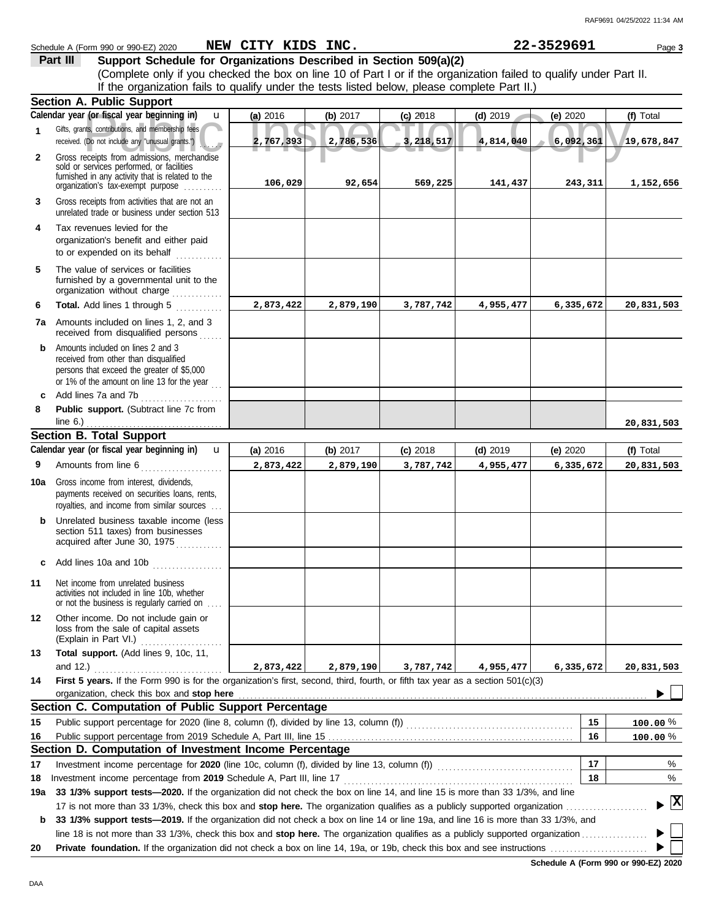**Part III Support Schedule for Organizations Described in Section 509(a)(2)**

|              | (Complete only if you checked the box on line 10 of Part I or if the organization failed to qualify under Part II.<br>If the organization fails to qualify under the tests listed below, please complete Part II.)                                         |           |           |            |            |            |                                    |
|--------------|------------------------------------------------------------------------------------------------------------------------------------------------------------------------------------------------------------------------------------------------------------|-----------|-----------|------------|------------|------------|------------------------------------|
|              | Section A. Public Support                                                                                                                                                                                                                                  |           |           |            |            |            |                                    |
|              | Calendar year (or fiscal year beginning in)<br>$\mathbf{u}$                                                                                                                                                                                                | (a) 2016  | (b) 2017  | $(c)$ 2018 | $(d)$ 2019 | (e) 2020   | (f) Total                          |
| 1            | Gifts, grants, contributions, and membership fees<br>received. (Do not include any "unusual grants.")                                                                                                                                                      | 2,767,393 | 2,786,536 | 3,218,517  | 4,814,040  | 6,092,361  | 19,678,847                         |
| $\mathbf{2}$ | Gross receipts from admissions, merchandise<br>sold or services performed, or facilities<br>furnished in any activity that is related to the<br>organization's fax-exempt purpose                                                                          | 106,029   | 92,654    | 569,225    | 141,437    | 243,311    | 1,152,656                          |
| 3            | Gross receipts from activities that are not an<br>unrelated trade or business under section 513                                                                                                                                                            |           |           |            |            |            |                                    |
| 4            | Tax revenues levied for the<br>organization's benefit and either paid<br>to or expended on its behalf                                                                                                                                                      |           |           |            |            |            |                                    |
| 5            | The value of services or facilities<br>furnished by a governmental unit to the<br>organization without charge<br><u>.</u><br>.                                                                                                                             |           |           |            |            |            |                                    |
| 6            | Total. Add lines 1 through 5                                                                                                                                                                                                                               | 2,873,422 | 2,879,190 | 3,787,742  | 4,955,477  | 6,335,672  | 20,831,503                         |
|              | 7a Amounts included on lines 1, 2, and 3<br>received from disqualified persons<br>.                                                                                                                                                                        |           |           |            |            |            |                                    |
| b            | Amounts included on lines 2 and 3<br>received from other than disqualified<br>persons that exceed the greater of \$5,000<br>or 1% of the amount on line 13 for the year                                                                                    |           |           |            |            |            |                                    |
| C            | Add lines 7a and 7b<br>.                                                                                                                                                                                                                                   |           |           |            |            |            |                                    |
| 8            | Public support. (Subtract line 7c from<br>line $6.$ )                                                                                                                                                                                                      |           |           |            |            |            | 20,831,503                         |
|              | <b>Section B. Total Support</b>                                                                                                                                                                                                                            |           |           |            |            |            |                                    |
|              | Calendar year (or fiscal year beginning in)<br>$\mathbf{u}$                                                                                                                                                                                                | (a) 2016  | (b) 2017  | $(c)$ 2018 | $(d)$ 2019 | (e) $2020$ | (f) Total                          |
| 9            | Amounts from line 6<br>.                                                                                                                                                                                                                                   | 2,873,422 | 2,879,190 | 3,787,742  | 4,955,477  | 6,335,672  | 20,831,503                         |
| 10a          | Gross income from interest, dividends,<br>payments received on securities loans, rents,<br>royalties, and income from similar sources                                                                                                                      |           |           |            |            |            |                                    |
|              | Unrelated business taxable income (less<br>section 511 taxes) from businesses<br>acquired after June 30, 1975                                                                                                                                              |           |           |            |            |            |                                    |
| c            |                                                                                                                                                                                                                                                            |           |           |            |            |            |                                    |
| 11           | Net income from unrelated business<br>activities not included in line 10b, whether<br>or not the business is regularly carried on                                                                                                                          |           |           |            |            |            |                                    |
| 12           | Other income. Do not include gain or<br>loss from the sale of capital assets<br>(Explain in Part VI.)<br>.                                                                                                                                                 |           |           |            |            |            |                                    |
| 13           | Total support. (Add lines 9, 10c, 11,                                                                                                                                                                                                                      |           |           |            |            |            |                                    |
|              | and 12.)                                                                                                                                                                                                                                                   | 2,873,422 | 2,879,190 | 3,787,742  | 4,955,477  | 6,335,672  | 20,831,503                         |
| 14           | First 5 years. If the Form 990 is for the organization's first, second, third, fourth, or fifth tax year as a section 501(c)(3)<br>organization, check this box and stop here                                                                              |           |           |            |            |            |                                    |
|              | Section C. Computation of Public Support Percentage                                                                                                                                                                                                        |           |           |            |            |            |                                    |
| 15           |                                                                                                                                                                                                                                                            |           |           |            |            | 15         | $100.00 \%$                        |
| 16           |                                                                                                                                                                                                                                                            |           |           |            |            | 16         | 100.00%                            |
|              | Section D. Computation of Investment Income Percentage                                                                                                                                                                                                     |           |           |            |            |            |                                    |
| 17           |                                                                                                                                                                                                                                                            |           |           |            |            | 17         | %                                  |
| 18           | Investment income percentage from 2019 Schedule A, Part III, line 17                                                                                                                                                                                       |           |           |            |            | 18         | %                                  |
| 19a          | 33 1/3% support tests—2020. If the organization did not check the box on line 14, and line 15 is more than 33 1/3%, and line<br>17 is not more than 33 1/3%, check this box and stop here. The organization qualifies as a publicly supported organization |           |           |            |            |            | $\blacktriangleright$ $\mathbf{X}$ |
| b            | 33 1/3% support tests-2019. If the organization did not check a box on line 14 or line 19a, and line 16 is more than 33 1/3%, and                                                                                                                          |           |           |            |            |            |                                    |
|              |                                                                                                                                                                                                                                                            |           |           |            |            |            |                                    |
| 20           |                                                                                                                                                                                                                                                            |           |           |            |            |            |                                    |

**20 Private foundation.** If the organization did not check a box on line 14, 19a, or 19b, check this box and see instructions . . . . . . . . . . . . . . . . . . . . . . . . .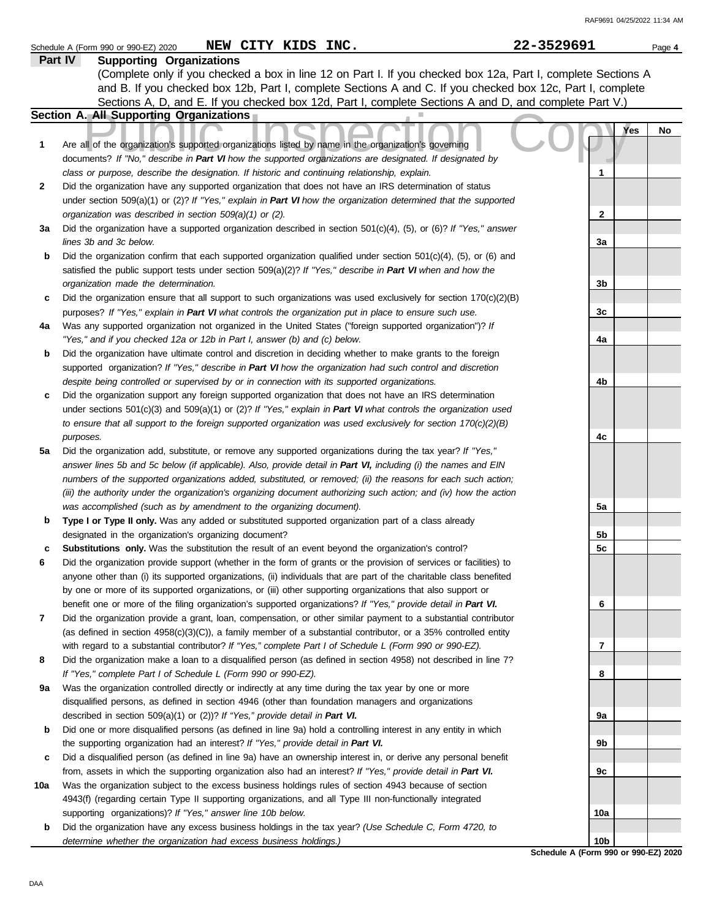|        | NEW CITY KIDS INC.<br>Schedule A (Form 990 or 990-EZ) 2020                                                                                                                                                       | 22-3529691      | Page 4           |
|--------|------------------------------------------------------------------------------------------------------------------------------------------------------------------------------------------------------------------|-----------------|------------------|
|        | <b>Supporting Organizations</b><br>Part IV                                                                                                                                                                       |                 |                  |
|        | (Complete only if you checked a box in line 12 on Part I. If you checked box 12a, Part I, complete Sections A                                                                                                    |                 |                  |
|        | and B. If you checked box 12b, Part I, complete Sections A and C. If you checked box 12c, Part I, complete                                                                                                       |                 |                  |
|        | Sections A, D, and E. If you checked box 12d, Part I, complete Sections A and D, and complete Part V.)                                                                                                           |                 |                  |
|        | Section A. All Supporting Organizations                                                                                                                                                                          |                 |                  |
| 1      | Are all of the organization's supported organizations listed by name in the organization's governing<br>documents? If "No," describe in Part VI how the supported organizations are designated. If designated by |                 | <b>Yes</b><br>No |
|        | class or purpose, describe the designation. If historic and continuing relationship, explain.                                                                                                                    | 1               |                  |
| 2      | Did the organization have any supported organization that does not have an IRS determination of status                                                                                                           |                 |                  |
|        | under section 509(a)(1) or (2)? If "Yes," explain in Part VI how the organization determined that the supported                                                                                                  |                 |                  |
|        | organization was described in section 509(a)(1) or (2).                                                                                                                                                          | 2               |                  |
| За     | Did the organization have a supported organization described in section $501(c)(4)$ , (5), or (6)? If "Yes," answer                                                                                              |                 |                  |
|        | lines 3b and 3c below.                                                                                                                                                                                           | За              |                  |
| b      | Did the organization confirm that each supported organization qualified under section $501(c)(4)$ , $(5)$ , or $(6)$ and                                                                                         |                 |                  |
|        | satisfied the public support tests under section 509(a)(2)? If "Yes," describe in Part VI when and how the                                                                                                       |                 |                  |
|        | organization made the determination.                                                                                                                                                                             | 3b              |                  |
| c      | Did the organization ensure that all support to such organizations was used exclusively for section $170(c)(2)(B)$                                                                                               |                 |                  |
|        | purposes? If "Yes," explain in Part VI what controls the organization put in place to ensure such use.                                                                                                           | 3c              |                  |
| 4a     | Was any supported organization not organized in the United States ("foreign supported organization")? If                                                                                                         |                 |                  |
|        | "Yes," and if you checked 12a or 12b in Part I, answer (b) and (c) below.                                                                                                                                        | 4a              |                  |
| b      | Did the organization have ultimate control and discretion in deciding whether to make grants to the foreign                                                                                                      |                 |                  |
|        | supported organization? If "Yes," describe in Part VI how the organization had such control and discretion                                                                                                       |                 |                  |
|        | despite being controlled or supervised by or in connection with its supported organizations.                                                                                                                     | 4b              |                  |
| c      | Did the organization support any foreign supported organization that does not have an IRS determination                                                                                                          |                 |                  |
|        | under sections $501(c)(3)$ and $509(a)(1)$ or (2)? If "Yes," explain in Part VI what controls the organization used                                                                                              |                 |                  |
|        | to ensure that all support to the foreign supported organization was used exclusively for section $170(c)(2)(B)$                                                                                                 |                 |                  |
|        | purposes.                                                                                                                                                                                                        | 4c              |                  |
| 5a     | Did the organization add, substitute, or remove any supported organizations during the tax year? If "Yes,"                                                                                                       |                 |                  |
|        | answer lines 5b and 5c below (if applicable). Also, provide detail in Part VI, including (i) the names and EIN                                                                                                   |                 |                  |
|        | numbers of the supported organizations added, substituted, or removed; (ii) the reasons for each such action;                                                                                                    |                 |                  |
|        | (iii) the authority under the organization's organizing document authorizing such action; and (iv) how the action                                                                                                |                 |                  |
|        | was accomplished (such as by amendment to the organizing document).                                                                                                                                              | 5a              |                  |
| b      | Type I or Type II only. Was any added or substituted supported organization part of a class already                                                                                                              |                 |                  |
|        | designated in the organization's organizing document?<br>Substitutions only. Was the substitution the result of an event beyond the organization's control?                                                      | 5b<br>5c        |                  |
| c<br>6 | Did the organization provide support (whether in the form of grants or the provision of services or facilities) to                                                                                               |                 |                  |
|        | anyone other than (i) its supported organizations, (ii) individuals that are part of the charitable class benefited                                                                                              |                 |                  |
|        | by one or more of its supported organizations, or (iii) other supporting organizations that also support or                                                                                                      |                 |                  |
|        | benefit one or more of the filing organization's supported organizations? If "Yes," provide detail in Part VI.                                                                                                   | 6               |                  |
| 7      | Did the organization provide a grant, loan, compensation, or other similar payment to a substantial contributor                                                                                                  |                 |                  |
|        | (as defined in section $4958(c)(3)(C)$ ), a family member of a substantial contributor, or a 35% controlled entity                                                                                               |                 |                  |
|        | with regard to a substantial contributor? If "Yes," complete Part I of Schedule L (Form 990 or 990-EZ).                                                                                                          | 7               |                  |
| 8      | Did the organization make a loan to a disqualified person (as defined in section 4958) not described in line 7?                                                                                                  |                 |                  |
|        | If "Yes," complete Part I of Schedule L (Form 990 or 990-EZ).                                                                                                                                                    | 8               |                  |
| 9а     | Was the organization controlled directly or indirectly at any time during the tax year by one or more                                                                                                            |                 |                  |
|        | disqualified persons, as defined in section 4946 (other than foundation managers and organizations                                                                                                               |                 |                  |
|        | described in section 509(a)(1) or (2))? If "Yes," provide detail in Part VI.                                                                                                                                     | 9a              |                  |
| b      | Did one or more disqualified persons (as defined in line 9a) hold a controlling interest in any entity in which                                                                                                  |                 |                  |
|        | the supporting organization had an interest? If "Yes," provide detail in Part VI.                                                                                                                                | 9b              |                  |
| c      | Did a disqualified person (as defined in line 9a) have an ownership interest in, or derive any personal benefit                                                                                                  |                 |                  |
|        | from, assets in which the supporting organization also had an interest? If "Yes," provide detail in Part VI.                                                                                                     | 9c              |                  |
| 10a    | Was the organization subject to the excess business holdings rules of section 4943 because of section                                                                                                            |                 |                  |
|        | 4943(f) (regarding certain Type II supporting organizations, and all Type III non-functionally integrated                                                                                                        |                 |                  |
|        | supporting organizations)? If "Yes," answer line 10b below.                                                                                                                                                      | 10a             |                  |
| b      | Did the organization have any excess business holdings in the tax year? (Use Schedule C, Form 4720, to                                                                                                           |                 |                  |
|        | determine whether the organization had excess business holdings.)                                                                                                                                                | 10 <sub>b</sub> |                  |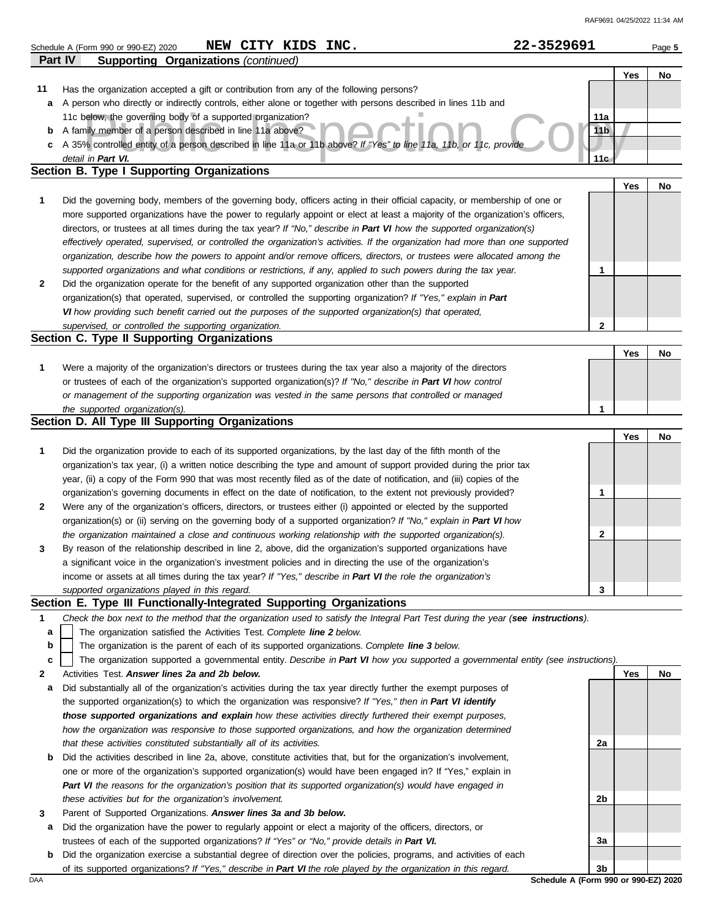|     | Part IV<br><b>Supporting Organizations (continued)</b>                                                                            |                 |            |    |
|-----|-----------------------------------------------------------------------------------------------------------------------------------|-----------------|------------|----|
|     |                                                                                                                                   |                 | Yes        | No |
| 11  | Has the organization accepted a gift or contribution from any of the following persons?                                           |                 |            |    |
| а   | A person who directly or indirectly controls, either alone or together with persons described in lines 11b and                    |                 |            |    |
|     | 11c below, the governing body of a supported organization?                                                                        | 11a             |            |    |
| b   | A family member of a person described in line 11a above?                                                                          | 11 <sub>b</sub> |            |    |
| С   | A 35% controlled entity of a person described in line 11a or 11b above? If "Yes" to line 11a, 11b, or 11c, provide                |                 |            |    |
|     | detail in Part VI.                                                                                                                | 11c             |            |    |
|     | <b>Section B. Type I Supporting Organizations</b>                                                                                 |                 |            |    |
|     |                                                                                                                                   |                 | Yes        | No |
| 1   | Did the governing body, members of the governing body, officers acting in their official capacity, or membership of one or        |                 |            |    |
|     | more supported organizations have the power to regularly appoint or elect at least a majority of the organization's officers,     |                 |            |    |
|     | directors, or trustees at all times during the tax year? If "No," describe in Part VI how the supported organization(s)           |                 |            |    |
|     | effectively operated, supervised, or controlled the organization's activities. If the organization had more than one supported    |                 |            |    |
|     | organization, describe how the powers to appoint and/or remove officers, directors, or trustees were allocated among the          |                 |            |    |
|     | supported organizations and what conditions or restrictions, if any, applied to such powers during the tax year.                  | 1               |            |    |
| 2   | Did the organization operate for the benefit of any supported organization other than the supported                               |                 |            |    |
|     | organization(s) that operated, supervised, or controlled the supporting organization? If "Yes," explain in Part                   |                 |            |    |
|     | VI how providing such benefit carried out the purposes of the supported organization(s) that operated,                            |                 |            |    |
|     | supervised, or controlled the supporting organization.                                                                            | $\mathbf{2}$    |            |    |
|     | Section C. Type II Supporting Organizations                                                                                       |                 |            |    |
|     |                                                                                                                                   |                 | <b>Yes</b> | No |
| 1   | Were a majority of the organization's directors or trustees during the tax year also a majority of the directors                  |                 |            |    |
|     | or trustees of each of the organization's supported organization(s)? If "No," describe in Part VI how control                     |                 |            |    |
|     | or management of the supporting organization was vested in the same persons that controlled or managed                            |                 |            |    |
|     | the supported organization(s).                                                                                                    | 1               |            |    |
|     | Section D. All Type III Supporting Organizations                                                                                  |                 |            |    |
|     |                                                                                                                                   |                 | Yes        | No |
| 1   | Did the organization provide to each of its supported organizations, by the last day of the fifth month of the                    |                 |            |    |
|     | organization's tax year, (i) a written notice describing the type and amount of support provided during the prior tax             |                 |            |    |
|     | year, (ii) a copy of the Form 990 that was most recently filed as of the date of notification, and (iii) copies of the            |                 |            |    |
|     |                                                                                                                                   | 1               |            |    |
|     | organization's governing documents in effect on the date of notification, to the extent not previously provided?                  |                 |            |    |
| 2   | Were any of the organization's officers, directors, or trustees either (i) appointed or elected by the supported                  |                 |            |    |
|     | organization(s) or (ii) serving on the governing body of a supported organization? If "No," explain in Part VI how                |                 |            |    |
|     | the organization maintained a close and continuous working relationship with the supported organization(s).                       | 2               |            |    |
| 3   | By reason of the relationship described in line 2, above, did the organization's supported organizations have                     |                 |            |    |
|     | a significant voice in the organization's investment policies and in directing the use of the organization's                      |                 |            |    |
|     | income or assets at all times during the tax year? If "Yes," describe in Part VI the role the organization's                      |                 |            |    |
|     | supported organizations played in this regard.                                                                                    | 3               |            |    |
|     | Section E. Type III Functionally-Integrated Supporting Organizations                                                              |                 |            |    |
| 1   | Check the box next to the method that the organization used to satisfy the Integral Part Test during the year (see instructions). |                 |            |    |
| a   | The organization satisfied the Activities Test. Complete line 2 below.                                                            |                 |            |    |
| b   | The organization is the parent of each of its supported organizations. Complete line 3 below.                                     |                 |            |    |
| c   | The organization supported a governmental entity. Describe in Part VI how you supported a governmental entity (see instructions). |                 |            |    |
| 2   | Activities Test. Answer lines 2a and 2b below.                                                                                    |                 | Yes        | No |
| a   | Did substantially all of the organization's activities during the tax year directly further the exempt purposes of                |                 |            |    |
|     | the supported organization(s) to which the organization was responsive? If "Yes," then in Part VI identify                        |                 |            |    |
|     | those supported organizations and explain how these activities directly furthered their exempt purposes,                          |                 |            |    |
|     | how the organization was responsive to those supported organizations, and how the organization determined                         |                 |            |    |
|     | that these activities constituted substantially all of its activities.                                                            | 2a              |            |    |
| b   | Did the activities described in line 2a, above, constitute activities that, but for the organization's involvement,               |                 |            |    |
|     | one or more of the organization's supported organization(s) would have been engaged in? If "Yes," explain in                      |                 |            |    |
|     | Part VI the reasons for the organization's position that its supported organization(s) would have engaged in                      |                 |            |    |
|     | these activities but for the organization's involvement.                                                                          | 2b              |            |    |
| 3   | Parent of Supported Organizations. Answer lines 3a and 3b below.                                                                  |                 |            |    |
| а   | Did the organization have the power to regularly appoint or elect a majority of the officers, directors, or                       |                 |            |    |
|     | trustees of each of the supported organizations? If "Yes" or "No," provide details in Part VI.                                    | За              |            |    |
| b   | Did the organization exercise a substantial degree of direction over the policies, programs, and activities of each               |                 |            |    |
|     | of its supported organizations? If "Yes," describe in Part VI the role played by the organization in this regard.                 | 3b              |            |    |
| DAA | Schedule A (Form 990 or 990-EZ) 2020                                                                                              |                 |            |    |

**Schedule A (Form 990 or 990-EZ) 2020 NEW CITY KIDS INC.** 22-3529691 Page 5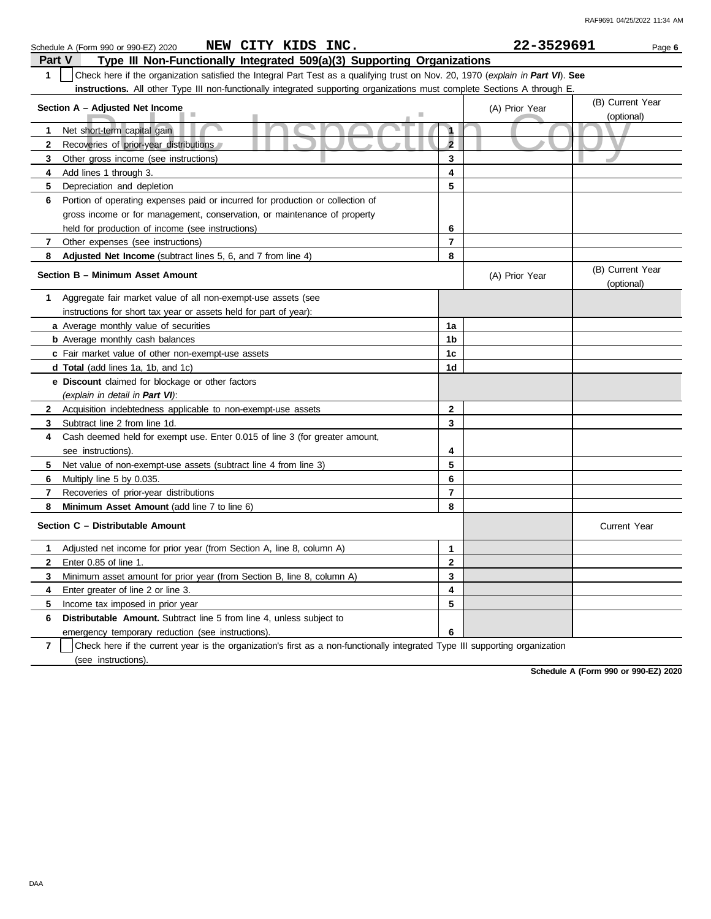|               | NEW CITY KIDS INC.<br>Schedule A (Form 990 or 990-EZ) 2020                                                                       |                | 22-3529691     | Page 6                         |
|---------------|----------------------------------------------------------------------------------------------------------------------------------|----------------|----------------|--------------------------------|
| <b>Part V</b> | Type III Non-Functionally Integrated 509(a)(3) Supporting Organizations                                                          |                |                |                                |
| 1             | Check here if the organization satisfied the Integral Part Test as a qualifying trust on Nov. 20, 1970 (explain in Part VI). See |                |                |                                |
|               | instructions. All other Type III non-functionally integrated supporting organizations must complete Sections A through E.        |                |                |                                |
|               |                                                                                                                                  |                |                | (B) Current Year               |
|               | Section A - Adjusted Net Income                                                                                                  |                | (A) Prior Year | (optional)                     |
| 1             | Net short-term capital gain                                                                                                      | $\mathbf{1}$   |                |                                |
| $\mathbf{2}$  | Recoveries of prior-year distributions                                                                                           | $\overline{2}$ |                |                                |
| 3             | Other gross income (see instructions)                                                                                            | 3              |                |                                |
| 4             | Add lines 1 through 3.                                                                                                           | 4              |                |                                |
| 5             | Depreciation and depletion                                                                                                       | 5              |                |                                |
| 6             | Portion of operating expenses paid or incurred for production or collection of                                                   |                |                |                                |
|               | gross income or for management, conservation, or maintenance of property                                                         |                |                |                                |
|               | held for production of income (see instructions)                                                                                 | 6              |                |                                |
| 7             | Other expenses (see instructions)                                                                                                | $\overline{7}$ |                |                                |
| 8             | Adjusted Net Income (subtract lines 5, 6, and 7 from line 4)                                                                     | 8              |                |                                |
|               | Section B - Minimum Asset Amount                                                                                                 |                | (A) Prior Year | (B) Current Year<br>(optional) |
| 1             | Aggregate fair market value of all non-exempt-use assets (see                                                                    |                |                |                                |
|               | instructions for short tax year or assets held for part of year):                                                                |                |                |                                |
|               | <b>a</b> Average monthly value of securities                                                                                     | 1a             |                |                                |
|               | <b>b</b> Average monthly cash balances                                                                                           | 1b             |                |                                |
|               | c Fair market value of other non-exempt-use assets                                                                               | 1 <sub>c</sub> |                |                                |
|               | <b>d Total</b> (add lines 1a, 1b, and 1c)                                                                                        | 1d             |                |                                |
|               | <b>e</b> Discount claimed for blockage or other factors                                                                          |                |                |                                |
|               | (explain in detail in Part VI):                                                                                                  |                |                |                                |
| $\mathbf{2}$  | Acquisition indebtedness applicable to non-exempt-use assets                                                                     | $\mathbf{2}$   |                |                                |
| 3             | Subtract line 2 from line 1d.                                                                                                    | 3              |                |                                |
| 4             | Cash deemed held for exempt use. Enter 0.015 of line 3 (for greater amount,                                                      |                |                |                                |
|               | see instructions).                                                                                                               | 4              |                |                                |
| 5             | Net value of non-exempt-use assets (subtract line 4 from line 3)                                                                 | 5              |                |                                |
| 6             | Multiply line 5 by 0.035.                                                                                                        | 6              |                |                                |
| 7             | Recoveries of prior-year distributions                                                                                           | $\overline{7}$ |                |                                |
| 8             | Minimum Asset Amount (add line 7 to line 6)                                                                                      | 8              |                |                                |
|               | Section C - Distributable Amount                                                                                                 |                |                | <b>Current Year</b>            |
| $\mathbf{1}$  | Adjusted net income for prior year (from Section A, line 8, column A)                                                            | $\mathbf{1}$   |                |                                |
| $\mathbf{2}$  | Enter 0.85 of line 1.                                                                                                            | $\mathbf{2}$   |                |                                |
| 3             | Minimum asset amount for prior year (from Section B, line 8, column A)                                                           | 3              |                |                                |
| 4             | Enter greater of line 2 or line 3.                                                                                               | 4              |                |                                |
| 5             | Income tax imposed in prior year                                                                                                 | 5              |                |                                |
| 6             | Distributable Amount. Subtract line 5 from line 4, unless subject to                                                             |                |                |                                |
|               | emergency temporary reduction (see instructions).                                                                                | 6              |                |                                |

**7** (see instructions). Check here if the current year is the organization's first as a non-functionally integrated Type III supporting organization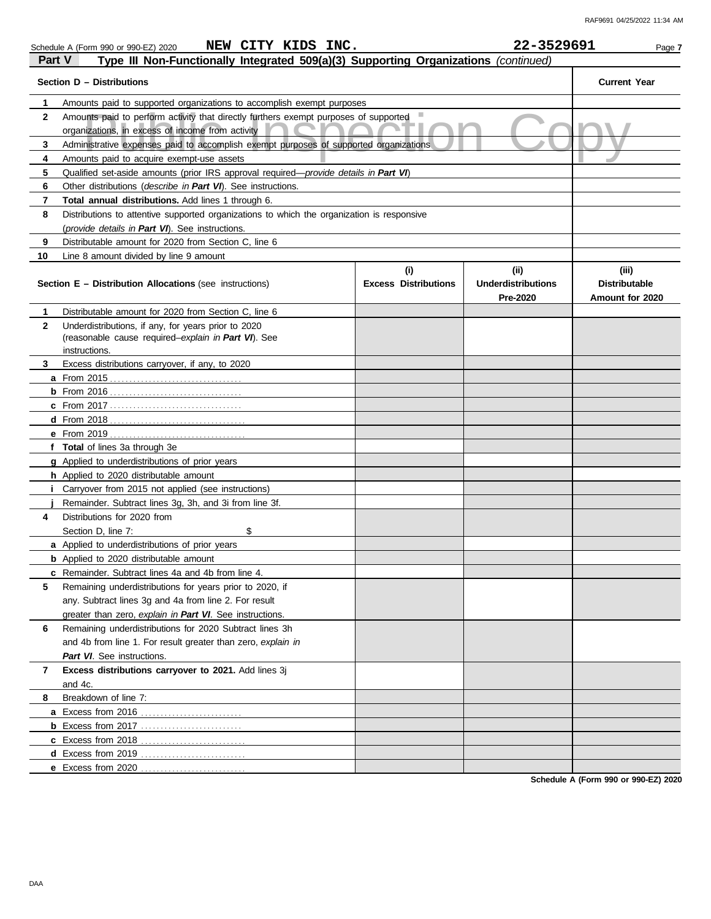|              | NEW CITY KIDS INC.<br>Schedule A (Form 990 or 990-EZ) 2020                                                                               |                             | 22-3529691                | Page 7               |  |  |  |  |
|--------------|------------------------------------------------------------------------------------------------------------------------------------------|-----------------------------|---------------------------|----------------------|--|--|--|--|
| Part V       | Type III Non-Functionally Integrated 509(a)(3) Supporting Organizations (continued)                                                      |                             |                           |                      |  |  |  |  |
|              | Section D - Distributions                                                                                                                |                             |                           | <b>Current Year</b>  |  |  |  |  |
| 1            | Amounts paid to supported organizations to accomplish exempt purposes                                                                    |                             |                           |                      |  |  |  |  |
| $\mathbf{2}$ | Amounts paid to perform activity that directly furthers exempt purposes of supported<br>organizations, in excess of income from activity |                             |                           |                      |  |  |  |  |
| 3            | Administrative expenses paid to accomplish exempt purposes of supported organizations                                                    |                             |                           |                      |  |  |  |  |
| 4            | Amounts paid to acquire exempt-use assets                                                                                                |                             |                           |                      |  |  |  |  |
| 5            | Qualified set-aside amounts (prior IRS approval required—provide details in Part VI)                                                     |                             |                           |                      |  |  |  |  |
| 6            | Other distributions (describe in Part VI). See instructions.                                                                             |                             |                           |                      |  |  |  |  |
| 7            | Total annual distributions. Add lines 1 through 6.                                                                                       |                             |                           |                      |  |  |  |  |
| 8            | Distributions to attentive supported organizations to which the organization is responsive                                               |                             |                           |                      |  |  |  |  |
|              | (provide details in Part VI). See instructions.                                                                                          |                             |                           |                      |  |  |  |  |
| 9            | Distributable amount for 2020 from Section C, line 6                                                                                     |                             |                           |                      |  |  |  |  |
| 10           | Line 8 amount divided by line 9 amount                                                                                                   |                             |                           |                      |  |  |  |  |
|              |                                                                                                                                          | (i)                         | (ii)                      | (iii)                |  |  |  |  |
|              | <b>Section E - Distribution Allocations (see instructions)</b>                                                                           | <b>Excess Distributions</b> | <b>Underdistributions</b> | <b>Distributable</b> |  |  |  |  |
|              |                                                                                                                                          |                             | Pre-2020                  | Amount for 2020      |  |  |  |  |
| 1            | Distributable amount for 2020 from Section C, line 6                                                                                     |                             |                           |                      |  |  |  |  |
| 2            | Underdistributions, if any, for years prior to 2020                                                                                      |                             |                           |                      |  |  |  |  |
|              | (reasonable cause required-explain in Part VI). See<br>instructions.                                                                     |                             |                           |                      |  |  |  |  |
| 3            |                                                                                                                                          |                             |                           |                      |  |  |  |  |
|              | Excess distributions carryover, if any, to 2020                                                                                          |                             |                           |                      |  |  |  |  |
|              |                                                                                                                                          |                             |                           |                      |  |  |  |  |
|              |                                                                                                                                          |                             |                           |                      |  |  |  |  |
|              |                                                                                                                                          |                             |                           |                      |  |  |  |  |
|              |                                                                                                                                          |                             |                           |                      |  |  |  |  |
|              | f Total of lines 3a through 3e                                                                                                           |                             |                           |                      |  |  |  |  |
|              | g Applied to underdistributions of prior years                                                                                           |                             |                           |                      |  |  |  |  |
|              | h Applied to 2020 distributable amount                                                                                                   |                             |                           |                      |  |  |  |  |
| Ť.           | Carryover from 2015 not applied (see instructions)                                                                                       |                             |                           |                      |  |  |  |  |
|              | Remainder. Subtract lines 3g, 3h, and 3i from line 3f.                                                                                   |                             |                           |                      |  |  |  |  |
| 4            | Distributions for 2020 from                                                                                                              |                             |                           |                      |  |  |  |  |
|              | \$<br>Section D, line 7:                                                                                                                 |                             |                           |                      |  |  |  |  |
|              | a Applied to underdistributions of prior years                                                                                           |                             |                           |                      |  |  |  |  |
|              | <b>b</b> Applied to 2020 distributable amount                                                                                            |                             |                           |                      |  |  |  |  |
|              | c Remainder. Subtract lines 4a and 4b from line 4.                                                                                       |                             |                           |                      |  |  |  |  |
| 5            | Remaining underdistributions for years prior to 2020, if                                                                                 |                             |                           |                      |  |  |  |  |
|              | any. Subtract lines 3g and 4a from line 2. For result                                                                                    |                             |                           |                      |  |  |  |  |
|              | greater than zero, explain in Part VI. See instructions.                                                                                 |                             |                           |                      |  |  |  |  |
| 6            | Remaining underdistributions for 2020 Subtract lines 3h                                                                                  |                             |                           |                      |  |  |  |  |
|              | and 4b from line 1. For result greater than zero, explain in                                                                             |                             |                           |                      |  |  |  |  |
|              | Part VI. See instructions.                                                                                                               |                             |                           |                      |  |  |  |  |
| 7            | Excess distributions carryover to 2021. Add lines 3j                                                                                     |                             |                           |                      |  |  |  |  |
|              | and 4c.                                                                                                                                  |                             |                           |                      |  |  |  |  |
| 8            | Breakdown of line 7:                                                                                                                     |                             |                           |                      |  |  |  |  |
|              |                                                                                                                                          |                             |                           |                      |  |  |  |  |
|              | <b>b</b> Excess from 2017                                                                                                                |                             |                           |                      |  |  |  |  |
|              |                                                                                                                                          |                             |                           |                      |  |  |  |  |
|              |                                                                                                                                          |                             |                           |                      |  |  |  |  |

**Schedule A (Form 990 or 990-EZ) 2020**

**d** Excess from 2019 . . . . . . . . . . . . . . . . . . . . . . . . . . . **e** Excess from 2020 . . . . . . . . . . . . . . . . . . . . . . . . . . .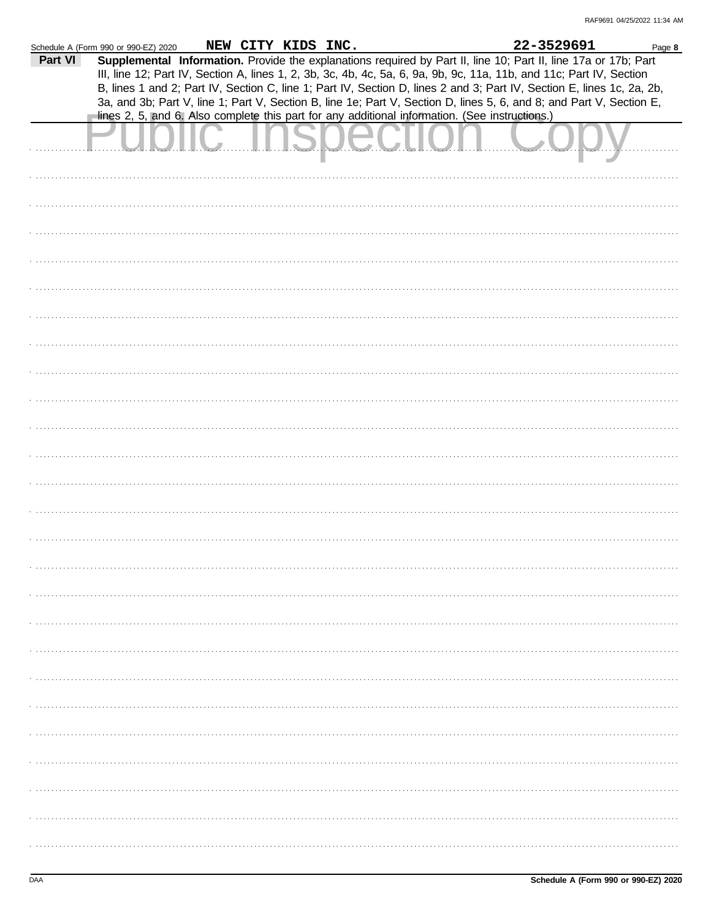|         | Schedule A (Form 990 or 990-EZ) 2020                                                           | NEW CITY KIDS INC. |  |  | 22-3529691                                                                                                             | Page 8 |
|---------|------------------------------------------------------------------------------------------------|--------------------|--|--|------------------------------------------------------------------------------------------------------------------------|--------|
| Part VI |                                                                                                |                    |  |  | Supplemental Information. Provide the explanations required by Part II, line 10; Part II, line 17a or 17b; Part        |        |
|         |                                                                                                |                    |  |  | III, line 12; Part IV, Section A, lines 1, 2, 3b, 3c, 4b, 4c, 5a, 6, 9a, 9b, 9c, 11a, 11b, and 11c; Part IV, Section   |        |
|         |                                                                                                |                    |  |  | B, lines 1 and 2; Part IV, Section C, line 1; Part IV, Section D, lines 2 and 3; Part IV, Section E, lines 1c, 2a, 2b, |        |
|         | lines 2, 5, and 6. Also complete this part for any additional information. (See instructions.) |                    |  |  | 3a, and 3b; Part V, line 1; Part V, Section B, line 1e; Part V, Section D, lines 5, 6, and 8; and Part V, Section E,   |        |
|         |                                                                                                |                    |  |  |                                                                                                                        |        |
|         |                                                                                                |                    |  |  |                                                                                                                        |        |
|         |                                                                                                |                    |  |  |                                                                                                                        |        |
|         |                                                                                                |                    |  |  |                                                                                                                        |        |
|         |                                                                                                |                    |  |  |                                                                                                                        |        |
|         |                                                                                                |                    |  |  |                                                                                                                        |        |
|         |                                                                                                |                    |  |  |                                                                                                                        |        |
|         |                                                                                                |                    |  |  |                                                                                                                        |        |
|         |                                                                                                |                    |  |  |                                                                                                                        |        |
|         |                                                                                                |                    |  |  |                                                                                                                        |        |
|         |                                                                                                |                    |  |  |                                                                                                                        |        |
|         |                                                                                                |                    |  |  |                                                                                                                        |        |
|         |                                                                                                |                    |  |  |                                                                                                                        |        |
|         |                                                                                                |                    |  |  |                                                                                                                        |        |
|         |                                                                                                |                    |  |  |                                                                                                                        |        |
|         |                                                                                                |                    |  |  |                                                                                                                        |        |
|         |                                                                                                |                    |  |  |                                                                                                                        |        |
|         |                                                                                                |                    |  |  |                                                                                                                        |        |
|         |                                                                                                |                    |  |  |                                                                                                                        |        |
|         |                                                                                                |                    |  |  |                                                                                                                        |        |
|         |                                                                                                |                    |  |  |                                                                                                                        |        |
|         |                                                                                                |                    |  |  |                                                                                                                        |        |
|         |                                                                                                |                    |  |  |                                                                                                                        |        |
|         |                                                                                                |                    |  |  |                                                                                                                        |        |
|         |                                                                                                |                    |  |  |                                                                                                                        |        |
|         |                                                                                                |                    |  |  |                                                                                                                        |        |
|         |                                                                                                |                    |  |  |                                                                                                                        |        |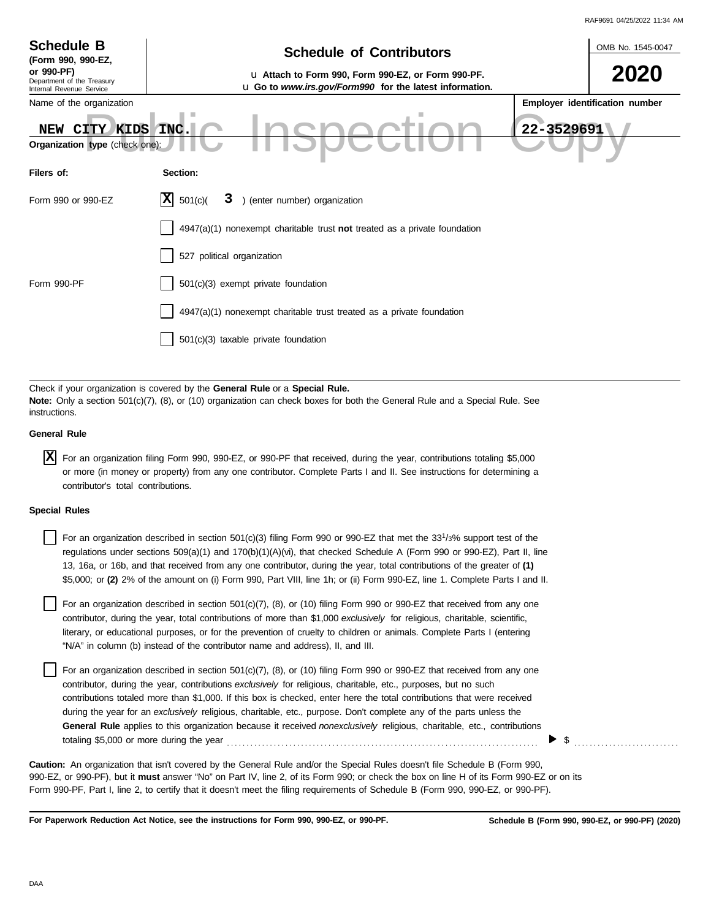| RAF9691 04/25/2022 11:34 AM |  |
|-----------------------------|--|

|                                                                                                                                                                                                                                                                                                 | RAF9691 04/25/2022 11:34 AM                                                                                                       |  |  |  |  |
|-------------------------------------------------------------------------------------------------------------------------------------------------------------------------------------------------------------------------------------------------------------------------------------------------|-----------------------------------------------------------------------------------------------------------------------------------|--|--|--|--|
| <b>Schedule B</b><br>(Form 990, 990-EZ,                                                                                                                                                                                                                                                         | OMB No. 1545-0047<br><b>Schedule of Contributors</b>                                                                              |  |  |  |  |
| or 990-PF)<br>Department of the Treasury<br>Internal Revenue Service                                                                                                                                                                                                                            | 2020<br>u Attach to Form 990, Form 990-EZ, or Form 990-PF.<br>u Go to www.irs.gov/Form990 for the latest information.             |  |  |  |  |
| Name of the organization                                                                                                                                                                                                                                                                        | Employer identification number                                                                                                    |  |  |  |  |
| NEW CITY KIDS<br>Organization type (check one):                                                                                                                                                                                                                                                 | 22-3529691<br>INC.                                                                                                                |  |  |  |  |
| Filers of:                                                                                                                                                                                                                                                                                      | Section:                                                                                                                          |  |  |  |  |
| Form 990 or 990-EZ                                                                                                                                                                                                                                                                              | 3 ) (enter number) organization<br>ΙXΙ<br>501(c)                                                                                  |  |  |  |  |
|                                                                                                                                                                                                                                                                                                 | 4947(a)(1) nonexempt charitable trust not treated as a private foundation                                                         |  |  |  |  |
|                                                                                                                                                                                                                                                                                                 | 527 political organization                                                                                                        |  |  |  |  |
| Form 990-PF                                                                                                                                                                                                                                                                                     | 501(c)(3) exempt private foundation                                                                                               |  |  |  |  |
|                                                                                                                                                                                                                                                                                                 | 4947(a)(1) nonexempt charitable trust treated as a private foundation                                                             |  |  |  |  |
|                                                                                                                                                                                                                                                                                                 | 501(c)(3) taxable private foundation                                                                                              |  |  |  |  |
|                                                                                                                                                                                                                                                                                                 |                                                                                                                                   |  |  |  |  |
| Check if your organization is covered by the General Rule or a Special Rule.<br>Note: Only a section 501(c)(7), (8), or (10) organization can check boxes for both the General Rule and a Special Rule. See<br>instructions.                                                                    |                                                                                                                                   |  |  |  |  |
| <b>General Rule</b>                                                                                                                                                                                                                                                                             |                                                                                                                                   |  |  |  |  |
| <b>x</b><br>For an organization filing Form 990, 990-EZ, or 990-PF that received, during the year, contributions totaling \$5,000<br>or more (in money or property) from any one contributor. Complete Parts I and II. See instructions for determining a<br>contributor's total contributions. |                                                                                                                                   |  |  |  |  |
| <b>Special Rules</b>                                                                                                                                                                                                                                                                            |                                                                                                                                   |  |  |  |  |
|                                                                                                                                                                                                                                                                                                 | For an organization described in section 501(c)(3) filing Form 990 or 990-EZ that met the 33 <sup>1</sup> /3% support test of the |  |  |  |  |

| For an organization described in section 501(c)(3) filing Form 990 or 990-EZ that met the 33 <sup>1</sup> /3% support test of the |
|-----------------------------------------------------------------------------------------------------------------------------------|
| regulations under sections 509(a)(1) and 170(b)(1)(A)(vi), that checked Schedule A (Form 990 or 990-EZ), Part II, line            |
| 13, 16a, or 16b, and that received from any one contributor, during the year, total contributions of the greater of (1)           |
| \$5,000; or (2) 2% of the amount on (i) Form 990, Part VIII, line 1h; or (ii) Form 990-EZ, line 1. Complete Parts I and II.       |
|                                                                                                                                   |

literary, or educational purposes, or for the prevention of cruelty to children or animals. Complete Parts I (entering For an organization described in section 501(c)(7), (8), or (10) filing Form 990 or 990-EZ that received from any one contributor, during the year, total contributions of more than \$1,000 *exclusively* for religious, charitable, scientific, "N/A" in column (b) instead of the contributor name and address), II, and III.

For an organization described in section 501(c)(7), (8), or (10) filing Form 990 or 990-EZ that received from any one contributor, during the year, contributions *exclusively* for religious, charitable, etc., purposes, but no such contributions totaled more than \$1,000. If this box is checked, enter here the total contributions that were received during the year for an *exclusively* religious, charitable, etc., purpose. Don't complete any of the parts unless the **General Rule** applies to this organization because it received *nonexclusively* religious, charitable, etc., contributions totaling \$5,000 or more during the year . . . . . . . . . . . . . . . . . . . . . . . . . . . . . . . . . . . . . . . . . . . . . . . . . . . . . . . . . . . . . . . . . . . . . . . . . . . . . . . .

990-EZ, or 990-PF), but it **must** answer "No" on Part IV, line 2, of its Form 990; or check the box on line H of its Form 990-EZ or on its Form 990-PF, Part I, line 2, to certify that it doesn't meet the filing requirements of Schedule B (Form 990, 990-EZ, or 990-PF). **Caution:** An organization that isn't covered by the General Rule and/or the Special Rules doesn't file Schedule B (Form 990,

**For Paperwork Reduction Act Notice, see the instructions for Form 990, 990-EZ, or 990-PF.**

 $\triangleright$  \$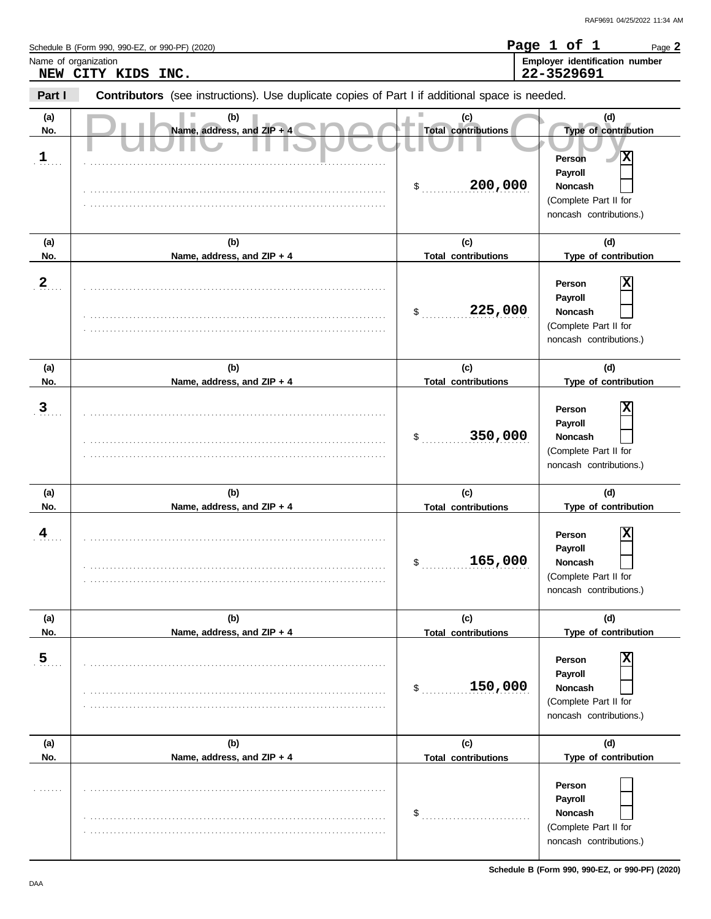|                             | Schedule B (Form 990, 990-EZ, or 990-PF) (2020)                                                |                                                    | Page 1 of 1<br>Page 2                                                                                                              |
|-----------------------------|------------------------------------------------------------------------------------------------|----------------------------------------------------|------------------------------------------------------------------------------------------------------------------------------------|
|                             | Name of organization<br>NEW CITY KIDS INC.                                                     |                                                    | Employer identification number<br>22-3529691                                                                                       |
| Part I                      | Contributors (see instructions). Use duplicate copies of Part I if additional space is needed. |                                                    |                                                                                                                                    |
| (a)<br>No.<br>$\frac{1}{2}$ | (b)<br>Name, address, and ZIP + 4                                                              | (c)<br><b>Total contributions</b><br>200,000<br>\$ | (d)<br>Type of contribution<br>х<br><b>Person</b><br>Payroll<br><b>Noncash</b><br>(Complete Part II for<br>noncash contributions.) |
| (a)<br>No.                  | (b)<br>Name, address, and ZIP + 4                                                              | (c)<br><b>Total contributions</b>                  | (d)<br>Type of contribution                                                                                                        |
| 2 <sub>1</sub>              |                                                                                                | 225,000<br>\$                                      | х<br>Person<br>Payroll<br>Noncash<br>(Complete Part II for<br>noncash contributions.)                                              |
| (a)<br>No.                  | (b)<br>Name, address, and ZIP + 4                                                              | (c)<br><b>Total contributions</b>                  | (d)<br>Type of contribution                                                                                                        |
| $\mathbf{3}$                |                                                                                                | 350,000<br>\$                                      | Χ<br>Person<br>Payroll<br>Noncash<br>(Complete Part II for<br>noncash contributions.)                                              |
| (a)<br>No.                  | (b)<br>Name, address, and ZIP + 4                                                              | (c)<br><b>Total contributions</b>                  | (d)<br>Type of contribution                                                                                                        |
| $\frac{4}{1}$               |                                                                                                | 165,000<br>\$                                      | х<br>Person<br>Payroll<br>Noncash<br>(Complete Part II for<br>noncash contributions.)                                              |
| (a)<br>No.                  | (b)<br>Name, address, and ZIP + 4                                                              | (c)<br><b>Total contributions</b>                  | (d)<br>Type of contribution                                                                                                        |
| $\overline{5}$              |                                                                                                | 150,000<br>$\mathsf{S}$                            | X<br>Person<br>Payroll<br><b>Noncash</b><br>(Complete Part II for<br>noncash contributions.)                                       |
| (a)<br>No.                  | (b)<br>Name, address, and ZIP + 4                                                              | (c)<br><b>Total contributions</b>                  | (d)<br>Type of contribution                                                                                                        |
| .                           |                                                                                                | \$                                                 | Person<br>Payroll<br>Noncash<br>(Complete Part II for<br>noncash contributions.)                                                   |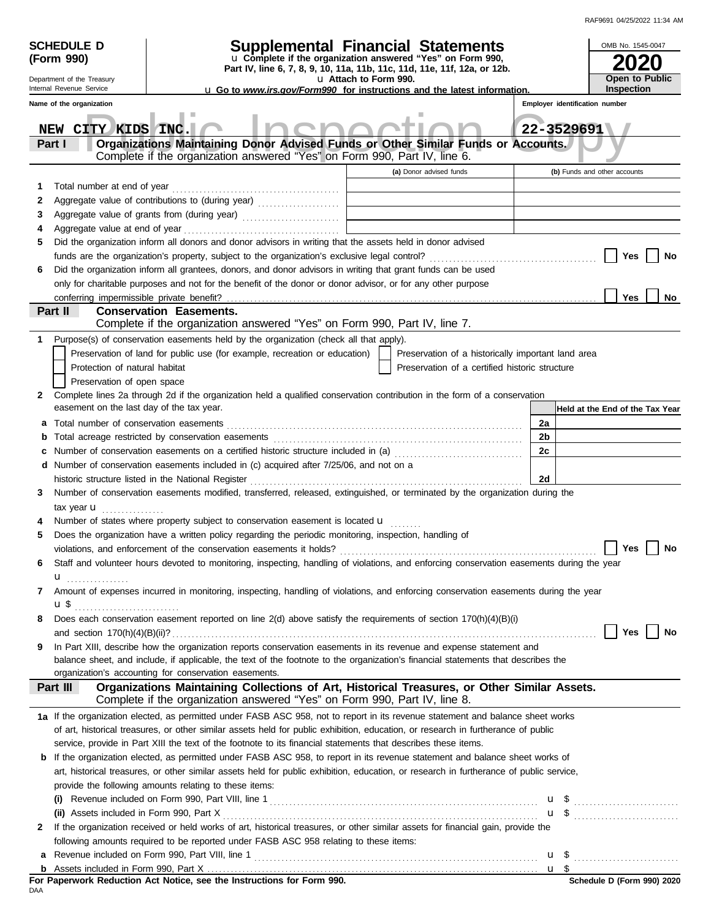| RAF9691 04/25/2022 11:34 AM |  |
|-----------------------------|--|

|        | <b>SCHEDULE D</b><br>(Form 990)                        | <b>Supplemental Financial Statements</b><br>u Complete if the organization answered "Yes" on Form 990,<br>Part IV, line 6, 7, 8, 9, 10, 11a, 11b, 11c, 11d, 11e, 11f, 12a, or 12b.                |                                                    | OMB No. 1545-0047               |
|--------|--------------------------------------------------------|---------------------------------------------------------------------------------------------------------------------------------------------------------------------------------------------------|----------------------------------------------------|---------------------------------|
|        | Department of the Treasury<br>Internal Revenue Service | <b>u</b> Go to www.irs.gov/Form990 for instructions and the latest information.                                                                                                                   | Open to Public<br><b>Inspection</b>                |                                 |
|        | Name of the organization                               |                                                                                                                                                                                                   | Employer identification number                     |                                 |
|        |                                                        |                                                                                                                                                                                                   |                                                    |                                 |
|        | CITY KIDS INC.<br>NEW                                  |                                                                                                                                                                                                   | 22-3529691                                         |                                 |
|        | Part I                                                 | Organizations Maintaining Donor Advised Funds or Other Similar Funds or Accounts.<br>Complete if the organization answered "Yes" on Form 990, Part IV, line 6.                                    |                                                    |                                 |
|        |                                                        |                                                                                                                                                                                                   | (a) Donor advised funds                            | (b) Funds and other accounts    |
| 1      |                                                        | the control of the control of the control of                                                                                                                                                      |                                                    |                                 |
| 2      |                                                        | Aggregate value of contributions to (during year) [1] [1] [1] Aggregate value of contributions to (during year)<br>the control of the control of the control of the control of the control of     |                                                    |                                 |
| 3<br>4 | Aggregate value at end of year                         | Aggregate value of grants from (during year)                                                                                                                                                      |                                                    |                                 |
| 5      |                                                        | Did the organization inform all donors and donor advisors in writing that the assets held in donor advised                                                                                        |                                                    |                                 |
|        |                                                        |                                                                                                                                                                                                   |                                                    | Yes<br>No                       |
| 6      |                                                        | Did the organization inform all grantees, donors, and donor advisors in writing that grant funds can be used                                                                                      |                                                    |                                 |
|        |                                                        | only for charitable purposes and not for the benefit of the donor or donor advisor, or for any other purpose                                                                                      |                                                    |                                 |
|        | conferring impermissible private benefit?              |                                                                                                                                                                                                   |                                                    | Yes<br>No                       |
|        | Part II                                                | <b>Conservation Easements.</b><br>Complete if the organization answered "Yes" on Form 990, Part IV, line 7.                                                                                       |                                                    |                                 |
| 1      |                                                        | Purpose(s) of conservation easements held by the organization (check all that apply).                                                                                                             |                                                    |                                 |
|        |                                                        | Preservation of land for public use (for example, recreation or education)                                                                                                                        | Preservation of a historically important land area |                                 |
|        | Protection of natural habitat                          |                                                                                                                                                                                                   | Preservation of a certified historic structure     |                                 |
|        | Preservation of open space                             |                                                                                                                                                                                                   |                                                    |                                 |
| 2      | easement on the last day of the tax year.              | Complete lines 2a through 2d if the organization held a qualified conservation contribution in the form of a conservation                                                                         |                                                    |                                 |
| а      |                                                        |                                                                                                                                                                                                   | 2a                                                 | Held at the End of the Tax Year |
| b      |                                                        | Total acreage restricted by conservation easements                                                                                                                                                | 2b                                                 |                                 |
| c      |                                                        | Number of conservation easements on a certified historic structure included in (a) [11] Number of conservation easements on a certified historic structure included in (a)                        | 2c                                                 |                                 |
| d      |                                                        | Number of conservation easements included in (c) acquired after 7/25/06, and not on a                                                                                                             |                                                    |                                 |
|        |                                                        | historic structure listed in the National Register                                                                                                                                                | 2d                                                 |                                 |
| 3      |                                                        | Number of conservation easements modified, transferred, released, extinguished, or terminated by the organization during the                                                                      |                                                    |                                 |
|        | tax year <b>u</b><br>.                                 |                                                                                                                                                                                                   |                                                    |                                 |
|        |                                                        | Number of states where property subject to conservation easement is located $\mathbf{u}$                                                                                                          |                                                    |                                 |
| 5      |                                                        | Does the organization have a written policy regarding the periodic monitoring, inspection, handling of                                                                                            |                                                    |                                 |
|        |                                                        | violations, and enforcement of the conservation easements it holds?                                                                                                                               |                                                    | Yes<br>No                       |
| 6      |                                                        | Staff and volunteer hours devoted to monitoring, inspecting, handling of violations, and enforcing conservation easements during the year                                                         |                                                    |                                 |
| 7      | u <sub></sub>                                          | Amount of expenses incurred in monitoring, inspecting, handling of violations, and enforcing conservation easements during the year                                                               |                                                    |                                 |
|        |                                                        |                                                                                                                                                                                                   |                                                    |                                 |
| 8      |                                                        | Does each conservation easement reported on line 2(d) above satisfy the requirements of section 170(h)(4)(B)(i)                                                                                   |                                                    |                                 |
|        |                                                        |                                                                                                                                                                                                   |                                                    | Yes<br>No                       |
| 9      |                                                        | In Part XIII, describe how the organization reports conservation easements in its revenue and expense statement and                                                                               |                                                    |                                 |
|        |                                                        | balance sheet, and include, if applicable, the text of the footnote to the organization's financial statements that describes the                                                                 |                                                    |                                 |
|        | Part III                                               | organization's accounting for conservation easements.<br>Organizations Maintaining Collections of Art, Historical Treasures, or Other Similar Assets.                                             |                                                    |                                 |
|        |                                                        | Complete if the organization answered "Yes" on Form 990, Part IV, line 8.                                                                                                                         |                                                    |                                 |
|        |                                                        | 1a If the organization elected, as permitted under FASB ASC 958, not to report in its revenue statement and balance sheet works                                                                   |                                                    |                                 |
|        |                                                        | of art, historical treasures, or other similar assets held for public exhibition, education, or research in furtherance of public                                                                 |                                                    |                                 |
|        |                                                        | service, provide in Part XIII the text of the footnote to its financial statements that describes these items.                                                                                    |                                                    |                                 |
|        |                                                        | <b>b</b> If the organization elected, as permitted under FASB ASC 958, to report in its revenue statement and balance sheet works of                                                              |                                                    |                                 |
|        |                                                        | art, historical treasures, or other similar assets held for public exhibition, education, or research in furtherance of public service,<br>provide the following amounts relating to these items: |                                                    |                                 |
|        |                                                        | (i) Revenue included on Form 990, Part VIII, line 1 $\ldots$ $\ldots$ $\ldots$ $\ldots$ $\ldots$ $\ldots$ $\ldots$ $\ldots$ $\ldots$ $\ldots$                                                     |                                                    |                                 |
|        |                                                        |                                                                                                                                                                                                   |                                                    | $\mathbf{u}$ \$ $\ldots$        |
| 2      |                                                        | If the organization received or held works of art, historical treasures, or other similar assets for financial gain, provide the                                                                  |                                                    |                                 |
|        |                                                        | following amounts required to be reported under FASB ASC 958 relating to these items:                                                                                                             |                                                    |                                 |
| a      |                                                        |                                                                                                                                                                                                   |                                                    |                                 |
|        |                                                        |                                                                                                                                                                                                   |                                                    |                                 |
| DAA    |                                                        | For Paperwork Reduction Act Notice, see the Instructions for Form 990.                                                                                                                            |                                                    | Schedule D (Form 990) 2020      |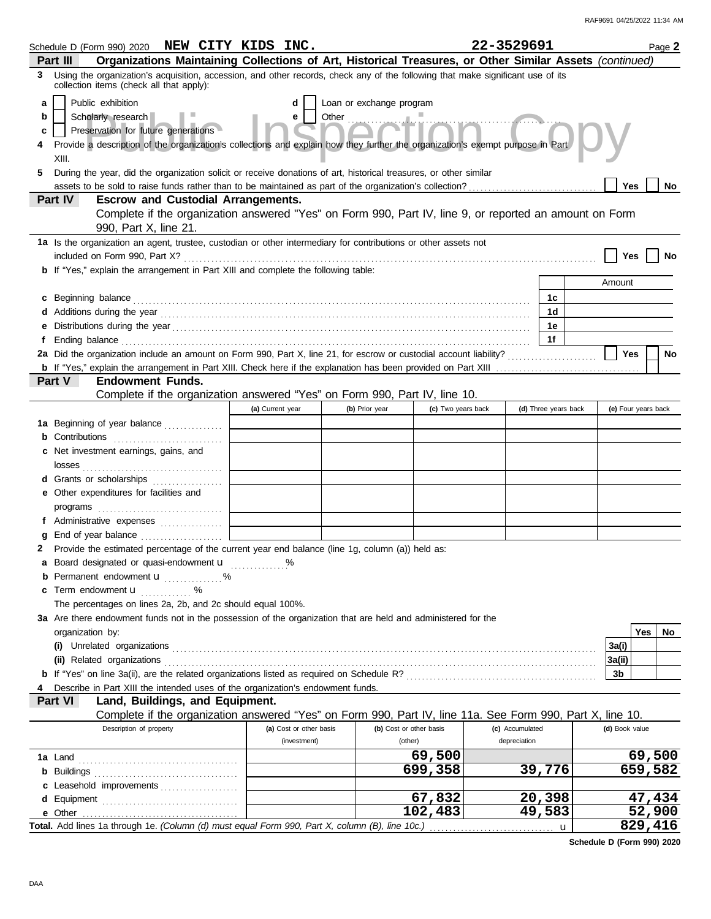|   | Schedule D (Form 990) 2020 NEW CITY KIDS INC.                                                                                                                               |                         |                          |                         | 22-3529691      |                      | Page 2              |
|---|-----------------------------------------------------------------------------------------------------------------------------------------------------------------------------|-------------------------|--------------------------|-------------------------|-----------------|----------------------|---------------------|
|   | Organizations Maintaining Collections of Art, Historical Treasures, or Other Similar Assets (continued)<br>Part III                                                         |                         |                          |                         |                 |                      |                     |
| 3 | Using the organization's acquisition, accession, and other records, check any of the following that make significant use of its<br>collection items (check all that apply): |                         |                          |                         |                 |                      |                     |
| a | Public exhibition                                                                                                                                                           | d                       | Loan or exchange program |                         |                 |                      |                     |
| b | Scholarly research                                                                                                                                                          | e                       |                          |                         |                 |                      |                     |
| c | Preservation for future generations                                                                                                                                         |                         |                          |                         |                 |                      |                     |
|   |                                                                                                                                                                             |                         |                          |                         |                 |                      |                     |
|   | Provide a description of the organization's collections and explain how they further the organization's exempt purpose in Part<br>XIII.                                     |                         |                          |                         |                 |                      |                     |
| 5 | During the year, did the organization solicit or receive donations of art, historical treasures, or other similar                                                           |                         |                          |                         |                 |                      |                     |
|   |                                                                                                                                                                             |                         |                          |                         |                 |                      | Yes<br>No           |
|   | Part IV<br><b>Escrow and Custodial Arrangements.</b>                                                                                                                        |                         |                          |                         |                 |                      |                     |
|   | Complete if the organization answered "Yes" on Form 990, Part IV, line 9, or reported an amount on Form                                                                     |                         |                          |                         |                 |                      |                     |
|   | 990, Part X, line 21.                                                                                                                                                       |                         |                          |                         |                 |                      |                     |
|   | 1a Is the organization an agent, trustee, custodian or other intermediary for contributions or other assets not                                                             |                         |                          |                         |                 |                      |                     |
|   |                                                                                                                                                                             |                         |                          |                         |                 |                      | <b>Yes</b>          |
|   | <b>b</b> If "Yes," explain the arrangement in Part XIII and complete the following table:                                                                                   |                         |                          |                         |                 |                      |                     |
|   |                                                                                                                                                                             |                         |                          |                         |                 |                      | Amount              |
|   | c Beginning balance                                                                                                                                                         |                         |                          |                         |                 | 1с                   |                     |
|   |                                                                                                                                                                             |                         |                          |                         |                 | 1 <sub>d</sub>       |                     |
|   |                                                                                                                                                                             |                         |                          |                         |                 | 1е                   |                     |
|   | Ending balance <i>communically contained a contained a contained a contained a contained a contained a contained a</i>                                                      |                         |                          |                         |                 | 1f                   |                     |
|   |                                                                                                                                                                             |                         |                          |                         |                 |                      | <b>Yes</b><br>No    |
|   |                                                                                                                                                                             |                         |                          |                         |                 |                      |                     |
|   | Part V<br><b>Endowment Funds.</b>                                                                                                                                           |                         |                          |                         |                 |                      |                     |
|   | Complete if the organization answered "Yes" on Form 990, Part IV, line 10.                                                                                                  |                         |                          |                         |                 |                      |                     |
|   |                                                                                                                                                                             | (a) Current year        | (b) Prior year           | (c) Two years back      |                 | (d) Three years back | (e) Four years back |
|   | 1a Beginning of year balance                                                                                                                                                |                         |                          |                         |                 |                      |                     |
|   |                                                                                                                                                                             |                         |                          |                         |                 |                      |                     |
|   | c Net investment earnings, gains, and                                                                                                                                       |                         |                          |                         |                 |                      |                     |
|   |                                                                                                                                                                             |                         |                          |                         |                 |                      |                     |
|   | <b>d</b> Grants or scholarships<br>.                                                                                                                                        |                         |                          |                         |                 |                      |                     |
|   | e Other expenditures for facilities and                                                                                                                                     |                         |                          |                         |                 |                      |                     |
|   |                                                                                                                                                                             |                         |                          |                         |                 |                      |                     |
|   | f Administrative expenses                                                                                                                                                   |                         |                          |                         |                 |                      |                     |
|   | End of year balance                                                                                                                                                         |                         |                          |                         |                 |                      |                     |
|   | 2 Provide the estimated percentage of the current year end balance (line 1g, column (a)) held as:                                                                           |                         |                          |                         |                 |                      |                     |
|   | a Board designated or quasi-endowment u                                                                                                                                     |                         |                          |                         |                 |                      |                     |
|   | <b>b</b> Permanent endowment <b>u</b> %                                                                                                                                     |                         |                          |                         |                 |                      |                     |
|   | c Term endowment <b>u</b> %                                                                                                                                                 |                         |                          |                         |                 |                      |                     |
|   | The percentages on lines 2a, 2b, and 2c should equal 100%.                                                                                                                  |                         |                          |                         |                 |                      |                     |
|   | 3a Are there endowment funds not in the possession of the organization that are held and administered for the                                                               |                         |                          |                         |                 |                      |                     |
|   | organization by:                                                                                                                                                            |                         |                          |                         |                 |                      | Yes<br>No           |
|   |                                                                                                                                                                             |                         |                          |                         |                 |                      | 3a(i)               |
|   | (ii) Related organizations                                                                                                                                                  |                         |                          |                         |                 |                      | 3a(ii)              |
|   |                                                                                                                                                                             |                         |                          |                         |                 |                      | 3b                  |
|   | Describe in Part XIII the intended uses of the organization's endowment funds.                                                                                              |                         |                          |                         |                 |                      |                     |
|   | Land, Buildings, and Equipment.<br>Part VI                                                                                                                                  |                         |                          |                         |                 |                      |                     |
|   | Complete if the organization answered "Yes" on Form 990, Part IV, line 11a. See Form 990, Part X, line 10.                                                                  |                         |                          |                         |                 |                      |                     |
|   | Description of property                                                                                                                                                     | (a) Cost or other basis |                          | (b) Cost or other basis | (c) Accumulated |                      | (d) Book value      |
|   |                                                                                                                                                                             | (investment)            |                          | (other)                 | depreciation    |                      |                     |
|   |                                                                                                                                                                             |                         |                          | 69,500                  |                 |                      | 69,500              |
|   |                                                                                                                                                                             |                         |                          | 699,358                 |                 | 39,776               | 659,582             |
|   | c Leasehold improvements                                                                                                                                                    |                         |                          |                         |                 |                      |                     |
|   |                                                                                                                                                                             |                         |                          | 67,832                  |                 | 20,398               | 47,434              |
|   | e Other                                                                                                                                                                     |                         |                          | 102,483                 |                 | 49,583               | 52,900              |
|   | Total. Add lines 1a through 1e. (Column (d) must equal Form 990, Part X, column (B), line 10c.)                                                                             |                         |                          |                         |                 | u                    | 829,416             |

**Schedule D (Form 990) 2020**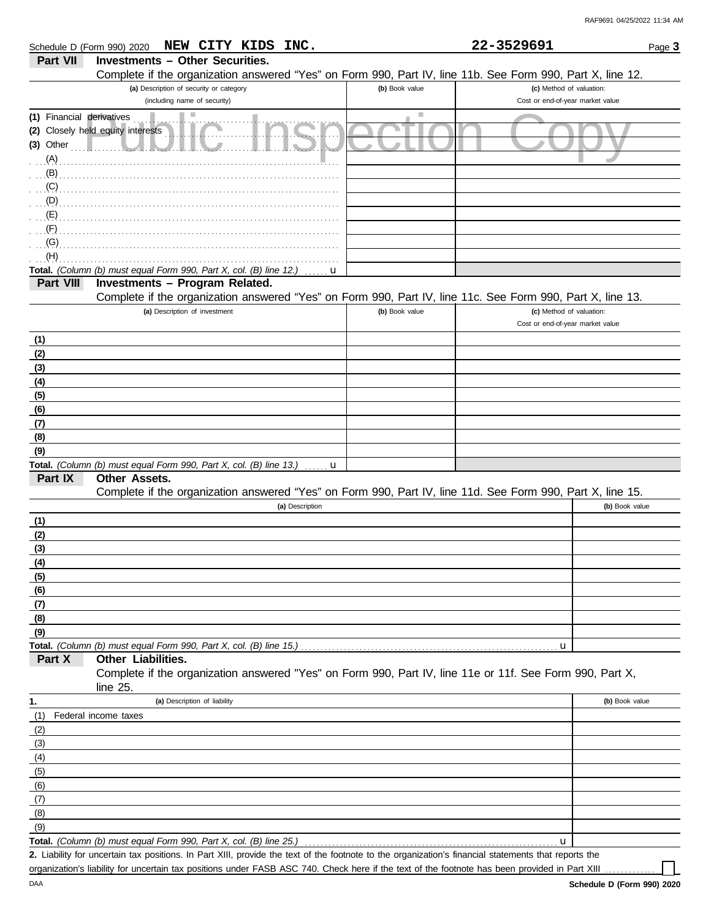|                                                                | NEW CITY KIDS INC.<br>Schedule D (Form 990) 2020                                                                        |                | 22-3529691                                                   | Page 3         |
|----------------------------------------------------------------|-------------------------------------------------------------------------------------------------------------------------|----------------|--------------------------------------------------------------|----------------|
| Part VII                                                       | <b>Investments - Other Securities.</b>                                                                                  |                |                                                              |                |
|                                                                | Complete if the organization answered "Yes" on Form 990, Part IV, line 11b. See Form 990, Part X, line 12.              |                |                                                              |                |
|                                                                | (a) Description of security or category                                                                                 | (b) Book value | (c) Method of valuation:                                     |                |
|                                                                | (including name of security)                                                                                            |                | Cost or end-of-year market value                             |                |
| (1) Financial derivatives<br>$(3)$ Other<br>.<br>$(A)$ . $(A)$ | H.<br>(2) Closely held equity interests                                                                                 | ш              |                                                              |                |
| . (B)                                                          |                                                                                                                         |                |                                                              |                |
| (C)                                                            |                                                                                                                         |                |                                                              |                |
| (D)                                                            |                                                                                                                         |                |                                                              |                |
| $\ldots$ (E)                                                   |                                                                                                                         |                |                                                              |                |
| $\cdot$ (F)                                                    |                                                                                                                         |                |                                                              |                |
| (G)                                                            |                                                                                                                         |                |                                                              |                |
| (H)                                                            |                                                                                                                         |                |                                                              |                |
|                                                                | Total. (Column (b) must equal Form 990, Part X, col. (B) line 12.)<br>Investments - Program Related.                    | $\mathbf{u}$   |                                                              |                |
| Part VIII                                                      | Complete if the organization answered "Yes" on Form 990, Part IV, line 11c. See Form 990, Part X, line 13.              |                |                                                              |                |
|                                                                | (a) Description of investment                                                                                           | (b) Book value | (c) Method of valuation:<br>Cost or end-of-year market value |                |
| (1)                                                            |                                                                                                                         |                |                                                              |                |
| (2)                                                            |                                                                                                                         |                |                                                              |                |
| (3)                                                            |                                                                                                                         |                |                                                              |                |
| (4)                                                            |                                                                                                                         |                |                                                              |                |
| (5)                                                            |                                                                                                                         |                |                                                              |                |
| (6)                                                            |                                                                                                                         |                |                                                              |                |
| (7)                                                            |                                                                                                                         |                |                                                              |                |
| (8)                                                            |                                                                                                                         |                |                                                              |                |
| (9)                                                            |                                                                                                                         |                |                                                              |                |
|                                                                | Total. (Column (b) must equal Form 990, Part X, col. (B) line 13.)<br>. <b>. u</b>                                      |                |                                                              |                |
| Part IX                                                        | Other Assets.                                                                                                           |                |                                                              |                |
|                                                                | Complete if the organization answered "Yes" on Form 990, Part IV, line 11d. See Form 990, Part X, line 15.              |                |                                                              |                |
|                                                                | (a) Description                                                                                                         |                |                                                              | (b) Book value |
| (1)                                                            |                                                                                                                         |                |                                                              |                |
| (2)                                                            |                                                                                                                         |                |                                                              |                |
| (3)                                                            |                                                                                                                         |                |                                                              |                |
| (4)                                                            |                                                                                                                         |                |                                                              |                |
| (5)                                                            |                                                                                                                         |                |                                                              |                |
| (6)                                                            |                                                                                                                         |                |                                                              |                |
| (7)                                                            |                                                                                                                         |                |                                                              |                |
| (8)                                                            |                                                                                                                         |                |                                                              |                |
| (9)                                                            |                                                                                                                         |                |                                                              |                |
|                                                                | Total. (Column (b) must equal Form 990, Part X, col. (B) line 15.)                                                      |                | u                                                            |                |
| Part X                                                         | Other Liabilities.                                                                                                      |                |                                                              |                |
|                                                                | Complete if the organization answered "Yes" on Form 990, Part IV, line 11e or 11f. See Form 990, Part X,<br>line $25$ . |                |                                                              |                |
| 1.                                                             | (a) Description of liability                                                                                            |                |                                                              | (b) Book value |
| (1)                                                            | Federal income taxes                                                                                                    |                |                                                              |                |
| (2)                                                            |                                                                                                                         |                |                                                              |                |
| (3)                                                            |                                                                                                                         |                |                                                              |                |
| (4)                                                            |                                                                                                                         |                |                                                              |                |
| (5)                                                            |                                                                                                                         |                |                                                              |                |
| (6)                                                            |                                                                                                                         |                |                                                              |                |
| (7)                                                            |                                                                                                                         |                |                                                              |                |
| (8)                                                            |                                                                                                                         |                |                                                              |                |
| (9)                                                            |                                                                                                                         |                |                                                              |                |
|                                                                | Total. (Column (b) must equal Form 990, Part X, col. (B) line 25.)                                                      |                | u                                                            |                |

Liability for uncertain tax positions. In Part XIII, provide the text of the footnote to the organization's financial statements that reports the **2.** organization's liability for uncertain tax positions under FASB ASC 740. Check here if the text of the footnote has been provided in Part XIII

DAA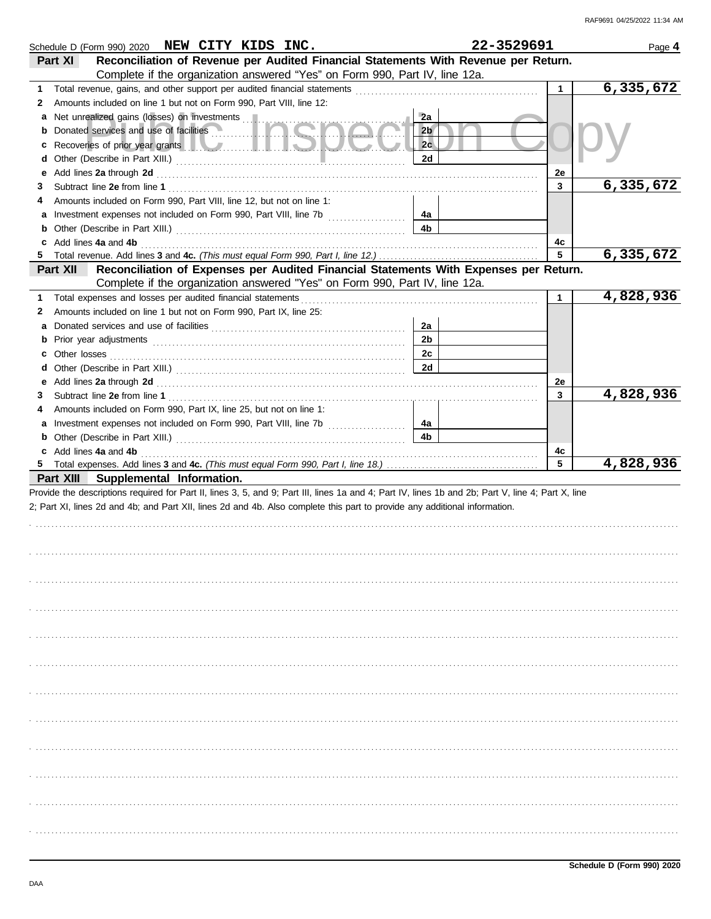| Schedule D (Form 990) 2020 NEW CITY KIDS INC.                                                                                                                                                                                                                                    | 22-3529691     |              | Page 4    |
|----------------------------------------------------------------------------------------------------------------------------------------------------------------------------------------------------------------------------------------------------------------------------------|----------------|--------------|-----------|
| Reconciliation of Revenue per Audited Financial Statements With Revenue per Return.<br>Part XI                                                                                                                                                                                   |                |              |           |
| Complete if the organization answered "Yes" on Form 990, Part IV, line 12a.                                                                                                                                                                                                      |                |              |           |
| 1                                                                                                                                                                                                                                                                                |                | $\mathbf{1}$ | 6,335,672 |
| Amounts included on line 1 but not on Form 990, Part VIII, line 12:<br>2                                                                                                                                                                                                         |                |              |           |
|                                                                                                                                                                                                                                                                                  | 2a             |              |           |
| <b>b</b> Donated services and use of facilities                                                                                                                                                                                                                                  | 2 <sub>b</sub> |              |           |
| c Recoveries of prior year grants <b>the contract of the contract of the contract of the contract of the contract of the contract of the contract of the contract of the contract of the contract of the contract of the contrac</b>                                             | 2 <sub>c</sub> |              |           |
|                                                                                                                                                                                                                                                                                  | 2d             |              |           |
|                                                                                                                                                                                                                                                                                  |                | 2e           | 6,335,672 |
| 3                                                                                                                                                                                                                                                                                |                | 3            |           |
| Amounts included on Form 990, Part VIII, line 12, but not on line 1:<br>4                                                                                                                                                                                                        | 4а             |              |           |
|                                                                                                                                                                                                                                                                                  | 4b             |              |           |
|                                                                                                                                                                                                                                                                                  |                | 4с           |           |
| c Add lines 4a and 4b (a) and the contract of the set of the set of the set of the set of the set of the set of the set of the set of the set of the set of the set of the set of the set of the set of the set of the set of                                                    |                | 5            | 6,335,672 |
| Reconciliation of Expenses per Audited Financial Statements With Expenses per Return.<br>Part XII                                                                                                                                                                                |                |              |           |
| Complete if the organization answered "Yes" on Form 990, Part IV, line 12a.                                                                                                                                                                                                      |                |              |           |
| 1                                                                                                                                                                                                                                                                                |                | $\mathbf{1}$ | 4,828,936 |
| Amounts included on line 1 but not on Form 990, Part IX, line 25:<br>2                                                                                                                                                                                                           |                |              |           |
| а                                                                                                                                                                                                                                                                                | 2a             |              |           |
|                                                                                                                                                                                                                                                                                  | 2b             |              |           |
|                                                                                                                                                                                                                                                                                  | 2c             |              |           |
|                                                                                                                                                                                                                                                                                  | 2d             |              |           |
|                                                                                                                                                                                                                                                                                  |                | 2e           |           |
| 3                                                                                                                                                                                                                                                                                |                | 3            | 4,828,936 |
| Amounts included on Form 990, Part IX, line 25, but not on line 1:<br>4                                                                                                                                                                                                          |                |              |           |
| a Investment expenses not included on Form 990, Part VIII, line 7b                                                                                                                                                                                                               | 4a             |              |           |
|                                                                                                                                                                                                                                                                                  | 4b             |              |           |
| c Add lines 4a and 4b                                                                                                                                                                                                                                                            |                | 4c<br>5      |           |
|                                                                                                                                                                                                                                                                                  |                |              | 4,828,936 |
| Part XIII Supplemental Information.                                                                                                                                                                                                                                              |                |              |           |
| Provide the descriptions required for Part II, lines 3, 5, and 9; Part III, lines 1a and 4; Part IV, lines 1b and 2b; Part V, line 4; Part X, line<br>2; Part XI, lines 2d and 4b; and Part XII, lines 2d and 4b. Also complete this part to provide any additional information. |                |              |           |
|                                                                                                                                                                                                                                                                                  |                |              |           |
|                                                                                                                                                                                                                                                                                  |                |              |           |
|                                                                                                                                                                                                                                                                                  |                |              |           |
|                                                                                                                                                                                                                                                                                  |                |              |           |
|                                                                                                                                                                                                                                                                                  |                |              |           |
|                                                                                                                                                                                                                                                                                  |                |              |           |
|                                                                                                                                                                                                                                                                                  |                |              |           |
|                                                                                                                                                                                                                                                                                  |                |              |           |
|                                                                                                                                                                                                                                                                                  |                |              |           |
|                                                                                                                                                                                                                                                                                  |                |              |           |
|                                                                                                                                                                                                                                                                                  |                |              |           |
|                                                                                                                                                                                                                                                                                  |                |              |           |
|                                                                                                                                                                                                                                                                                  |                |              |           |
|                                                                                                                                                                                                                                                                                  |                |              |           |
|                                                                                                                                                                                                                                                                                  |                |              |           |
|                                                                                                                                                                                                                                                                                  |                |              |           |
|                                                                                                                                                                                                                                                                                  |                |              |           |
|                                                                                                                                                                                                                                                                                  |                |              |           |
|                                                                                                                                                                                                                                                                                  |                |              |           |
|                                                                                                                                                                                                                                                                                  |                |              |           |
|                                                                                                                                                                                                                                                                                  |                |              |           |
|                                                                                                                                                                                                                                                                                  |                |              |           |
|                                                                                                                                                                                                                                                                                  |                |              |           |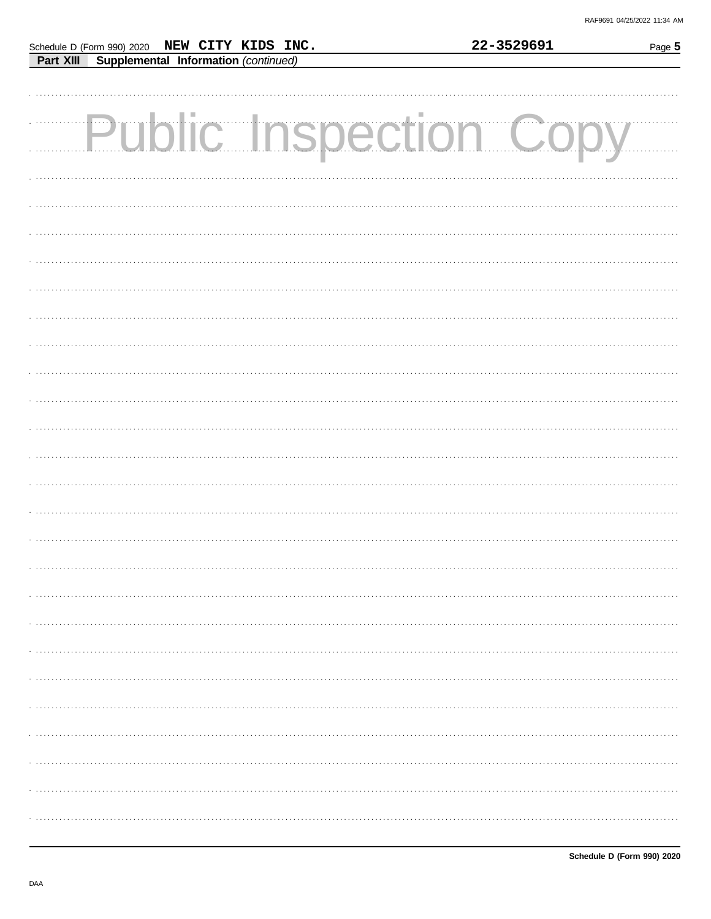|  | Schedule D (Form 990) 2020 NEW CITY KIDS INC.  |  | 22-3529691                   | Page 5 |
|--|------------------------------------------------|--|------------------------------|--------|
|  | Part XIII Supplemental Information (continued) |  |                              |        |
|  |                                                |  |                              |        |
|  |                                                |  |                              |        |
|  |                                                |  |                              |        |
|  |                                                |  |                              |        |
|  |                                                |  | <b>Public Inspection Cop</b> |        |
|  |                                                |  |                              |        |
|  |                                                |  |                              |        |
|  |                                                |  |                              |        |
|  |                                                |  |                              |        |
|  |                                                |  |                              |        |
|  |                                                |  |                              |        |
|  |                                                |  |                              |        |
|  |                                                |  |                              |        |
|  |                                                |  |                              |        |
|  |                                                |  |                              |        |
|  |                                                |  |                              |        |
|  |                                                |  |                              |        |
|  |                                                |  |                              |        |
|  |                                                |  |                              |        |
|  |                                                |  |                              |        |
|  |                                                |  |                              |        |
|  |                                                |  |                              |        |
|  |                                                |  |                              |        |
|  |                                                |  |                              |        |
|  |                                                |  |                              |        |
|  |                                                |  |                              |        |
|  |                                                |  |                              |        |
|  |                                                |  |                              |        |
|  |                                                |  |                              |        |
|  |                                                |  |                              |        |
|  |                                                |  |                              |        |
|  |                                                |  |                              |        |
|  |                                                |  |                              |        |
|  |                                                |  |                              |        |
|  |                                                |  |                              |        |
|  |                                                |  |                              |        |
|  |                                                |  |                              |        |
|  |                                                |  |                              |        |
|  |                                                |  |                              |        |
|  |                                                |  |                              |        |
|  |                                                |  |                              |        |
|  |                                                |  |                              |        |
|  |                                                |  |                              |        |
|  |                                                |  |                              |        |
|  |                                                |  |                              |        |
|  |                                                |  |                              |        |
|  |                                                |  |                              |        |
|  |                                                |  |                              |        |
|  |                                                |  |                              |        |
|  |                                                |  |                              |        |
|  |                                                |  |                              |        |
|  |                                                |  |                              |        |
|  |                                                |  |                              |        |
|  |                                                |  |                              |        |
|  |                                                |  |                              |        |
|  |                                                |  |                              |        |
|  |                                                |  |                              |        |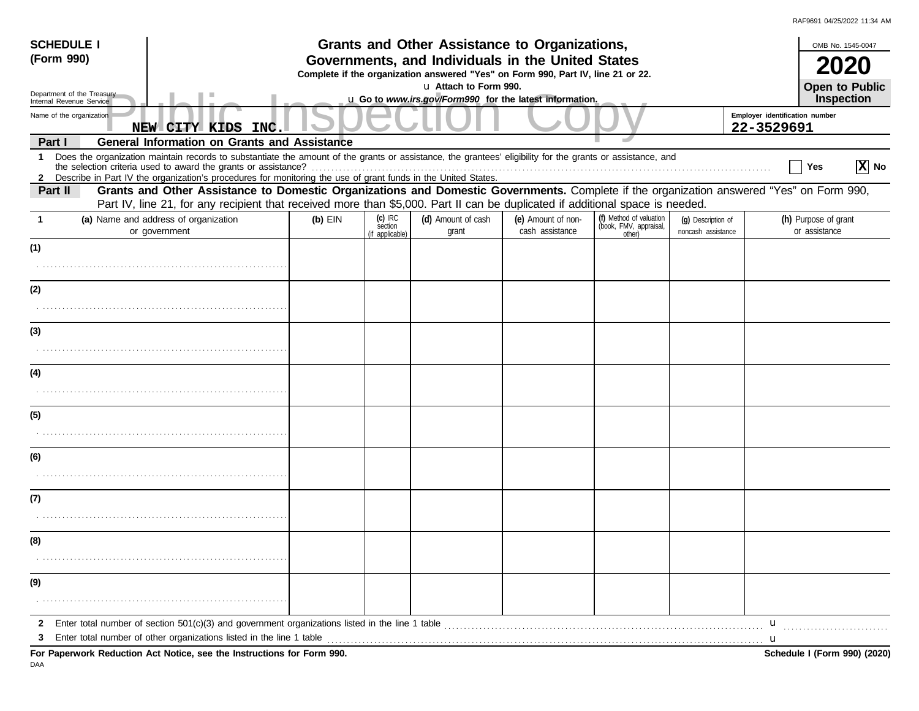| <b>SCHEDULE I</b><br>(Form 990)                                                                         |                                                                                                                                                                                                                                                                             | Grants and Other Assistance to Organizations,<br>Governments, and Individuals in the United States<br>Complete if the organization answered "Yes" on Form 990, Part IV, line 21 or 22.<br>u Attach to Form 990. |                                         |                              |                                       |                                                             |                                          |                                       |                              |  |
|---------------------------------------------------------------------------------------------------------|-----------------------------------------------------------------------------------------------------------------------------------------------------------------------------------------------------------------------------------------------------------------------------|-----------------------------------------------------------------------------------------------------------------------------------------------------------------------------------------------------------------|-----------------------------------------|------------------------------|---------------------------------------|-------------------------------------------------------------|------------------------------------------|---------------------------------------|------------------------------|--|
| Department of the Treasury<br>Internal Revenue Service<br>Name of the organization<br>NEW CITY KIDS INC |                                                                                                                                                                                                                                                                             |                                                                                                                                                                                                                 |                                         | Open to Public<br>Inspection |                                       |                                                             |                                          |                                       |                              |  |
|                                                                                                         |                                                                                                                                                                                                                                                                             | u Go to www.irs.gov/Form990 for the latest information.<br>Employer identification number<br>22-3529691                                                                                                         |                                         |                              |                                       |                                                             |                                          |                                       |                              |  |
| Part I                                                                                                  | <b>General Information on Grants and Assistance</b>                                                                                                                                                                                                                         |                                                                                                                                                                                                                 |                                         |                              |                                       |                                                             |                                          |                                       |                              |  |
| $\mathbf 1$<br>2                                                                                        | Does the organization maintain records to substantiate the amount of the grants or assistance, the grantees' eligibility for the grants or assistance, and<br>Describe in Part IV the organization's procedures for monitoring the use of grant funds in the United States. |                                                                                                                                                                                                                 |                                         |                              |                                       |                                                             |                                          | Yes                                   | $ \mathbf{X} $ No            |  |
| Part II                                                                                                 | Grants and Other Assistance to Domestic Organizations and Domestic Governments. Complete if the organization answered "Yes" on Form 990,<br>Part IV, line 21, for any recipient that received more than \$5,000. Part II can be duplicated if additional space is needed.   |                                                                                                                                                                                                                 |                                         |                              |                                       |                                                             |                                          |                                       |                              |  |
| -1                                                                                                      | (a) Name and address of organization<br>or government                                                                                                                                                                                                                       | $(b)$ EIN                                                                                                                                                                                                       | $(c)$ IRC<br>section<br>(if applicable) | (d) Amount of cash<br>grant  | (e) Amount of non-<br>cash assistance | (f) Method of valuation<br>(book, FMV, appraisal,<br>other) | (g) Description of<br>noncash assistance | (h) Purpose of grant<br>or assistance |                              |  |
| (1)                                                                                                     |                                                                                                                                                                                                                                                                             |                                                                                                                                                                                                                 |                                         |                              |                                       |                                                             |                                          |                                       |                              |  |
|                                                                                                         |                                                                                                                                                                                                                                                                             |                                                                                                                                                                                                                 |                                         |                              |                                       |                                                             |                                          |                                       |                              |  |
| (2)                                                                                                     |                                                                                                                                                                                                                                                                             |                                                                                                                                                                                                                 |                                         |                              |                                       |                                                             |                                          |                                       |                              |  |
|                                                                                                         |                                                                                                                                                                                                                                                                             |                                                                                                                                                                                                                 |                                         |                              |                                       |                                                             |                                          |                                       |                              |  |
| (3)                                                                                                     |                                                                                                                                                                                                                                                                             |                                                                                                                                                                                                                 |                                         |                              |                                       |                                                             |                                          |                                       |                              |  |
|                                                                                                         |                                                                                                                                                                                                                                                                             |                                                                                                                                                                                                                 |                                         |                              |                                       |                                                             |                                          |                                       |                              |  |
| (4)                                                                                                     |                                                                                                                                                                                                                                                                             |                                                                                                                                                                                                                 |                                         |                              |                                       |                                                             |                                          |                                       |                              |  |
|                                                                                                         |                                                                                                                                                                                                                                                                             |                                                                                                                                                                                                                 |                                         |                              |                                       |                                                             |                                          |                                       |                              |  |
| (5)                                                                                                     |                                                                                                                                                                                                                                                                             |                                                                                                                                                                                                                 |                                         |                              |                                       |                                                             |                                          |                                       |                              |  |
|                                                                                                         |                                                                                                                                                                                                                                                                             |                                                                                                                                                                                                                 |                                         |                              |                                       |                                                             |                                          |                                       |                              |  |
| (6)                                                                                                     |                                                                                                                                                                                                                                                                             |                                                                                                                                                                                                                 |                                         |                              |                                       |                                                             |                                          |                                       |                              |  |
|                                                                                                         |                                                                                                                                                                                                                                                                             |                                                                                                                                                                                                                 |                                         |                              |                                       |                                                             |                                          |                                       |                              |  |
| (7)                                                                                                     |                                                                                                                                                                                                                                                                             |                                                                                                                                                                                                                 |                                         |                              |                                       |                                                             |                                          |                                       |                              |  |
|                                                                                                         |                                                                                                                                                                                                                                                                             |                                                                                                                                                                                                                 |                                         |                              |                                       |                                                             |                                          |                                       |                              |  |
| (8)                                                                                                     |                                                                                                                                                                                                                                                                             |                                                                                                                                                                                                                 |                                         |                              |                                       |                                                             |                                          |                                       |                              |  |
|                                                                                                         |                                                                                                                                                                                                                                                                             |                                                                                                                                                                                                                 |                                         |                              |                                       |                                                             |                                          |                                       |                              |  |
| (9)                                                                                                     |                                                                                                                                                                                                                                                                             |                                                                                                                                                                                                                 |                                         |                              |                                       |                                                             |                                          |                                       |                              |  |
|                                                                                                         |                                                                                                                                                                                                                                                                             |                                                                                                                                                                                                                 |                                         |                              |                                       |                                                             |                                          |                                       |                              |  |
| 2                                                                                                       |                                                                                                                                                                                                                                                                             |                                                                                                                                                                                                                 |                                         |                              |                                       |                                                             |                                          | $\mathbf{u}$                          |                              |  |
| 3                                                                                                       | Enter total number of other organizations listed in the line 1 table <b>conserved to the conserved and the conserved</b> conserved in the line 1 table <b>conserved and the conserved and the conserved in the conserved and the cons</b>                                   |                                                                                                                                                                                                                 |                                         |                              |                                       |                                                             |                                          | u                                     |                              |  |
| DAA                                                                                                     | For Paperwork Reduction Act Notice, see the Instructions for Form 990.                                                                                                                                                                                                      |                                                                                                                                                                                                                 |                                         |                              |                                       |                                                             |                                          |                                       | Schedule I (Form 990) (2020) |  |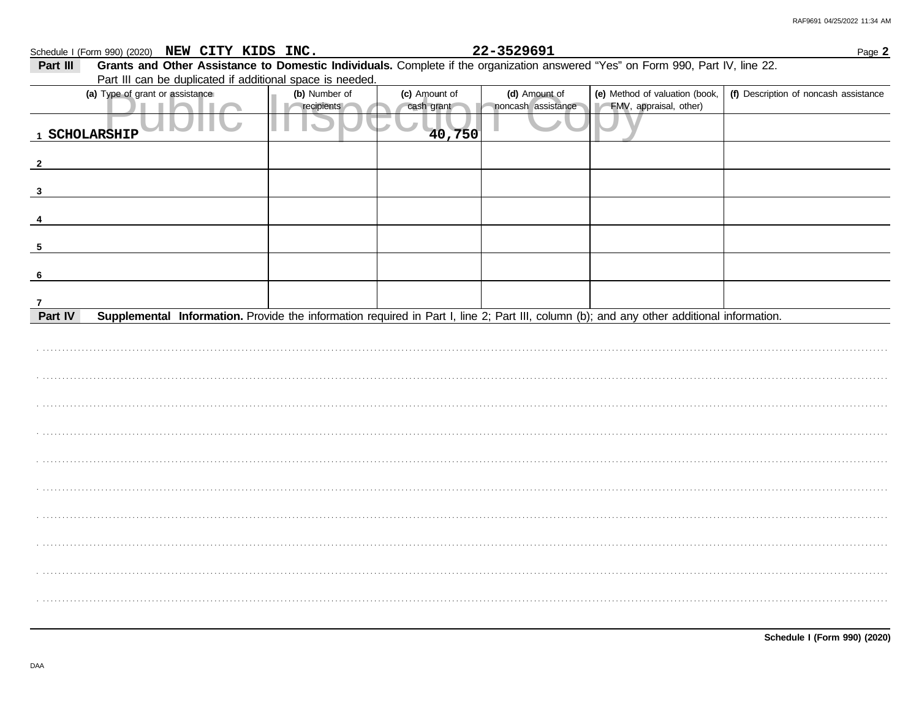|              | Schedule I (Form 990) (2020) NEW CITY KIDS INC.                                                                                           |               |               | 22-3529691         |                                | Page 2                                |  |  |  |  |
|--------------|-------------------------------------------------------------------------------------------------------------------------------------------|---------------|---------------|--------------------|--------------------------------|---------------------------------------|--|--|--|--|
| Part III     | Grants and Other Assistance to Domestic Individuals. Complete if the organization answered "Yes" on Form 990, Part IV, line 22.           |               |               |                    |                                |                                       |  |  |  |  |
|              | Part III can be duplicated if additional space is needed.                                                                                 |               |               |                    |                                |                                       |  |  |  |  |
|              | (a) Type of grant or assistance                                                                                                           | (b) Number of | (c) Amount of | (d) Amount of      | (e) Method of valuation (book, | (f) Description of noncash assistance |  |  |  |  |
|              |                                                                                                                                           | recipients    | cash grant    | noncash assistance | FMV, appraisal, other)         |                                       |  |  |  |  |
|              | 1 SCHOLARSHIP                                                                                                                             |               | 40,750        |                    |                                |                                       |  |  |  |  |
|              |                                                                                                                                           |               |               |                    |                                |                                       |  |  |  |  |
| $\mathbf{2}$ |                                                                                                                                           |               |               |                    |                                |                                       |  |  |  |  |
|              |                                                                                                                                           |               |               |                    |                                |                                       |  |  |  |  |
| 3            |                                                                                                                                           |               |               |                    |                                |                                       |  |  |  |  |
|              |                                                                                                                                           |               |               |                    |                                |                                       |  |  |  |  |
|              |                                                                                                                                           |               |               |                    |                                |                                       |  |  |  |  |
|              |                                                                                                                                           |               |               |                    |                                |                                       |  |  |  |  |
| 5            |                                                                                                                                           |               |               |                    |                                |                                       |  |  |  |  |
|              |                                                                                                                                           |               |               |                    |                                |                                       |  |  |  |  |
|              |                                                                                                                                           |               |               |                    |                                |                                       |  |  |  |  |
|              |                                                                                                                                           |               |               |                    |                                |                                       |  |  |  |  |
| Part IV      | Supplemental Information. Provide the information required in Part I, line 2; Part III, column (b); and any other additional information. |               |               |                    |                                |                                       |  |  |  |  |
|              |                                                                                                                                           |               |               |                    |                                |                                       |  |  |  |  |
|              |                                                                                                                                           |               |               |                    |                                |                                       |  |  |  |  |
|              |                                                                                                                                           |               |               |                    |                                |                                       |  |  |  |  |
|              |                                                                                                                                           |               |               |                    |                                |                                       |  |  |  |  |
|              |                                                                                                                                           |               |               |                    |                                |                                       |  |  |  |  |
|              |                                                                                                                                           |               |               |                    |                                |                                       |  |  |  |  |
|              |                                                                                                                                           |               |               |                    |                                |                                       |  |  |  |  |
|              |                                                                                                                                           |               |               |                    |                                |                                       |  |  |  |  |
|              |                                                                                                                                           |               |               |                    |                                |                                       |  |  |  |  |
|              |                                                                                                                                           |               |               |                    |                                |                                       |  |  |  |  |
|              |                                                                                                                                           |               |               |                    |                                |                                       |  |  |  |  |
|              |                                                                                                                                           |               |               |                    |                                |                                       |  |  |  |  |
|              |                                                                                                                                           |               |               |                    |                                |                                       |  |  |  |  |
|              |                                                                                                                                           |               |               |                    |                                |                                       |  |  |  |  |
|              |                                                                                                                                           |               |               |                    |                                |                                       |  |  |  |  |
|              |                                                                                                                                           |               |               |                    |                                |                                       |  |  |  |  |
|              |                                                                                                                                           |               |               |                    |                                |                                       |  |  |  |  |
|              |                                                                                                                                           |               |               |                    |                                |                                       |  |  |  |  |
|              |                                                                                                                                           |               |               |                    |                                |                                       |  |  |  |  |
|              |                                                                                                                                           |               |               |                    |                                |                                       |  |  |  |  |
|              |                                                                                                                                           |               |               |                    |                                |                                       |  |  |  |  |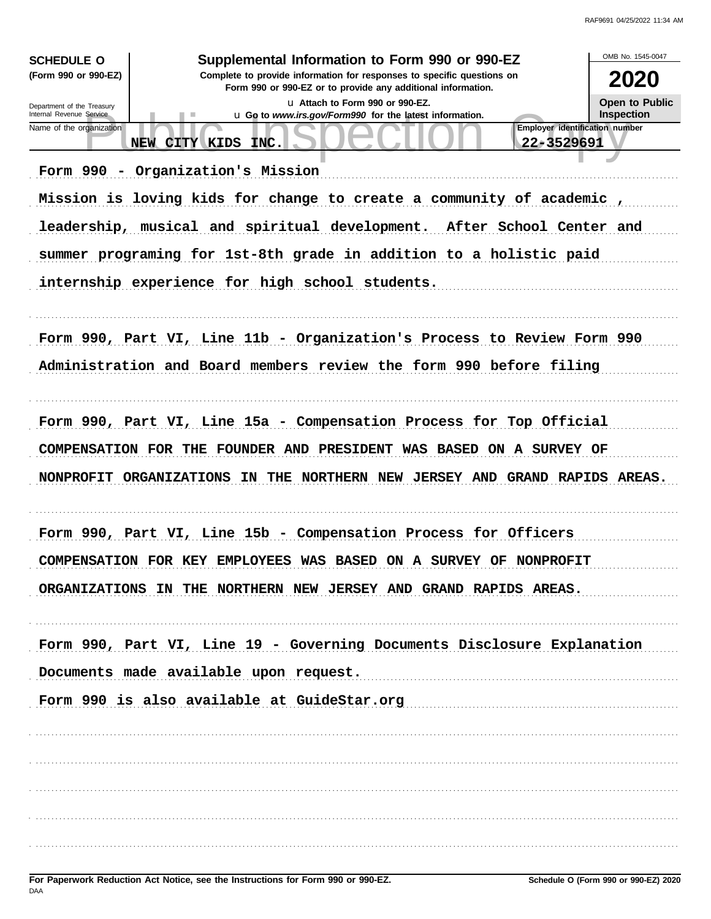| <b>SCHEDULE O</b>                                                                                                                                              | Supplemental Information to Form 990 or 990-EZ                                              | OMB No. 1545-0047                   |  |  |  |
|----------------------------------------------------------------------------------------------------------------------------------------------------------------|---------------------------------------------------------------------------------------------|-------------------------------------|--|--|--|
| (Form 990 or 990-EZ)<br>Complete to provide information for responses to specific questions on<br>Form 990 or 990-EZ or to provide any additional information. |                                                                                             |                                     |  |  |  |
| Department of the Treasury<br>Internal Revenue Service                                                                                                         | La Attach to Form 990 or 990-EZ.<br>u Go to www.irs.gov/Form990 for the latest information. | Open to Public<br><b>Inspection</b> |  |  |  |
| Name of the organization                                                                                                                                       | Employer identification number<br>22-3529691<br>NEW CITY KIDS<br>INC.                       |                                     |  |  |  |
|                                                                                                                                                                | Form 990 - Organization's Mission                                                           |                                     |  |  |  |
|                                                                                                                                                                | Mission is loving kids for change to create a community of academic,                        |                                     |  |  |  |
|                                                                                                                                                                | leadership, musical and spiritual development. After School Center and                      |                                     |  |  |  |
|                                                                                                                                                                | summer programing for 1st-8th grade in addition to a holistic paid                          |                                     |  |  |  |
|                                                                                                                                                                | internship experience for high school students.                                             |                                     |  |  |  |
|                                                                                                                                                                |                                                                                             |                                     |  |  |  |
|                                                                                                                                                                | Form 990, Part VI, Line 11b - Organization's Process to Review Form 990                     |                                     |  |  |  |
|                                                                                                                                                                | Administration and Board members review the form 990 before filing                          |                                     |  |  |  |
|                                                                                                                                                                |                                                                                             |                                     |  |  |  |
|                                                                                                                                                                | Form 990, Part VI, Line 15a - Compensation Process for Top Official                         |                                     |  |  |  |
|                                                                                                                                                                | COMPENSATION FOR THE FOUNDER AND PRESIDENT WAS BASED ON A SURVEY OF                         |                                     |  |  |  |
|                                                                                                                                                                | NONPROFIT ORGANIZATIONS IN<br>THE NORTHERN NEW JERSEY AND GRAND RAPIDS AREAS.               |                                     |  |  |  |
|                                                                                                                                                                |                                                                                             |                                     |  |  |  |
|                                                                                                                                                                | Form 990, Part VI, Line 15b - Compensation Process for Officers                             |                                     |  |  |  |
|                                                                                                                                                                | COMPENSATION FOR KEY EMPLOYEES WAS BASED ON A SURVEY OF NONPROFIT                           |                                     |  |  |  |
|                                                                                                                                                                | ORGANIZATIONS IN THE NORTHERN NEW JERSEY AND GRAND RAPIDS AREAS.                            |                                     |  |  |  |
|                                                                                                                                                                |                                                                                             |                                     |  |  |  |
|                                                                                                                                                                | Form 990, Part VI, Line 19 - Governing Documents Disclosure Explanation                     |                                     |  |  |  |
|                                                                                                                                                                | Documents made available upon request.                                                      |                                     |  |  |  |
|                                                                                                                                                                | Form 990 is also available at GuideStar.org [11]                                            |                                     |  |  |  |
|                                                                                                                                                                |                                                                                             |                                     |  |  |  |
|                                                                                                                                                                |                                                                                             |                                     |  |  |  |
|                                                                                                                                                                |                                                                                             |                                     |  |  |  |
|                                                                                                                                                                |                                                                                             |                                     |  |  |  |
|                                                                                                                                                                |                                                                                             |                                     |  |  |  |